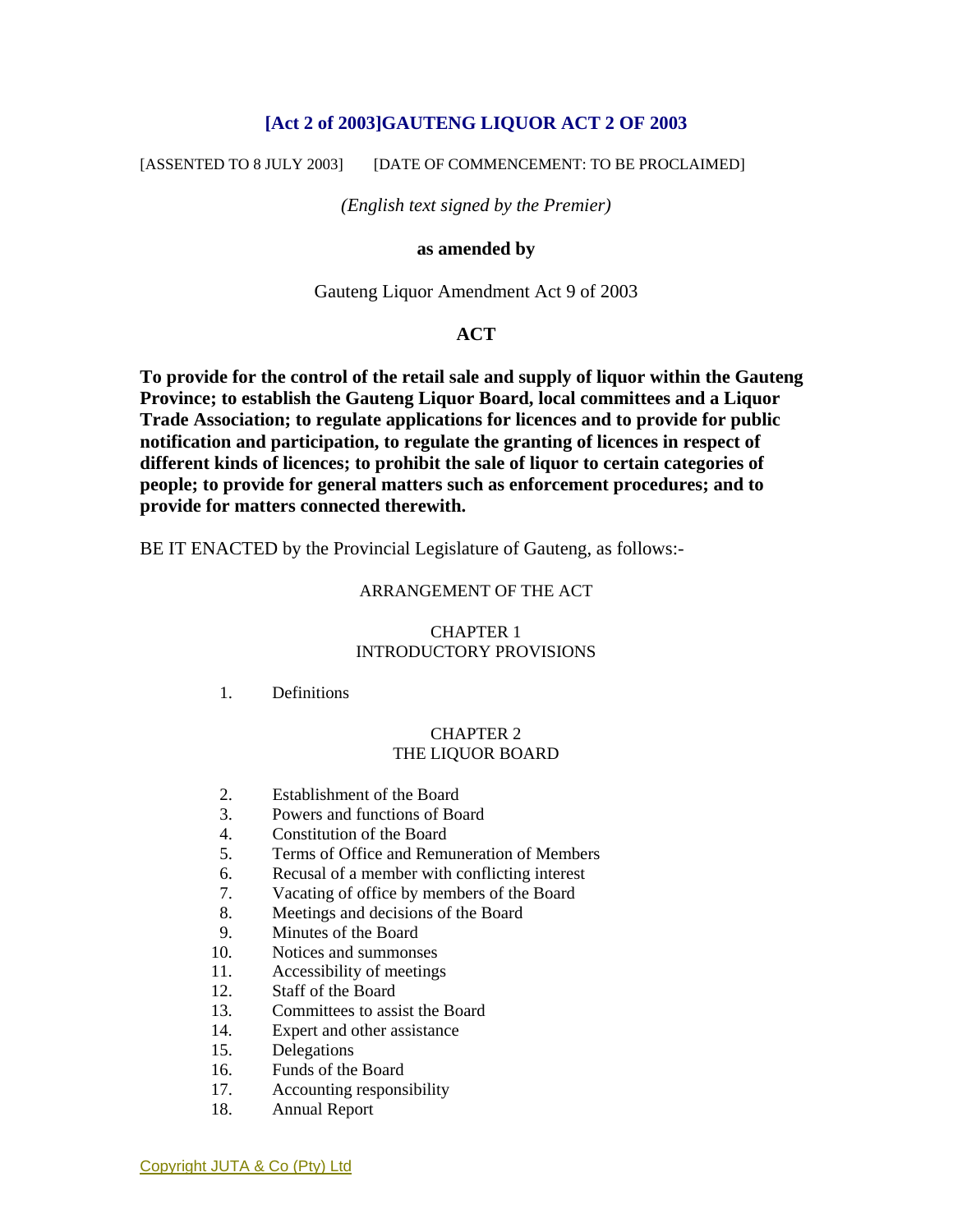## **[Act 2 of 2003]GAUTENG LIQUOR ACT 2 OF 2003**

[ASSENTED TO 8 JULY 2003] [DATE OF COMMENCEMENT: TO BE PROCLAIMED]

*(English text signed by the Premier)* 

#### **as amended by**

Gauteng Liquor Amendment Act 9 of 2003

### **ACT**

**To provide for the control of the retail sale and supply of liquor within the Gauteng Province; to establish the Gauteng Liquor Board, local committees and a Liquor Trade Association; to regulate applications for licences and to provide for public notification and participation, to regulate the granting of licences in respect of different kinds of licences; to prohibit the sale of liquor to certain categories of people; to provide for general matters such as enforcement procedures; and to provide for matters connected therewith.** 

BE IT ENACTED by the Provincial Legislature of Gauteng, as follows:-

#### ARRANGEMENT OF THE ACT

#### CHAPTER 1 INTRODUCTORY PROVISIONS

#### 1. Definitions

#### CHAPTER 2 THE LIQUOR BOARD

- 2. Establishment of the Board
- 3. Powers and functions of Board
- 4. Constitution of the Board
- 5. Terms of Office and Remuneration of Members
- 6. Recusal of a member with conflicting interest
- 7. Vacating of office by members of the Board
- 8. Meetings and decisions of the Board
- 9. Minutes of the Board
- 10. Notices and summonses
- 11. Accessibility of meetings
- 12. Staff of the Board
- 13. Committees to assist the Board
- 14. Expert and other assistance
- 15. Delegations
- 16. Funds of the Board
- 17. Accounting responsibility
- 18. Annual Report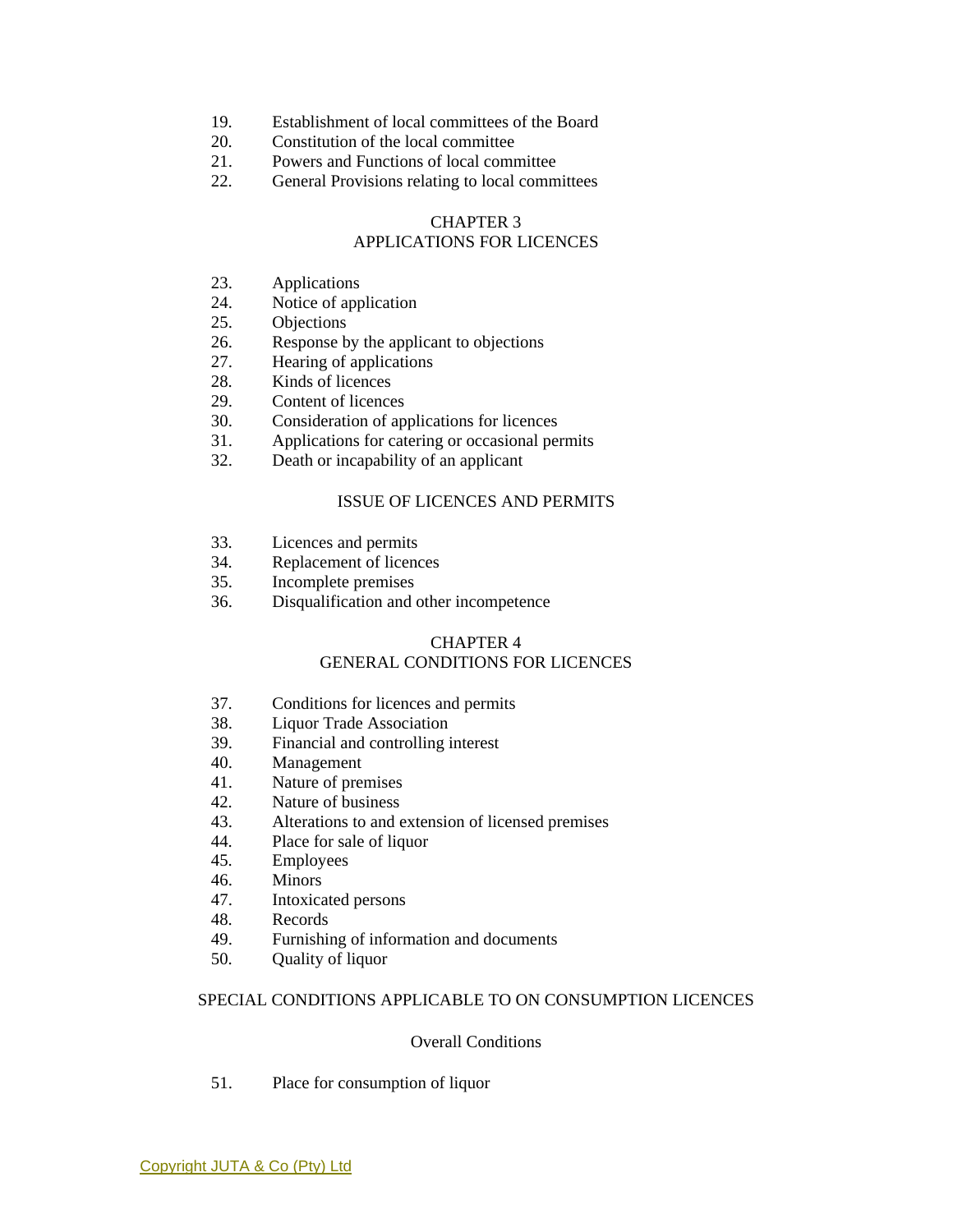- 19. Establishment of local committees of the Board
- 20. Constitution of the local committee
- 21. Powers and Functions of local committee
- 22. General Provisions relating to local committees

## CHAPTER 3 APPLICATIONS FOR LICENCES

- 23. Applications
- 24. Notice of application
- 25. Objections
- 26. Response by the applicant to objections
- 27. Hearing of applications
- 28. Kinds of licences
- 29. Content of licences
- 30. Consideration of applications for licences
- 31. Applications for catering or occasional permits
- 32. Death or incapability of an applicant

#### ISSUE OF LICENCES AND PERMITS

- 33. Licences and permits
- 34. Replacement of licences
- 35. Incomplete premises
- 36. Disqualification and other incompetence

## CHAPTER 4

### GENERAL CONDITIONS FOR LICENCES

- 37. Conditions for licences and permits
- 38. Liquor Trade Association
- 39. Financial and controlling interest
- 40. Management
- 41. Nature of premises
- 42. Nature of business
- 43. Alterations to and extension of licensed premises
- 44. Place for sale of liquor
- 45. Employees
- 46. Minors
- 47. Intoxicated persons
- 48. Records
- 49. Furnishing of information and documents
- 50. Quality of liquor

#### SPECIAL CONDITIONS APPLICABLE TO ON CONSUMPTION LICENCES

#### Overall Conditions

51. Place for consumption of liquor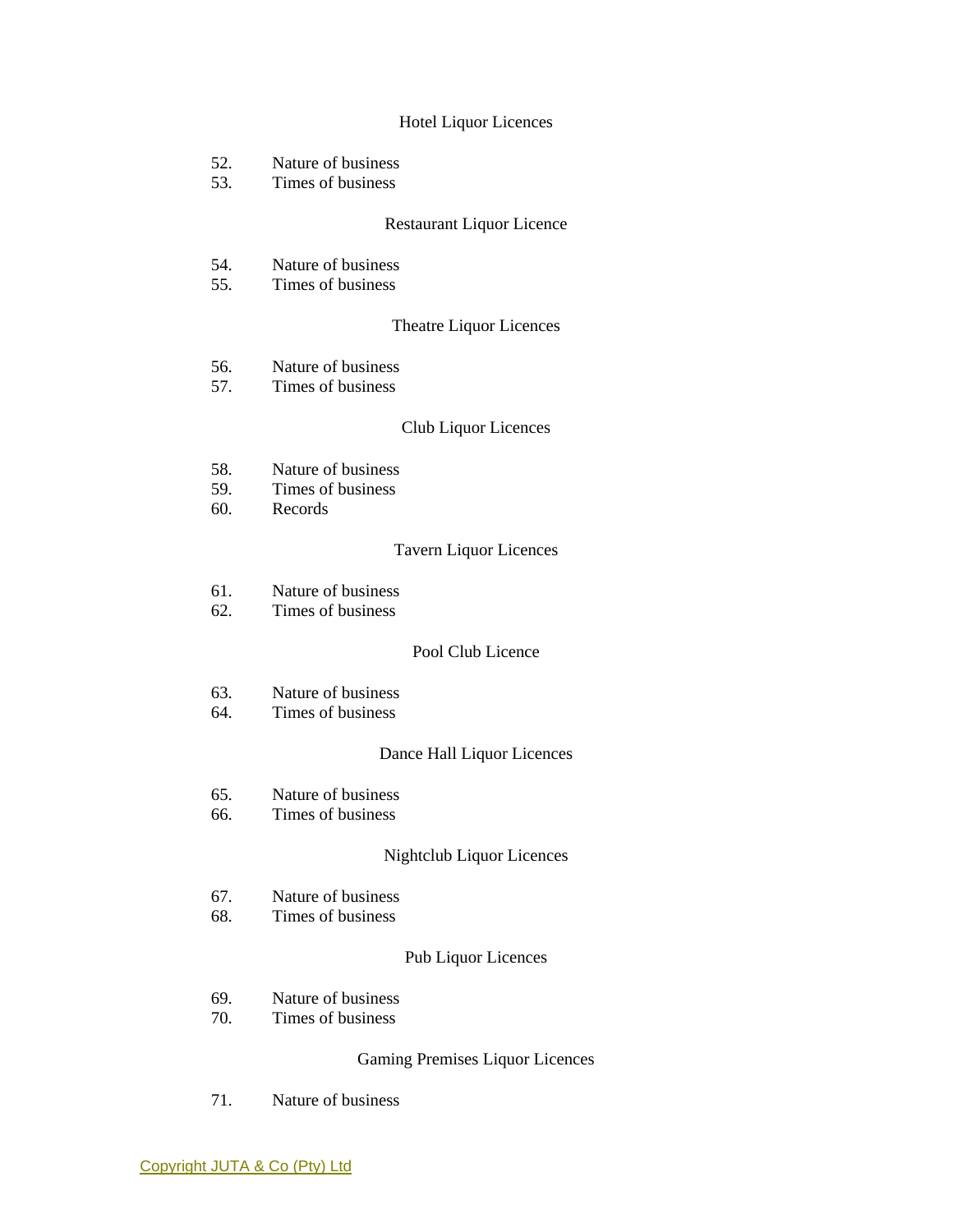#### Hotel Liquor Licences

- 52. Nature of business
- 53. Times of business

#### Restaurant Liquor Licence

- 54. Nature of business
- 55. Times of business

#### Theatre Liquor Licences

- 56. Nature of business<br>57. Times of business
- Times of business

#### Club Liquor Licences

- 58. Nature of business
- 59. Times of business
- 60. Records

#### Tavern Liquor Licences

- 61. Nature of business
- 62. Times of business

### Pool Club Licence

- 63. Nature of business
- 64. Times of business

#### Dance Hall Liquor Licences

- 65. Nature of business
- 66. Times of business

### Nightclub Liquor Licences

- 67. Nature of business
- 68. Times of business

### Pub Liquor Licences

- 69. Nature of business
- 70. Times of business

#### Gaming Premises Liquor Licences

71. Nature of business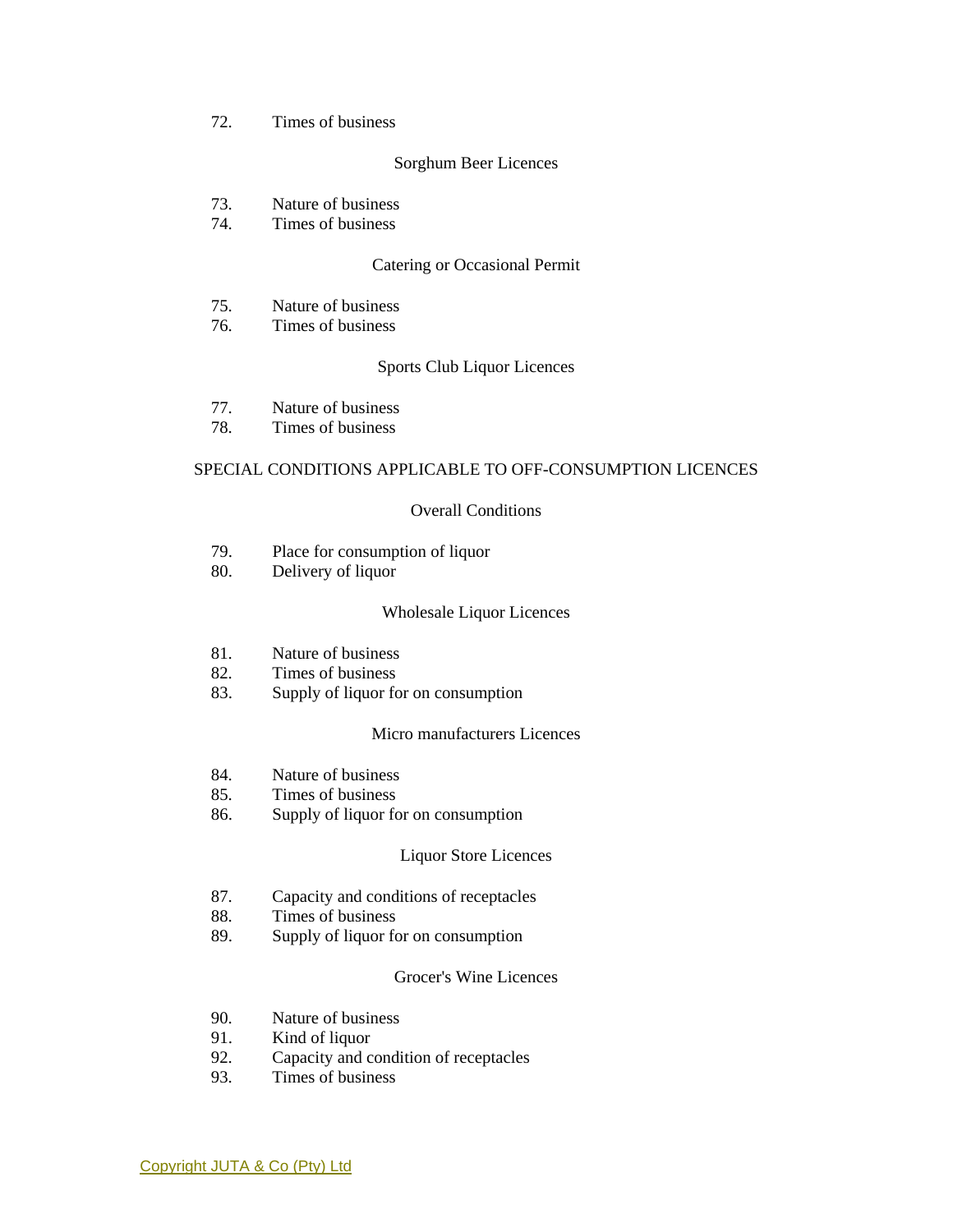#### 72. Times of business

#### Sorghum Beer Licences

- 73. Nature of business
- 74. Times of business

#### Catering or Occasional Permit

- 75. Nature of business
- 76. Times of business

#### Sports Club Liquor Licences

- 77. Nature of business
- 78. Times of business

#### SPECIAL CONDITIONS APPLICABLE TO OFF-CONSUMPTION LICENCES

#### Overall Conditions

- 79. Place for consumption of liquor
- 80. Delivery of liquor

#### Wholesale Liquor Licences

- 81. Nature of business
- 82. Times of business
- 83. Supply of liquor for on consumption

#### Micro manufacturers Licences

- 84. Nature of business
- 85. Times of business
- 86. Supply of liquor for on consumption

#### Liquor Store Licences

- 87. Capacity and conditions of receptacles
- 88. Times of business
- 89. Supply of liquor for on consumption

#### Grocer's Wine Licences

- 90. Nature of business
- 91. Kind of liquor
- 92. Capacity and condition of receptacles
- 93. Times of business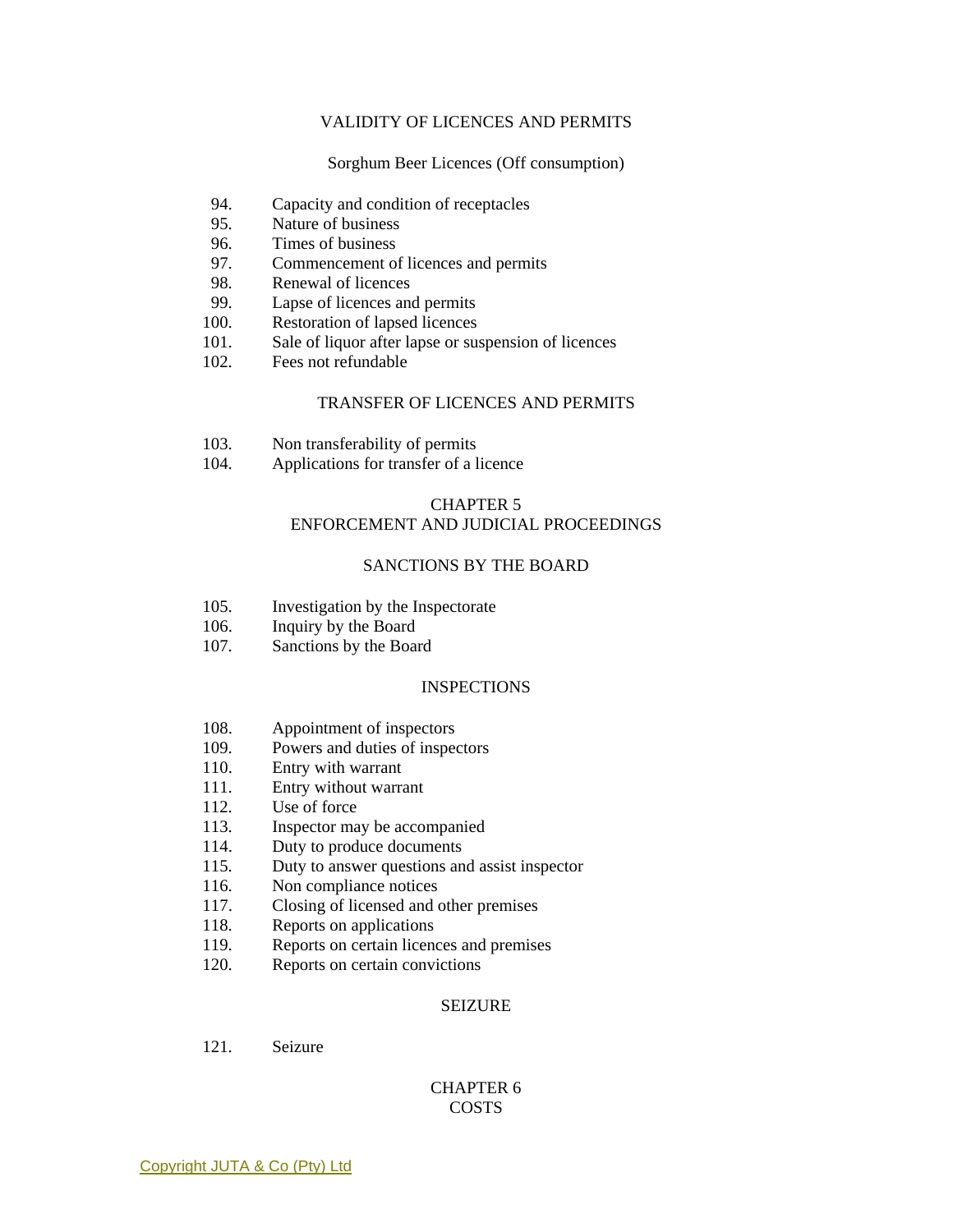#### VALIDITY OF LICENCES AND PERMITS

Sorghum Beer Licences (Off consumption)

- 94. Capacity and condition of receptacles
- 95. Nature of business
- 96. Times of business
- 97. Commencement of licences and permits
- 98. Renewal of licences
- 99. Lapse of licences and permits
- 100. Restoration of lapsed licences
- 101. Sale of liquor after lapse or suspension of licences
- 102. Fees not refundable

#### TRANSFER OF LICENCES AND PERMITS

- 103. Non transferability of permits
- 104. Applications for transfer of a licence

#### CHAPTER 5

## ENFORCEMENT AND JUDICIAL PROCEEDINGS

## SANCTIONS BY THE BOARD

- 105. Investigation by the Inspectorate
- 106. Inquiry by the Board
- 107. Sanctions by the Board

#### **INSPECTIONS**

- 108. Appointment of inspectors
- 109. Powers and duties of inspectors
- 110. Entry with warrant
- 111. Entry without warrant
- 112. Use of force
- 113. Inspector may be accompanied
- 114. Duty to produce documents
- 115. Duty to answer questions and assist inspector
- 116. Non compliance notices
- 117. Closing of licensed and other premises
- 118. Reports on applications
- 119. Reports on certain licences and premises
- 120. Reports on certain convictions

#### SEIZURE

121. Seizure

## CHAPTER 6 **COSTS**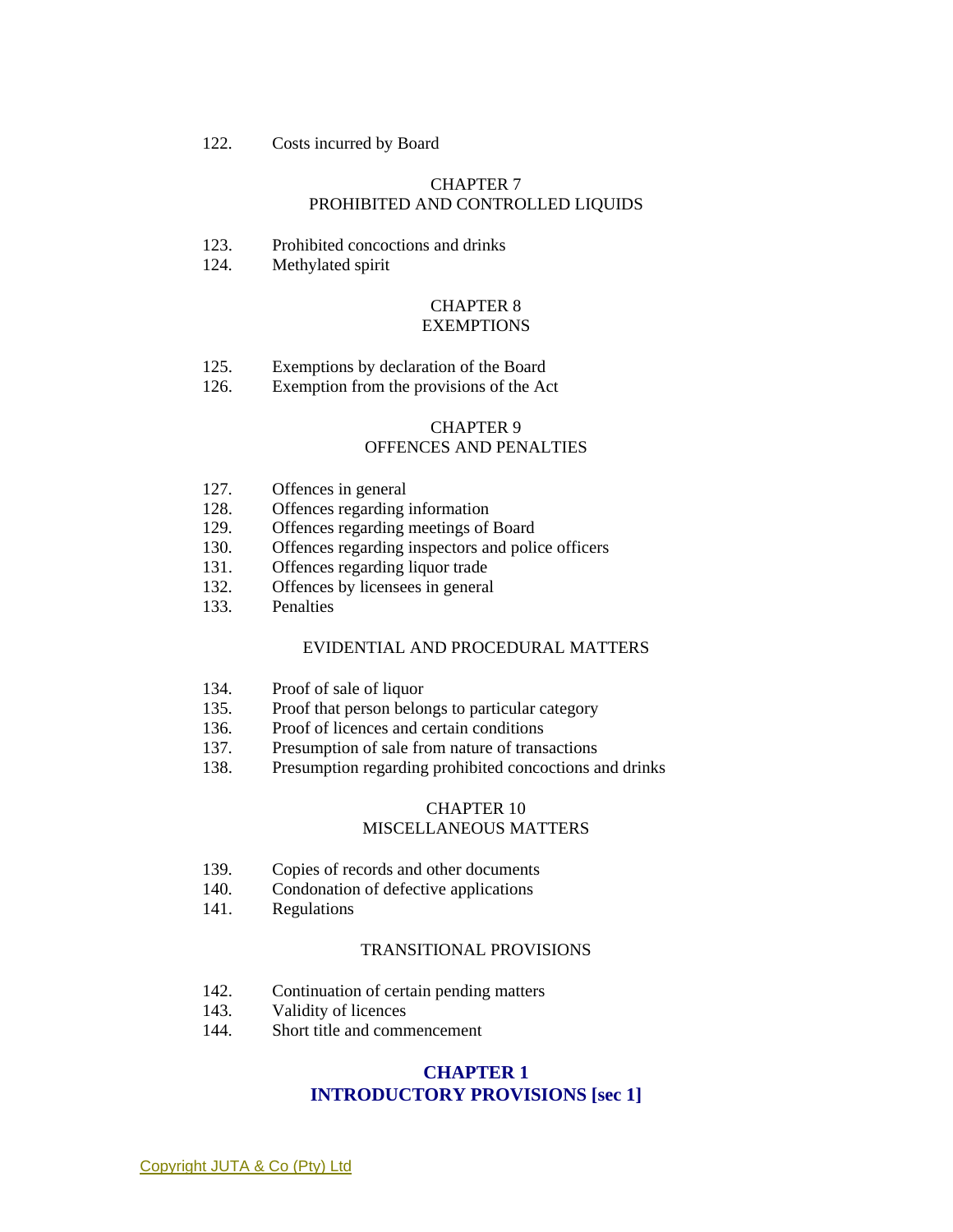122. Costs incurred by Board

#### CHAPTER 7 PROHIBITED AND CONTROLLED LIQUIDS

- 123. Prohibited concoctions and drinks
- 124. Methylated spirit

#### CHAPTER 8 **EXEMPTIONS**

- 125. Exemptions by declaration of the Board
- 126. Exemption from the provisions of the Act

#### CHAPTER 9 OFFENCES AND PENALTIES

- 127. Offences in general
- 128. Offences regarding information
- 129. Offences regarding meetings of Board
- 130. Offences regarding inspectors and police officers
- 131. Offences regarding liquor trade
- 132. Offences by licensees in general
- 133. Penalties

#### EVIDENTIAL AND PROCEDURAL MATTERS

- 134. Proof of sale of liquor
- 135. Proof that person belongs to particular category
- 136. Proof of licences and certain conditions
- 137. Presumption of sale from nature of transactions
- 138. Presumption regarding prohibited concoctions and drinks

#### CHAPTER 10 MISCELLANEOUS MATTERS

- 139. Copies of records and other documents
- 140. Condonation of defective applications
- 141. Regulations

#### TRANSITIONAL PROVISIONS

- 142. Continuation of certain pending matters
- 143. Validity of licences
- 144. Short title and commencement

### **CHAPTER 1 INTRODUCTORY PROVISIONS [sec 1]**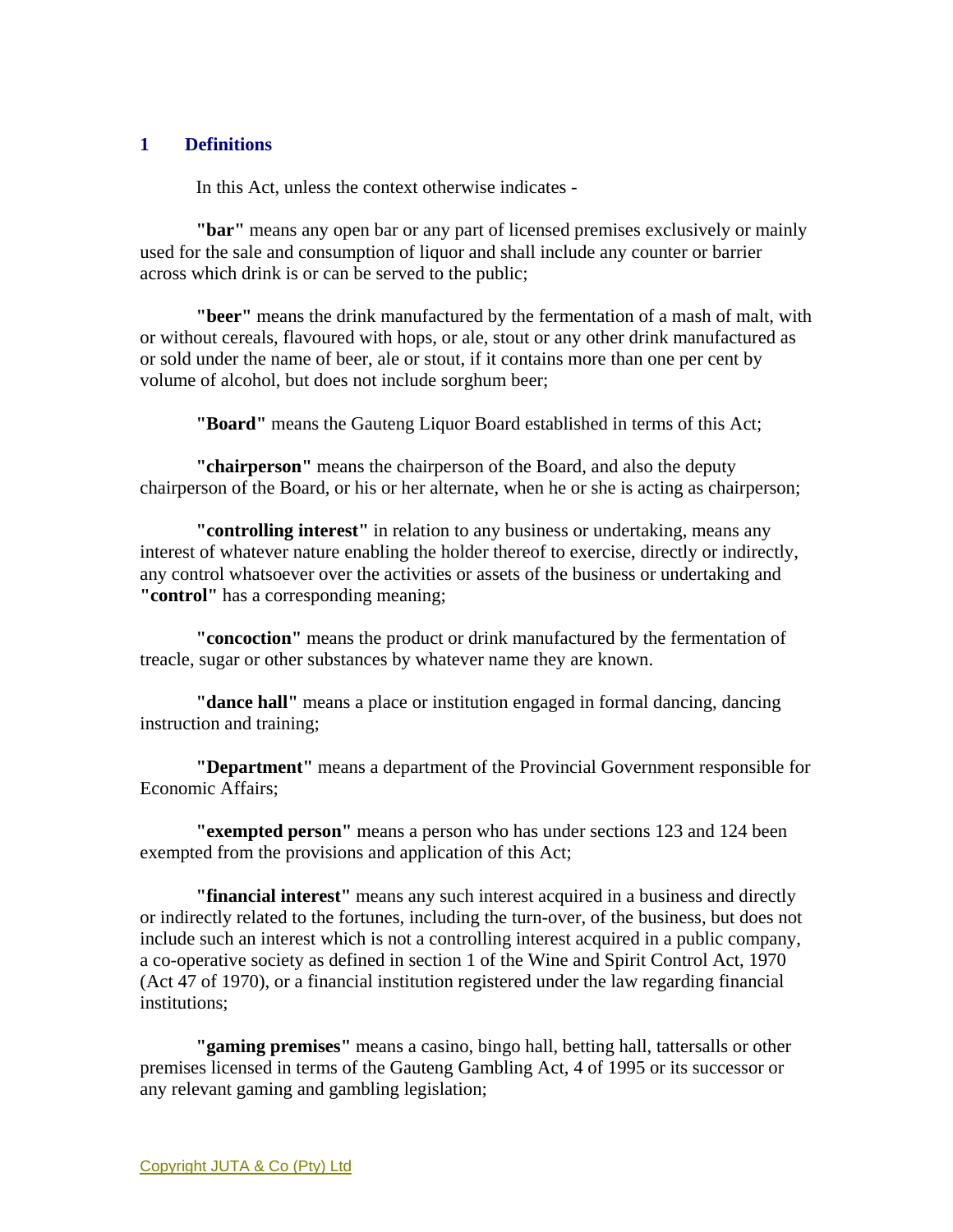## **1 Definitions**

In this Act, unless the context otherwise indicates -

**"bar"** means any open bar or any part of licensed premises exclusively or mainly used for the sale and consumption of liquor and shall include any counter or barrier across which drink is or can be served to the public;

**"beer"** means the drink manufactured by the fermentation of a mash of malt, with or without cereals, flavoured with hops, or ale, stout or any other drink manufactured as or sold under the name of beer, ale or stout, if it contains more than one per cent by volume of alcohol, but does not include sorghum beer;

**"Board"** means the Gauteng Liquor Board established in terms of this Act;

**"chairperson"** means the chairperson of the Board, and also the deputy chairperson of the Board, or his or her alternate, when he or she is acting as chairperson;

**"controlling interest"** in relation to any business or undertaking, means any interest of whatever nature enabling the holder thereof to exercise, directly or indirectly, any control whatsoever over the activities or assets of the business or undertaking and **"control"** has a corresponding meaning;

**"concoction"** means the product or drink manufactured by the fermentation of treacle, sugar or other substances by whatever name they are known.

**"dance hall"** means a place or institution engaged in formal dancing, dancing instruction and training;

**"Department"** means a department of the Provincial Government responsible for Economic Affairs;

**"exempted person"** means a person who has under sections 123 and 124 been exempted from the provisions and application of this Act;

**"financial interest"** means any such interest acquired in a business and directly or indirectly related to the fortunes, including the turn-over, of the business, but does not include such an interest which is not a controlling interest acquired in a public company, a co-operative society as defined in section 1 of the Wine and Spirit Control Act, 1970 (Act 47 of 1970), or a financial institution registered under the law regarding financial institutions;

**"gaming premises"** means a casino, bingo hall, betting hall, tattersalls or other premises licensed in terms of the Gauteng Gambling Act, 4 of 1995 or its successor or any relevant gaming and gambling legislation;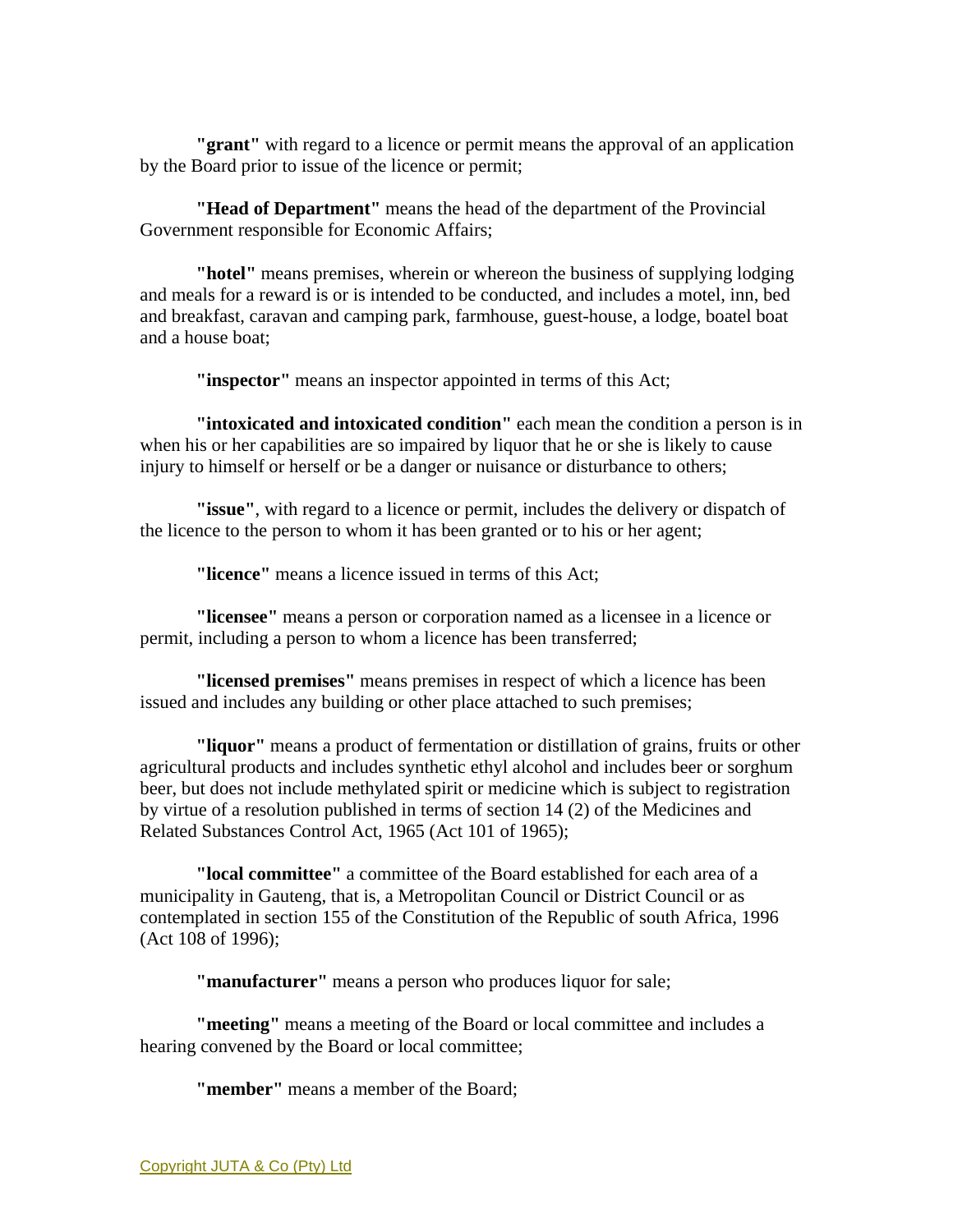**"grant"** with regard to a licence or permit means the approval of an application by the Board prior to issue of the licence or permit;

**"Head of Department"** means the head of the department of the Provincial Government responsible for Economic Affairs;

**"hotel"** means premises, wherein or whereon the business of supplying lodging and meals for a reward is or is intended to be conducted, and includes a motel, inn, bed and breakfast, caravan and camping park, farmhouse, guest-house, a lodge, boatel boat and a house boat;

**"inspector"** means an inspector appointed in terms of this Act;

**"intoxicated and intoxicated condition"** each mean the condition a person is in when his or her capabilities are so impaired by liquor that he or she is likely to cause injury to himself or herself or be a danger or nuisance or disturbance to others;

**"issue"**, with regard to a licence or permit, includes the delivery or dispatch of the licence to the person to whom it has been granted or to his or her agent;

**"licence"** means a licence issued in terms of this Act;

**"licensee"** means a person or corporation named as a licensee in a licence or permit, including a person to whom a licence has been transferred;

**"licensed premises"** means premises in respect of which a licence has been issued and includes any building or other place attached to such premises;

**"liquor"** means a product of fermentation or distillation of grains, fruits or other agricultural products and includes synthetic ethyl alcohol and includes beer or sorghum beer, but does not include methylated spirit or medicine which is subject to registration by virtue of a resolution published in terms of section 14 (2) of the Medicines and Related Substances Control Act, 1965 (Act 101 of 1965);

**"local committee"** a committee of the Board established for each area of a municipality in Gauteng, that is, a Metropolitan Council or District Council or as contemplated in section 155 of the Constitution of the Republic of south Africa, 1996 (Act 108 of 1996);

**"manufacturer"** means a person who produces liquor for sale;

**"meeting"** means a meeting of the Board or local committee and includes a hearing convened by the Board or local committee;

**"member"** means a member of the Board;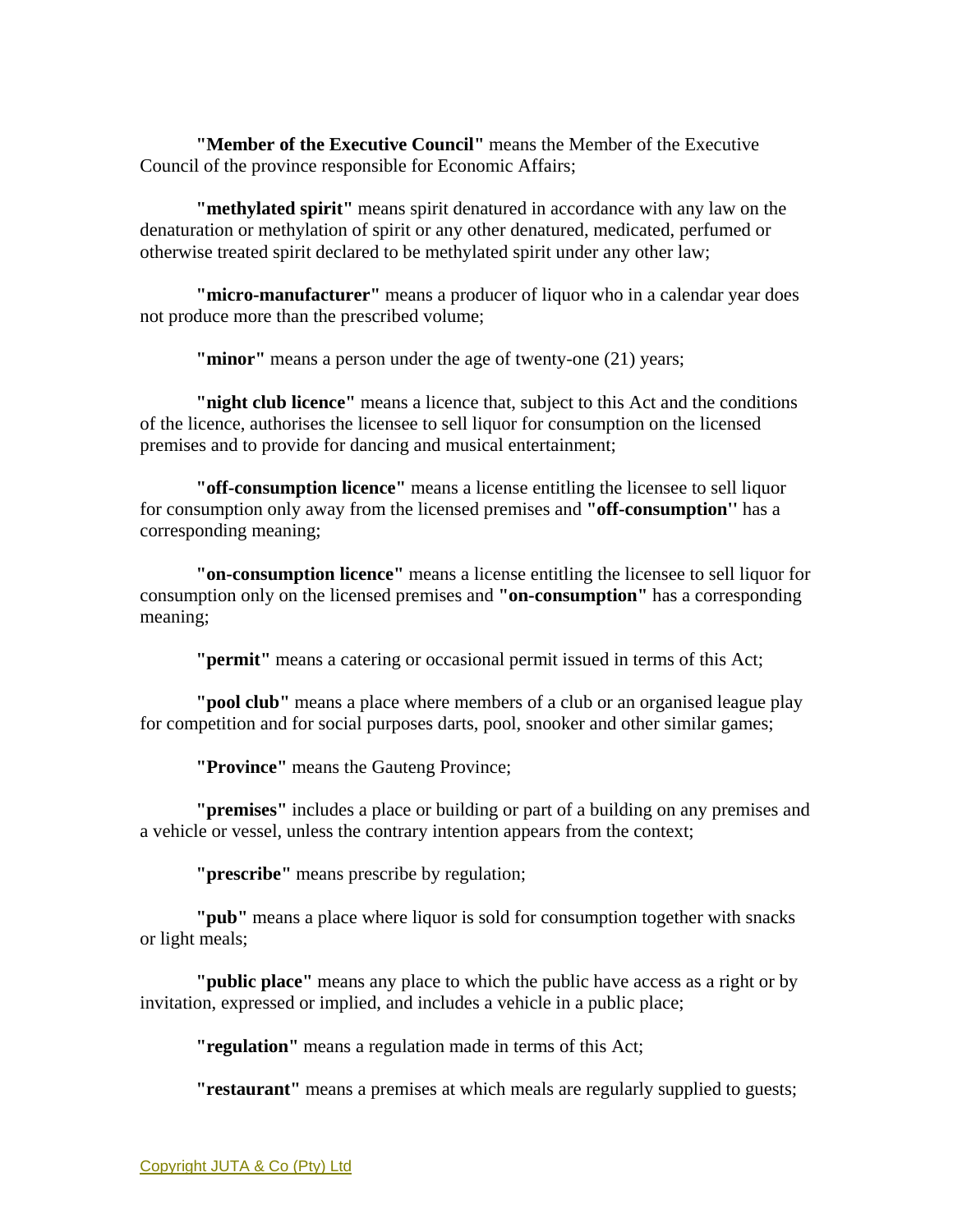**"Member of the Executive Council"** means the Member of the Executive Council of the province responsible for Economic Affairs;

**"methylated spirit"** means spirit denatured in accordance with any law on the denaturation or methylation of spirit or any other denatured, medicated, perfumed or otherwise treated spirit declared to be methylated spirit under any other law;

**"micro-manufacturer"** means a producer of liquor who in a calendar year does not produce more than the prescribed volume;

**"minor"** means a person under the age of twenty-one (21) years;

**"night club licence"** means a licence that, subject to this Act and the conditions of the licence, authorises the licensee to sell liquor for consumption on the licensed premises and to provide for dancing and musical entertainment;

**"off-consumption licence"** means a license entitling the licensee to sell liquor for consumption only away from the licensed premises and **"off-consumption''** has a corresponding meaning;

**"on-consumption licence"** means a license entitling the licensee to sell liquor for consumption only on the licensed premises and **"on-consumption"** has a corresponding meaning;

**"permit"** means a catering or occasional permit issued in terms of this Act;

**"pool club"** means a place where members of a club or an organised league play for competition and for social purposes darts, pool, snooker and other similar games;

**"Province"** means the Gauteng Province;

**"premises"** includes a place or building or part of a building on any premises and a vehicle or vessel, unless the contrary intention appears from the context;

**"prescribe"** means prescribe by regulation;

**"pub"** means a place where liquor is sold for consumption together with snacks or light meals;

**"public place"** means any place to which the public have access as a right or by invitation, expressed or implied, and includes a vehicle in a public place;

**"regulation"** means a regulation made in terms of this Act;

**"restaurant"** means a premises at which meals are regularly supplied to guests;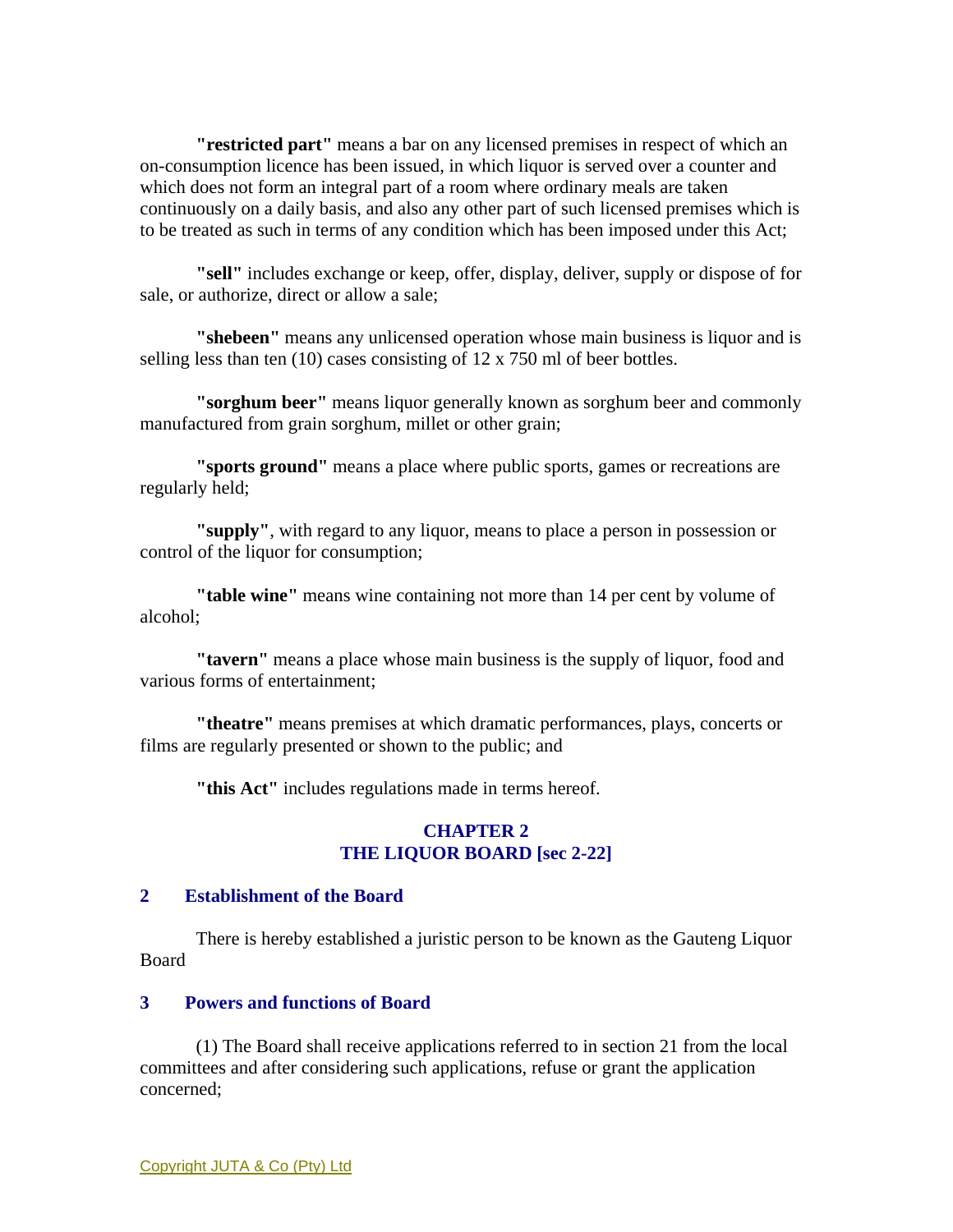**"restricted part"** means a bar on any licensed premises in respect of which an on-consumption licence has been issued, in which liquor is served over a counter and which does not form an integral part of a room where ordinary meals are taken continuously on a daily basis, and also any other part of such licensed premises which is to be treated as such in terms of any condition which has been imposed under this Act;

**"sell"** includes exchange or keep, offer, display, deliver, supply or dispose of for sale, or authorize, direct or allow a sale;

**"shebeen"** means any unlicensed operation whose main business is liquor and is selling less than ten (10) cases consisting of 12 x 750 ml of beer bottles.

**"sorghum beer"** means liquor generally known as sorghum beer and commonly manufactured from grain sorghum, millet or other grain;

**"sports ground"** means a place where public sports, games or recreations are regularly held;

**"supply"**, with regard to any liquor, means to place a person in possession or control of the liquor for consumption;

**"table wine"** means wine containing not more than 14 per cent by volume of alcohol;

**"tavern"** means a place whose main business is the supply of liquor, food and various forms of entertainment;

**"theatre"** means premises at which dramatic performances, plays, concerts or films are regularly presented or shown to the public; and

**"this Act"** includes regulations made in terms hereof.

## **CHAPTER 2 THE LIQUOR BOARD [sec 2-22]**

#### **2 Establishment of the Board**

 There is hereby established a juristic person to be known as the Gauteng Liquor Board

### **3 Powers and functions of Board**

 (1) The Board shall receive applications referred to in section 21 from the local committees and after considering such applications, refuse or grant the application concerned;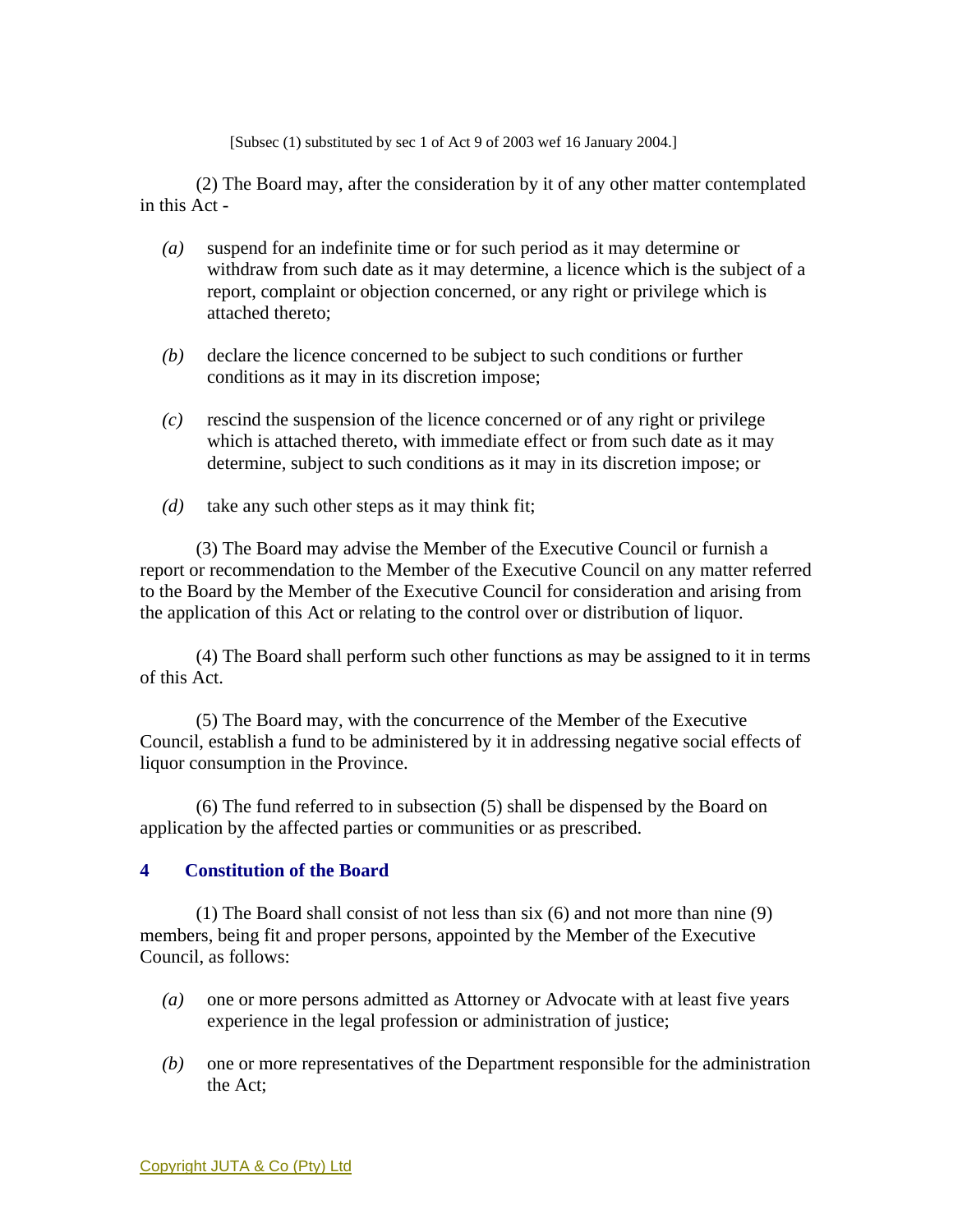[Subsec (1) substituted by sec 1 of Act 9 of 2003 wef 16 January 2004.]

 (2) The Board may, after the consideration by it of any other matter contemplated in this Act -

- *(a)* suspend for an indefinite time or for such period as it may determine or withdraw from such date as it may determine, a licence which is the subject of a report, complaint or objection concerned, or any right or privilege which is attached thereto;
- *(b)* declare the licence concerned to be subject to such conditions or further conditions as it may in its discretion impose;
- *(c)* rescind the suspension of the licence concerned or of any right or privilege which is attached thereto, with immediate effect or from such date as it may determine, subject to such conditions as it may in its discretion impose; or
- *(d)* take any such other steps as it may think fit;

 (3) The Board may advise the Member of the Executive Council or furnish a report or recommendation to the Member of the Executive Council on any matter referred to the Board by the Member of the Executive Council for consideration and arising from the application of this Act or relating to the control over or distribution of liquor.

 (4) The Board shall perform such other functions as may be assigned to it in terms of this Act.

 (5) The Board may, with the concurrence of the Member of the Executive Council, establish a fund to be administered by it in addressing negative social effects of liquor consumption in the Province.

 (6) The fund referred to in subsection (5) shall be dispensed by the Board on application by the affected parties or communities or as prescribed.

## **4 Constitution of the Board**

 (1) The Board shall consist of not less than six (6) and not more than nine (9) members, being fit and proper persons, appointed by the Member of the Executive Council, as follows:

- *(a)* one or more persons admitted as Attorney or Advocate with at least five years experience in the legal profession or administration of justice;
- *(b)* one or more representatives of the Department responsible for the administration the Act;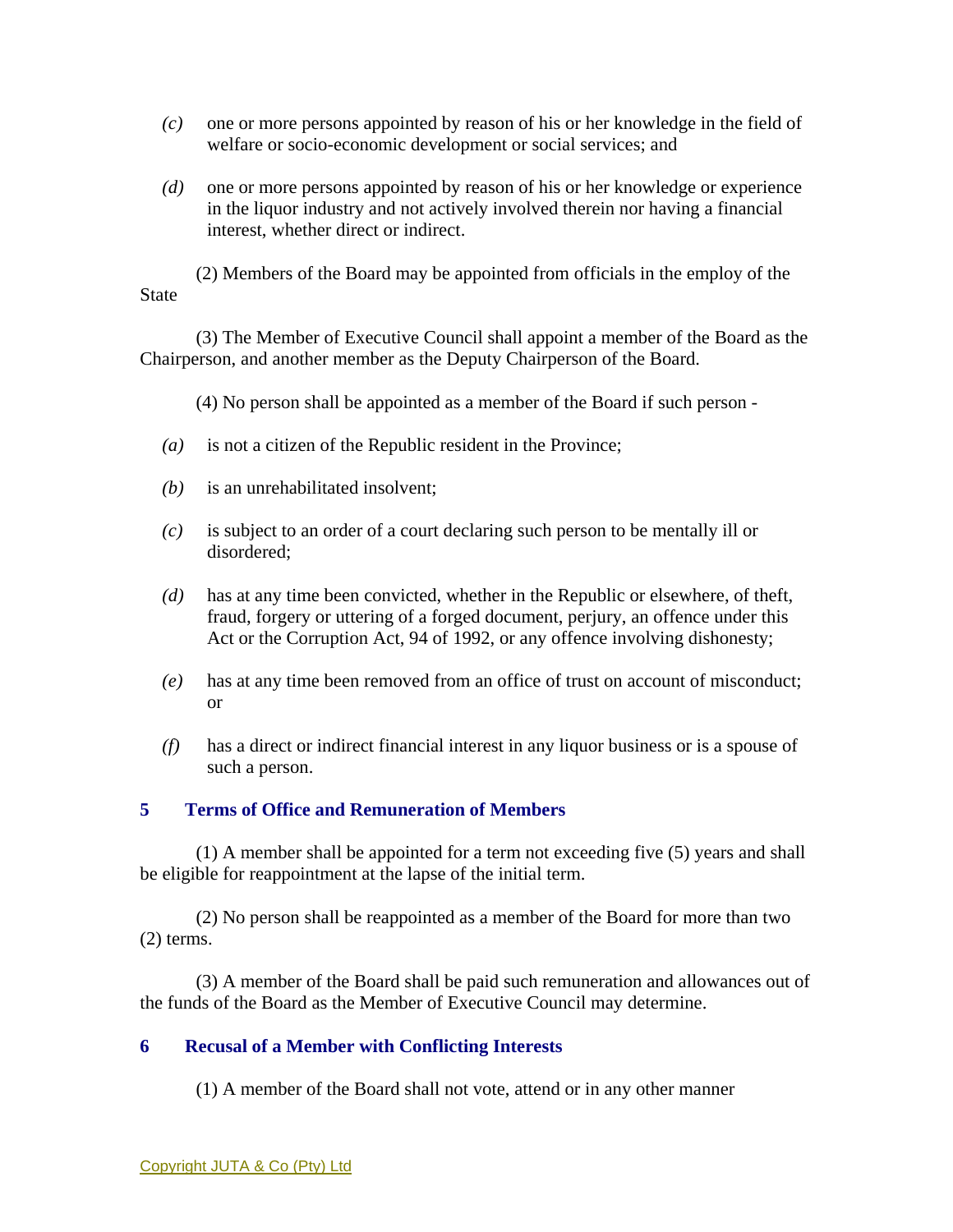- *(c)* one or more persons appointed by reason of his or her knowledge in the field of welfare or socio-economic development or social services; and
- *(d)* one or more persons appointed by reason of his or her knowledge or experience in the liquor industry and not actively involved therein nor having a financial interest, whether direct or indirect.

 (2) Members of the Board may be appointed from officials in the employ of the **State** 

 (3) The Member of Executive Council shall appoint a member of the Board as the Chairperson, and another member as the Deputy Chairperson of the Board.

(4) No person shall be appointed as a member of the Board if such person -

- *(a)* is not a citizen of the Republic resident in the Province;
- *(b)* is an unrehabilitated insolvent;
- *(c)* is subject to an order of a court declaring such person to be mentally ill or disordered;
- *(d)* has at any time been convicted, whether in the Republic or elsewhere, of theft, fraud, forgery or uttering of a forged document, perjury, an offence under this Act or the Corruption Act, 94 of 1992, or any offence involving dishonesty;
- *(e)* has at any time been removed from an office of trust on account of misconduct; or
- *(f)* has a direct or indirect financial interest in any liquor business or is a spouse of such a person.

# **5 Terms of Office and Remuneration of Members**

 (1) A member shall be appointed for a term not exceeding five (5) years and shall be eligible for reappointment at the lapse of the initial term.

 (2) No person shall be reappointed as a member of the Board for more than two (2) terms.

 (3) A member of the Board shall be paid such remuneration and allowances out of the funds of the Board as the Member of Executive Council may determine.

## **6 Recusal of a Member with Conflicting Interests**

(1) A member of the Board shall not vote, attend or in any other manner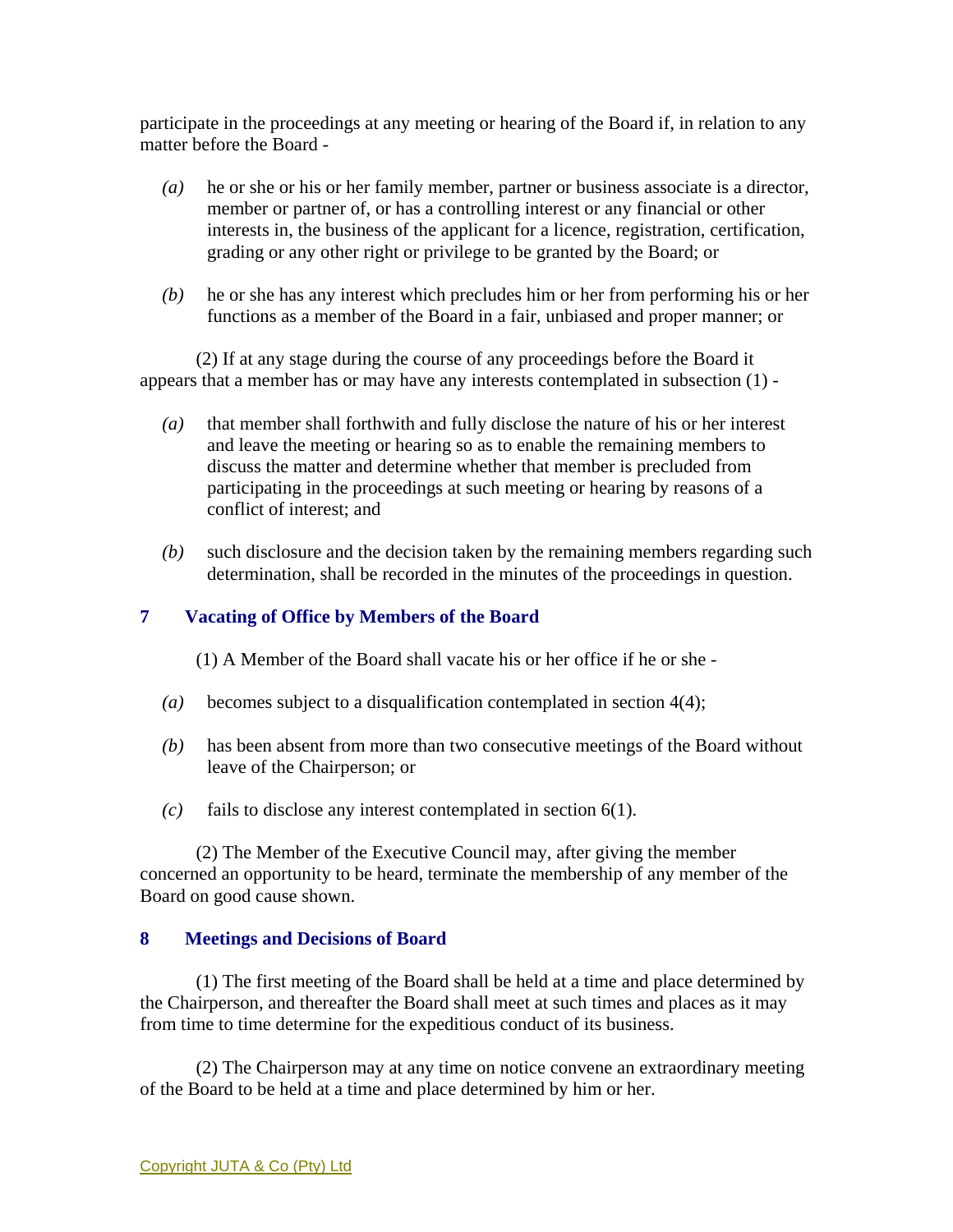participate in the proceedings at any meeting or hearing of the Board if, in relation to any matter before the Board -

- *(a)* he or she or his or her family member, partner or business associate is a director, member or partner of, or has a controlling interest or any financial or other interests in, the business of the applicant for a licence, registration, certification, grading or any other right or privilege to be granted by the Board; or
- *(b)* he or she has any interest which precludes him or her from performing his or her functions as a member of the Board in a fair, unbiased and proper manner; or

 (2) If at any stage during the course of any proceedings before the Board it appears that a member has or may have any interests contemplated in subsection (1) -

- *(a)* that member shall forthwith and fully disclose the nature of his or her interest and leave the meeting or hearing so as to enable the remaining members to discuss the matter and determine whether that member is precluded from participating in the proceedings at such meeting or hearing by reasons of a conflict of interest; and
- *(b)* such disclosure and the decision taken by the remaining members regarding such determination, shall be recorded in the minutes of the proceedings in question.

## **7 Vacating of Office by Members of the Board**

(1) A Member of the Board shall vacate his or her office if he or she -

- *(a)* becomes subject to a disqualification contemplated in section 4(4);
- *(b)* has been absent from more than two consecutive meetings of the Board without leave of the Chairperson; or
- *(c)* fails to disclose any interest contemplated in section 6(1).

 (2) The Member of the Executive Council may, after giving the member concerned an opportunity to be heard, terminate the membership of any member of the Board on good cause shown.

## **8 Meetings and Decisions of Board**

 (1) The first meeting of the Board shall be held at a time and place determined by the Chairperson, and thereafter the Board shall meet at such times and places as it may from time to time determine for the expeditious conduct of its business.

 (2) The Chairperson may at any time on notice convene an extraordinary meeting of the Board to be held at a time and place determined by him or her.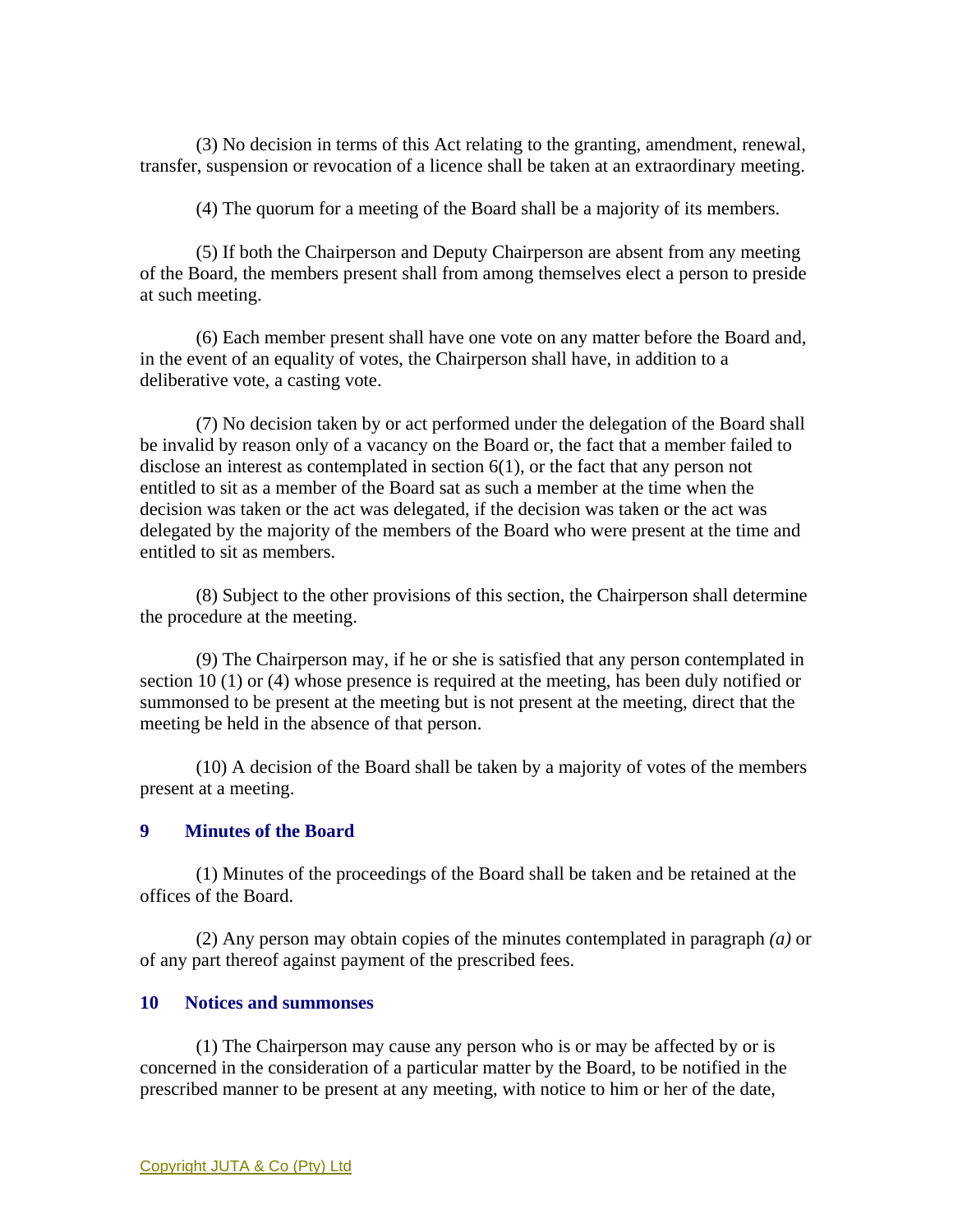(3) No decision in terms of this Act relating to the granting, amendment, renewal, transfer, suspension or revocation of a licence shall be taken at an extraordinary meeting.

(4) The quorum for a meeting of the Board shall be a majority of its members.

 (5) If both the Chairperson and Deputy Chairperson are absent from any meeting of the Board, the members present shall from among themselves elect a person to preside at such meeting.

 (6) Each member present shall have one vote on any matter before the Board and, in the event of an equality of votes, the Chairperson shall have, in addition to a deliberative vote, a casting vote.

 (7) No decision taken by or act performed under the delegation of the Board shall be invalid by reason only of a vacancy on the Board or, the fact that a member failed to disclose an interest as contemplated in section 6(1), or the fact that any person not entitled to sit as a member of the Board sat as such a member at the time when the decision was taken or the act was delegated, if the decision was taken or the act was delegated by the majority of the members of the Board who were present at the time and entitled to sit as members.

 (8) Subject to the other provisions of this section, the Chairperson shall determine the procedure at the meeting.

 (9) The Chairperson may, if he or she is satisfied that any person contemplated in section 10 (1) or (4) whose presence is required at the meeting, has been duly notified or summonsed to be present at the meeting but is not present at the meeting, direct that the meeting be held in the absence of that person.

 (10) A decision of the Board shall be taken by a majority of votes of the members present at a meeting.

## **9 Minutes of the Board**

 (1) Minutes of the proceedings of the Board shall be taken and be retained at the offices of the Board.

 (2) Any person may obtain copies of the minutes contemplated in paragraph *(a)* or of any part thereof against payment of the prescribed fees.

#### **10 Notices and summonses**

 (1) The Chairperson may cause any person who is or may be affected by or is concerned in the consideration of a particular matter by the Board, to be notified in the prescribed manner to be present at any meeting, with notice to him or her of the date,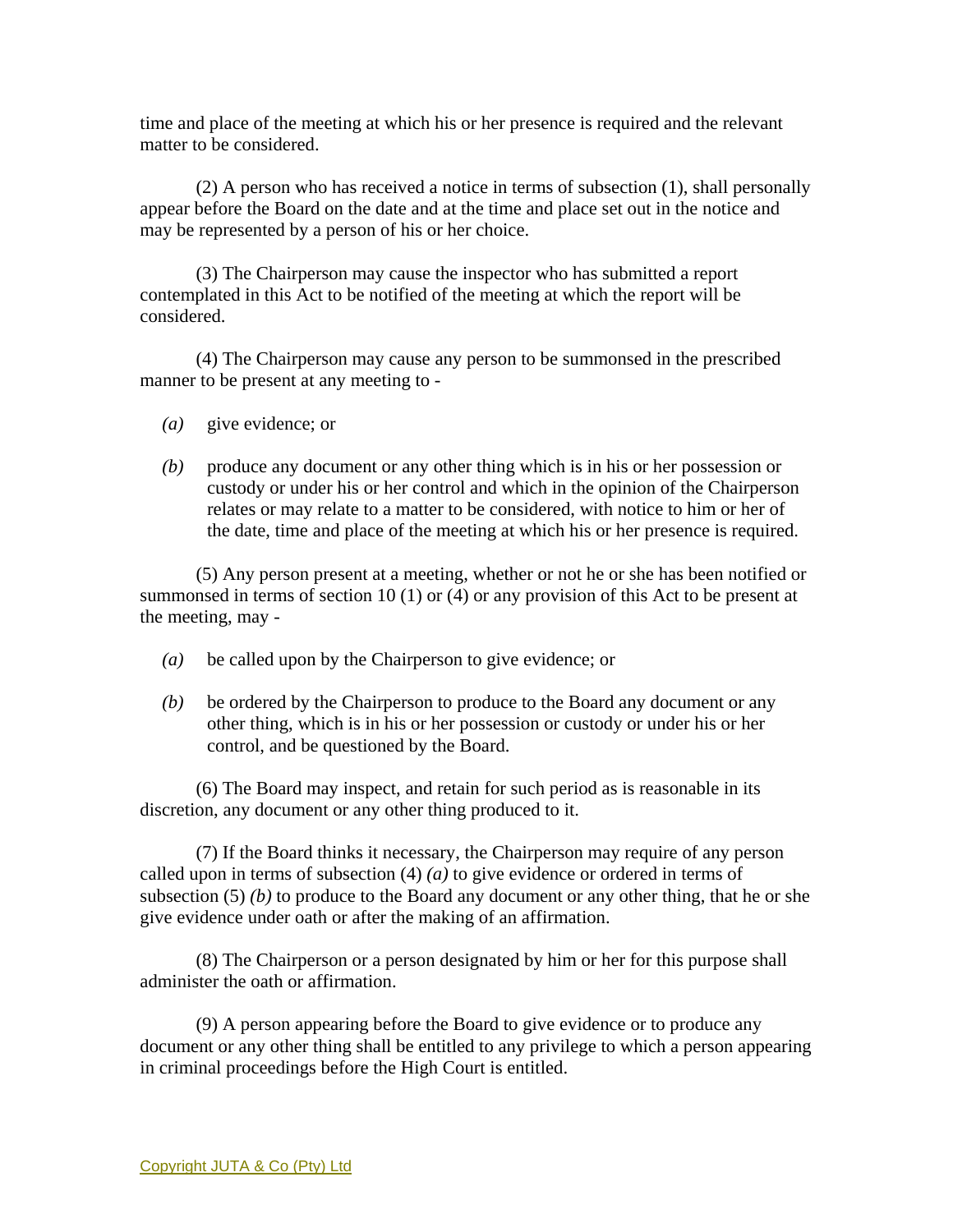time and place of the meeting at which his or her presence is required and the relevant matter to be considered.

 (2) A person who has received a notice in terms of subsection (1), shall personally appear before the Board on the date and at the time and place set out in the notice and may be represented by a person of his or her choice.

 (3) The Chairperson may cause the inspector who has submitted a report contemplated in this Act to be notified of the meeting at which the report will be considered.

 (4) The Chairperson may cause any person to be summonsed in the prescribed manner to be present at any meeting to -

- *(a)* give evidence; or
- *(b)* produce any document or any other thing which is in his or her possession or custody or under his or her control and which in the opinion of the Chairperson relates or may relate to a matter to be considered, with notice to him or her of the date, time and place of the meeting at which his or her presence is required.

 (5) Any person present at a meeting, whether or not he or she has been notified or summonsed in terms of section 10 (1) or (4) or any provision of this Act to be present at the meeting, may -

- *(a)* be called upon by the Chairperson to give evidence; or
- *(b)* be ordered by the Chairperson to produce to the Board any document or any other thing, which is in his or her possession or custody or under his or her control, and be questioned by the Board.

 (6) The Board may inspect, and retain for such period as is reasonable in its discretion, any document or any other thing produced to it.

 (7) If the Board thinks it necessary, the Chairperson may require of any person called upon in terms of subsection (4) *(a)* to give evidence or ordered in terms of subsection  $(5)$  *(b)* to produce to the Board any document or any other thing, that he or she give evidence under oath or after the making of an affirmation.

 (8) The Chairperson or a person designated by him or her for this purpose shall administer the oath or affirmation.

 (9) A person appearing before the Board to give evidence or to produce any document or any other thing shall be entitled to any privilege to which a person appearing in criminal proceedings before the High Court is entitled.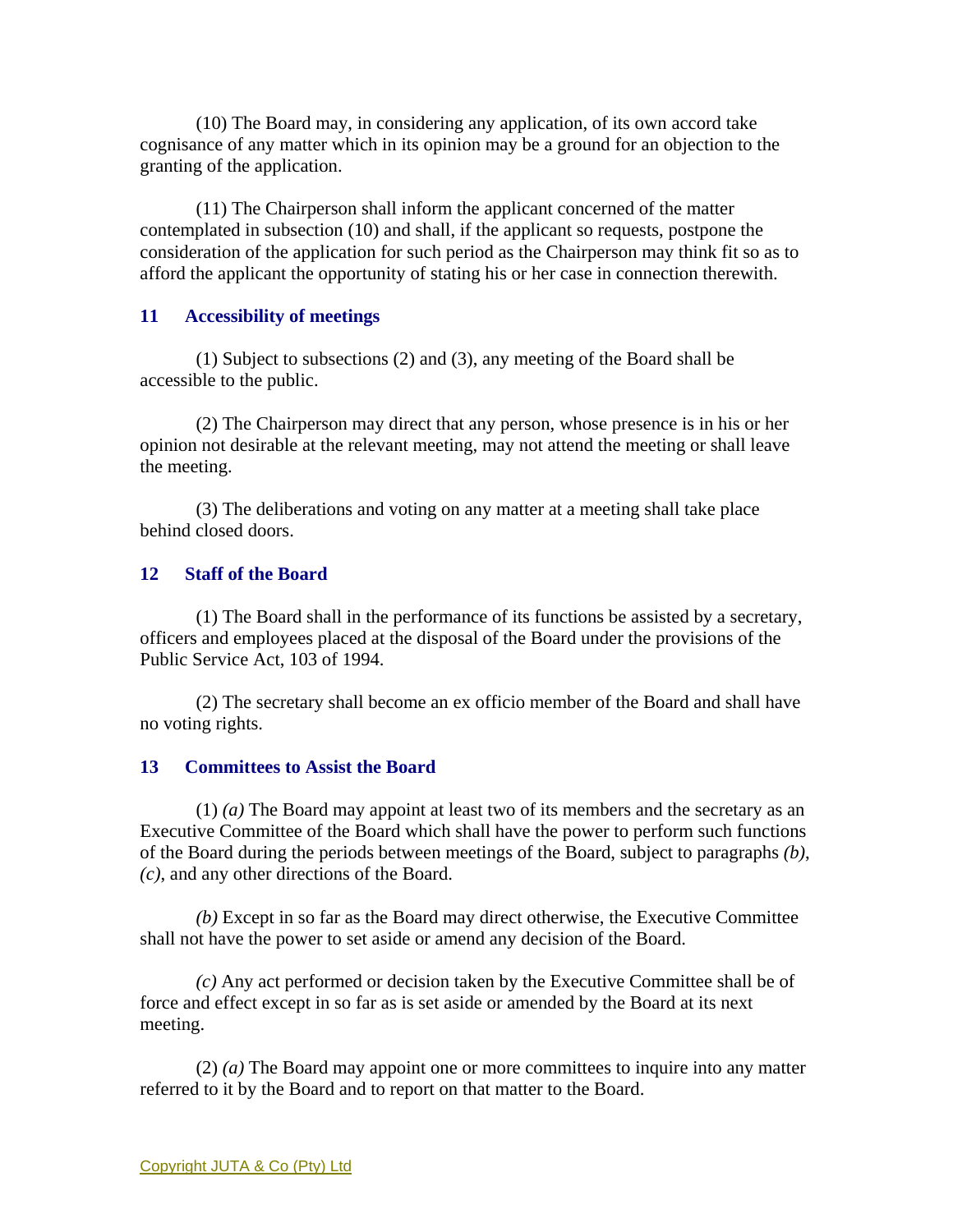(10) The Board may, in considering any application, of its own accord take cognisance of any matter which in its opinion may be a ground for an objection to the granting of the application.

 (11) The Chairperson shall inform the applicant concerned of the matter contemplated in subsection (10) and shall, if the applicant so requests, postpone the consideration of the application for such period as the Chairperson may think fit so as to afford the applicant the opportunity of stating his or her case in connection therewith.

## **11 Accessibility of meetings**

 (1) Subject to subsections (2) and (3), any meeting of the Board shall be accessible to the public.

 (2) The Chairperson may direct that any person, whose presence is in his or her opinion not desirable at the relevant meeting, may not attend the meeting or shall leave the meeting.

 (3) The deliberations and voting on any matter at a meeting shall take place behind closed doors.

## **12 Staff of the Board**

 (1) The Board shall in the performance of its functions be assisted by a secretary, officers and employees placed at the disposal of the Board under the provisions of the Public Service Act, 103 of 1994.

 (2) The secretary shall become an ex officio member of the Board and shall have no voting rights.

## **13 Committees to Assist the Board**

 (1) *(a)* The Board may appoint at least two of its members and the secretary as an Executive Committee of the Board which shall have the power to perform such functions of the Board during the periods between meetings of the Board, subject to paragraphs *(b)*, *(c)*, and any other directions of the Board.

*(b)* Except in so far as the Board may direct otherwise, the Executive Committee shall not have the power to set aside or amend any decision of the Board.

*(c)* Any act performed or decision taken by the Executive Committee shall be of force and effect except in so far as is set aside or amended by the Board at its next meeting.

 (2) *(a)* The Board may appoint one or more committees to inquire into any matter referred to it by the Board and to report on that matter to the Board.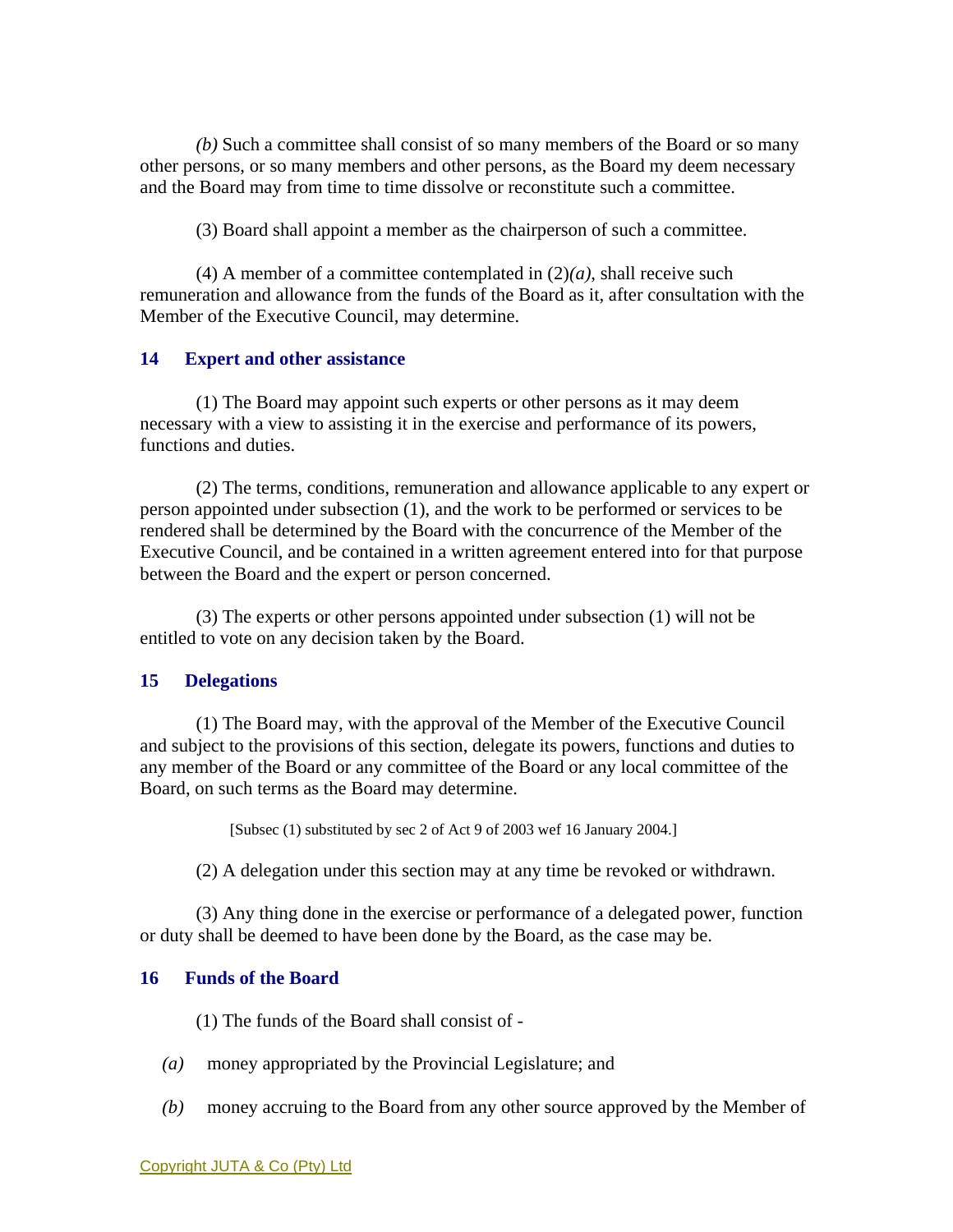*(b)* Such a committee shall consist of so many members of the Board or so many other persons, or so many members and other persons, as the Board my deem necessary and the Board may from time to time dissolve or reconstitute such a committee.

(3) Board shall appoint a member as the chairperson of such a committee.

(4) A member of a committee contemplated in  $(2)(a)$ , shall receive such remuneration and allowance from the funds of the Board as it, after consultation with the Member of the Executive Council, may determine.

## **14 Expert and other assistance**

 (1) The Board may appoint such experts or other persons as it may deem necessary with a view to assisting it in the exercise and performance of its powers, functions and duties.

 (2) The terms, conditions, remuneration and allowance applicable to any expert or person appointed under subsection (1), and the work to be performed or services to be rendered shall be determined by the Board with the concurrence of the Member of the Executive Council, and be contained in a written agreement entered into for that purpose between the Board and the expert or person concerned.

 (3) The experts or other persons appointed under subsection (1) will not be entitled to vote on any decision taken by the Board.

## **15 Delegations**

 (1) The Board may, with the approval of the Member of the Executive Council and subject to the provisions of this section, delegate its powers, functions and duties to any member of the Board or any committee of the Board or any local committee of the Board, on such terms as the Board may determine.

[Subsec (1) substituted by sec 2 of Act 9 of 2003 wef 16 January 2004.]

(2) A delegation under this section may at any time be revoked or withdrawn.

 (3) Any thing done in the exercise or performance of a delegated power, function or duty shall be deemed to have been done by the Board, as the case may be.

# **16 Funds of the Board**

(1) The funds of the Board shall consist of -

- *(a)* money appropriated by the Provincial Legislature; and
- *(b)* money accruing to the Board from any other source approved by the Member of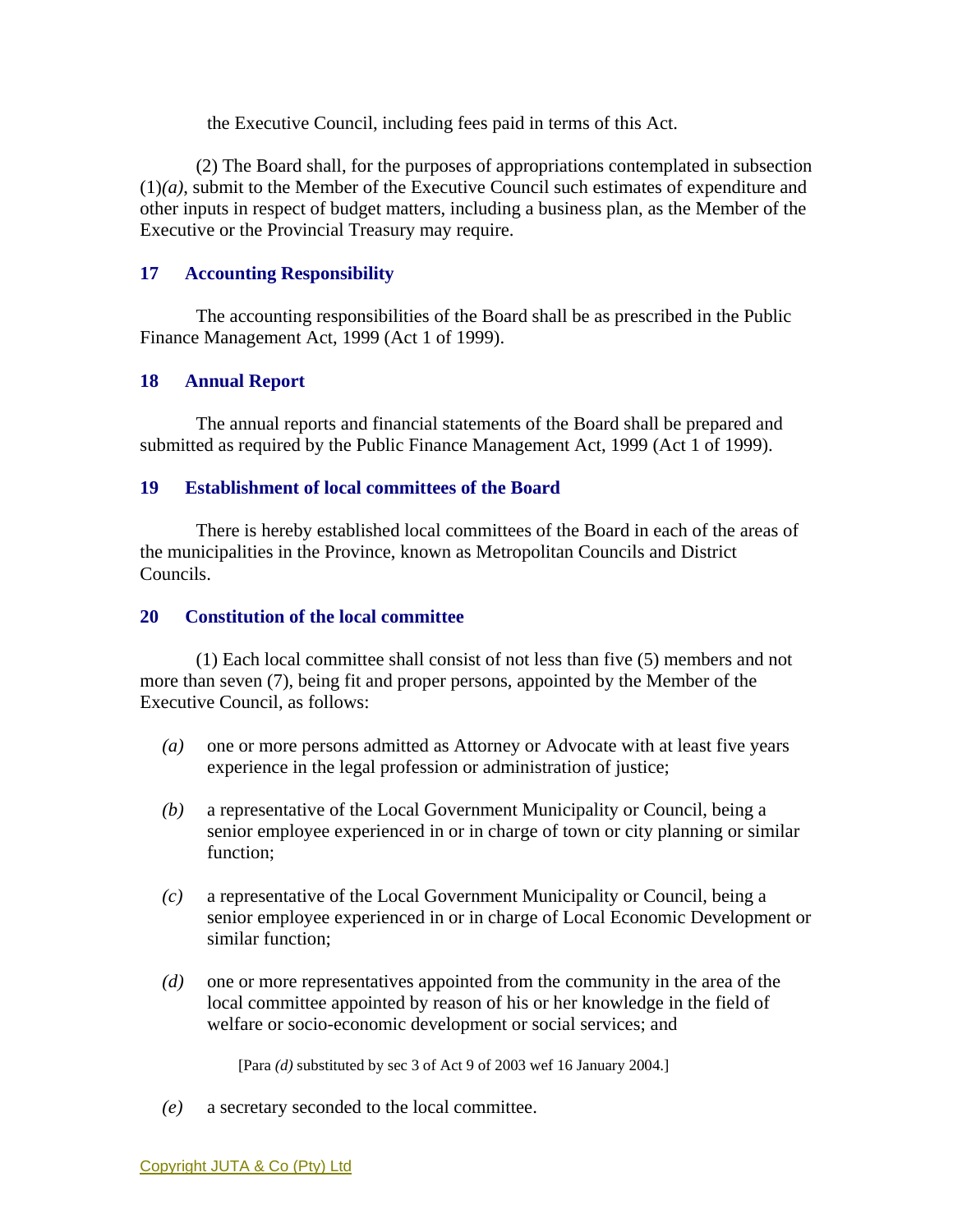the Executive Council, including fees paid in terms of this Act.

 (2) The Board shall, for the purposes of appropriations contemplated in subsection (1)*(a)*, submit to the Member of the Executive Council such estimates of expenditure and other inputs in respect of budget matters, including a business plan, as the Member of the Executive or the Provincial Treasury may require.

## **17 Accounting Responsibility**

 The accounting responsibilities of the Board shall be as prescribed in the Public Finance Management Act, 1999 (Act 1 of 1999).

## **18 Annual Report**

 The annual reports and financial statements of the Board shall be prepared and submitted as required by the Public Finance Management Act, 1999 (Act 1 of 1999).

## **19 Establishment of local committees of the Board**

 There is hereby established local committees of the Board in each of the areas of the municipalities in the Province, known as Metropolitan Councils and District Councils.

## **20 Constitution of the local committee**

 (1) Each local committee shall consist of not less than five (5) members and not more than seven (7), being fit and proper persons, appointed by the Member of the Executive Council, as follows:

- *(a)* one or more persons admitted as Attorney or Advocate with at least five years experience in the legal profession or administration of justice;
- *(b)* a representative of the Local Government Municipality or Council, being a senior employee experienced in or in charge of town or city planning or similar function;
- *(c)* a representative of the Local Government Municipality or Council, being a senior employee experienced in or in charge of Local Economic Development or similar function;
- *(d)* one or more representatives appointed from the community in the area of the local committee appointed by reason of his or her knowledge in the field of welfare or socio-economic development or social services; and

[Para *(d)* substituted by sec 3 of Act 9 of 2003 wef 16 January 2004.]

*(e)* a secretary seconded to the local committee.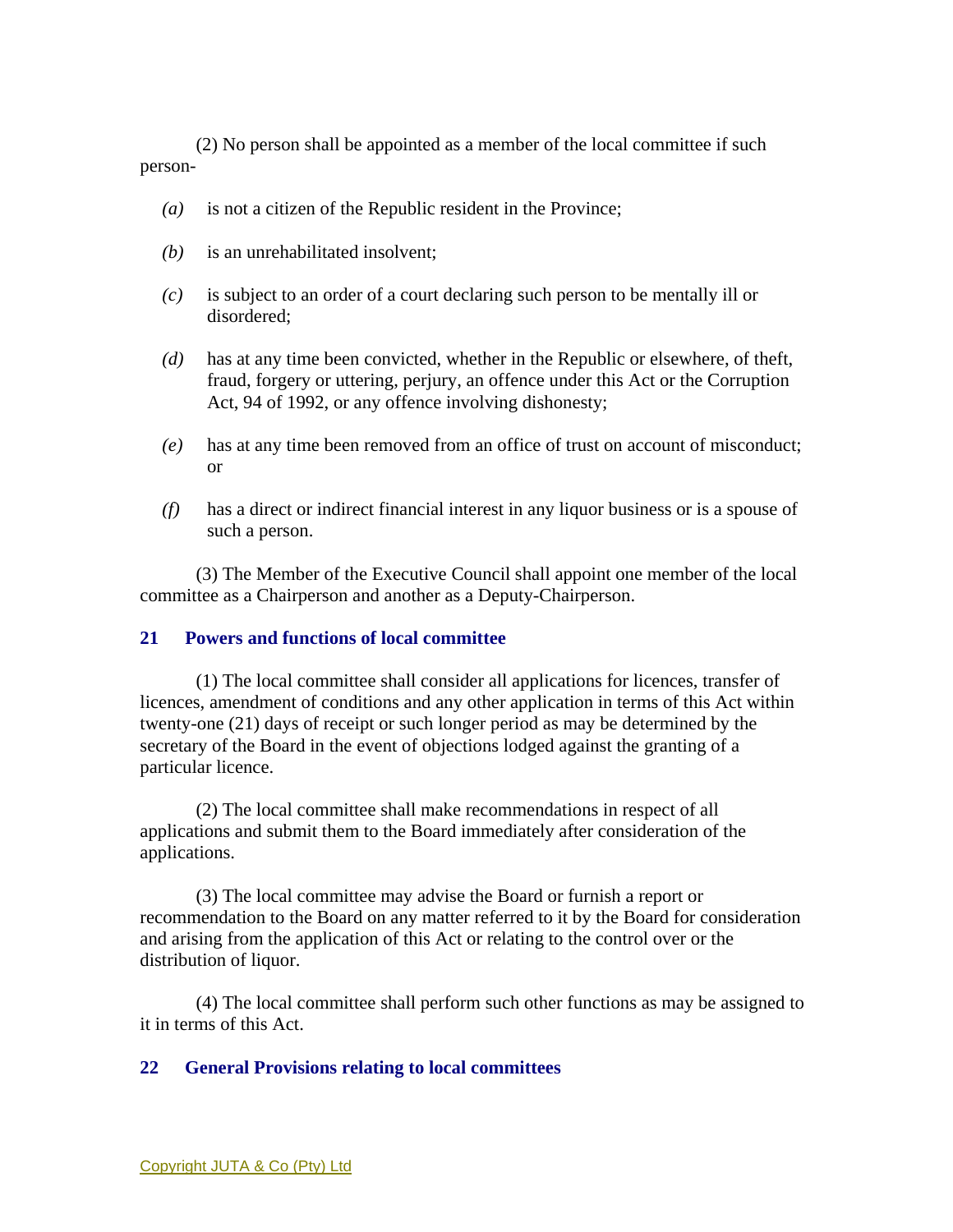(2) No person shall be appointed as a member of the local committee if such person-

- *(a)* is not a citizen of the Republic resident in the Province;
- *(b)* is an unrehabilitated insolvent;
- *(c)* is subject to an order of a court declaring such person to be mentally ill or disordered;
- *(d)* has at any time been convicted, whether in the Republic or elsewhere, of theft, fraud, forgery or uttering, perjury, an offence under this Act or the Corruption Act, 94 of 1992, or any offence involving dishonesty;
- *(e)* has at any time been removed from an office of trust on account of misconduct; or
- *(f)* has a direct or indirect financial interest in any liquor business or is a spouse of such a person.

 (3) The Member of the Executive Council shall appoint one member of the local committee as a Chairperson and another as a Deputy-Chairperson.

## **21 Powers and functions of local committee**

 (1) The local committee shall consider all applications for licences, transfer of licences, amendment of conditions and any other application in terms of this Act within twenty-one (21) days of receipt or such longer period as may be determined by the secretary of the Board in the event of objections lodged against the granting of a particular licence.

 (2) The local committee shall make recommendations in respect of all applications and submit them to the Board immediately after consideration of the applications.

 (3) The local committee may advise the Board or furnish a report or recommendation to the Board on any matter referred to it by the Board for consideration and arising from the application of this Act or relating to the control over or the distribution of liquor.

 (4) The local committee shall perform such other functions as may be assigned to it in terms of this Act.

# **22 General Provisions relating to local committees**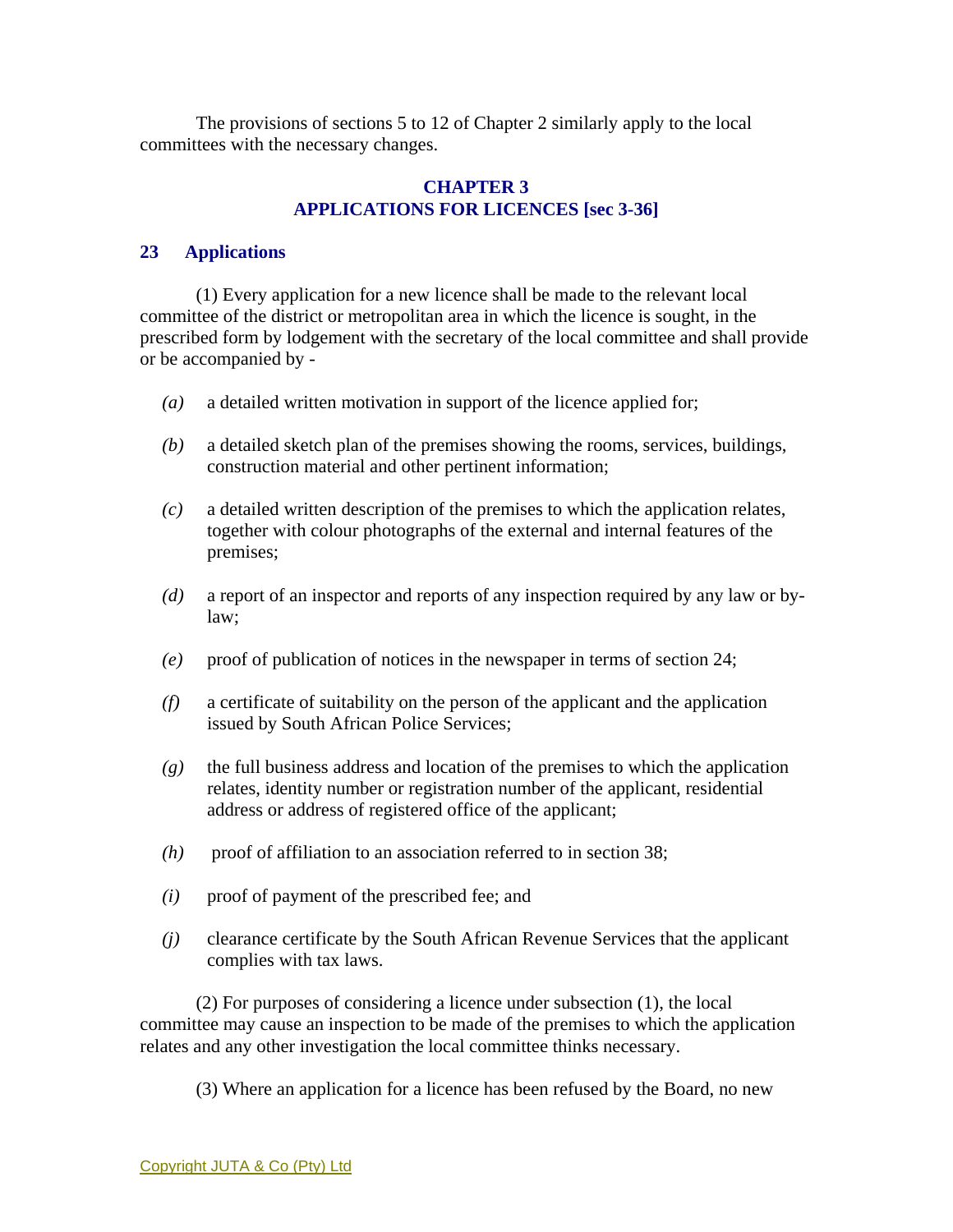The provisions of sections 5 to 12 of Chapter 2 similarly apply to the local committees with the necessary changes.

## **CHAPTER 3 APPLICATIONS FOR LICENCES [sec 3-36]**

# **23 Applications**

 (1) Every application for a new licence shall be made to the relevant local committee of the district or metropolitan area in which the licence is sought, in the prescribed form by lodgement with the secretary of the local committee and shall provide or be accompanied by -

- *(a)* a detailed written motivation in support of the licence applied for;
- *(b)* a detailed sketch plan of the premises showing the rooms, services, buildings, construction material and other pertinent information;
- *(c)* a detailed written description of the premises to which the application relates, together with colour photographs of the external and internal features of the premises;
- *(d)* a report of an inspector and reports of any inspection required by any law or bylaw;
- *(e)* proof of publication of notices in the newspaper in terms of section 24;
- *(f)* a certificate of suitability on the person of the applicant and the application issued by South African Police Services;
- *(g)* the full business address and location of the premises to which the application relates, identity number or registration number of the applicant, residential address or address of registered office of the applicant;
- *(h)* proof of affiliation to an association referred to in section 38;
- *(i)* proof of payment of the prescribed fee; and
- *(j)* clearance certificate by the South African Revenue Services that the applicant complies with tax laws.

 (2) For purposes of considering a licence under subsection (1), the local committee may cause an inspection to be made of the premises to which the application relates and any other investigation the local committee thinks necessary.

(3) Where an application for a licence has been refused by the Board, no new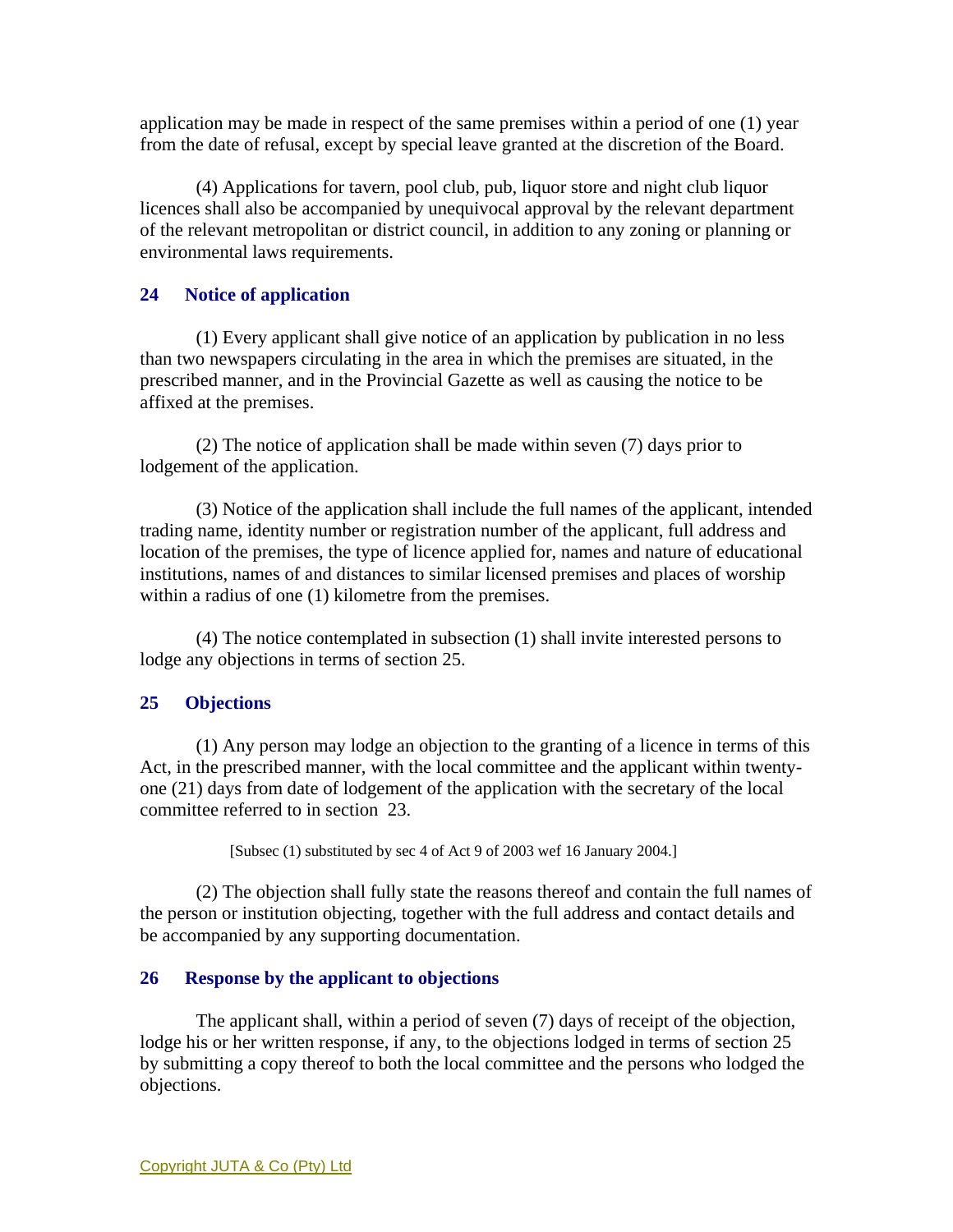application may be made in respect of the same premises within a period of one (1) year from the date of refusal, except by special leave granted at the discretion of the Board.

 (4) Applications for tavern, pool club, pub, liquor store and night club liquor licences shall also be accompanied by unequivocal approval by the relevant department of the relevant metropolitan or district council, in addition to any zoning or planning or environmental laws requirements.

# **24 Notice of application**

 (1) Every applicant shall give notice of an application by publication in no less than two newspapers circulating in the area in which the premises are situated, in the prescribed manner, and in the Provincial Gazette as well as causing the notice to be affixed at the premises.

 (2) The notice of application shall be made within seven (7) days prior to lodgement of the application.

 (3) Notice of the application shall include the full names of the applicant, intended trading name, identity number or registration number of the applicant, full address and location of the premises, the type of licence applied for, names and nature of educational institutions, names of and distances to similar licensed premises and places of worship within a radius of one (1) kilometre from the premises.

 (4) The notice contemplated in subsection (1) shall invite interested persons to lodge any objections in terms of section 25.

# **25 Objections**

 (1) Any person may lodge an objection to the granting of a licence in terms of this Act, in the prescribed manner, with the local committee and the applicant within twentyone (21) days from date of lodgement of the application with the secretary of the local committee referred to in section 23.

[Subsec (1) substituted by sec 4 of Act 9 of 2003 wef 16 January 2004.]

 (2) The objection shall fully state the reasons thereof and contain the full names of the person or institution objecting, together with the full address and contact details and be accompanied by any supporting documentation.

# **26 Response by the applicant to objections**

 The applicant shall, within a period of seven (7) days of receipt of the objection, lodge his or her written response, if any, to the objections lodged in terms of section 25 by submitting a copy thereof to both the local committee and the persons who lodged the objections.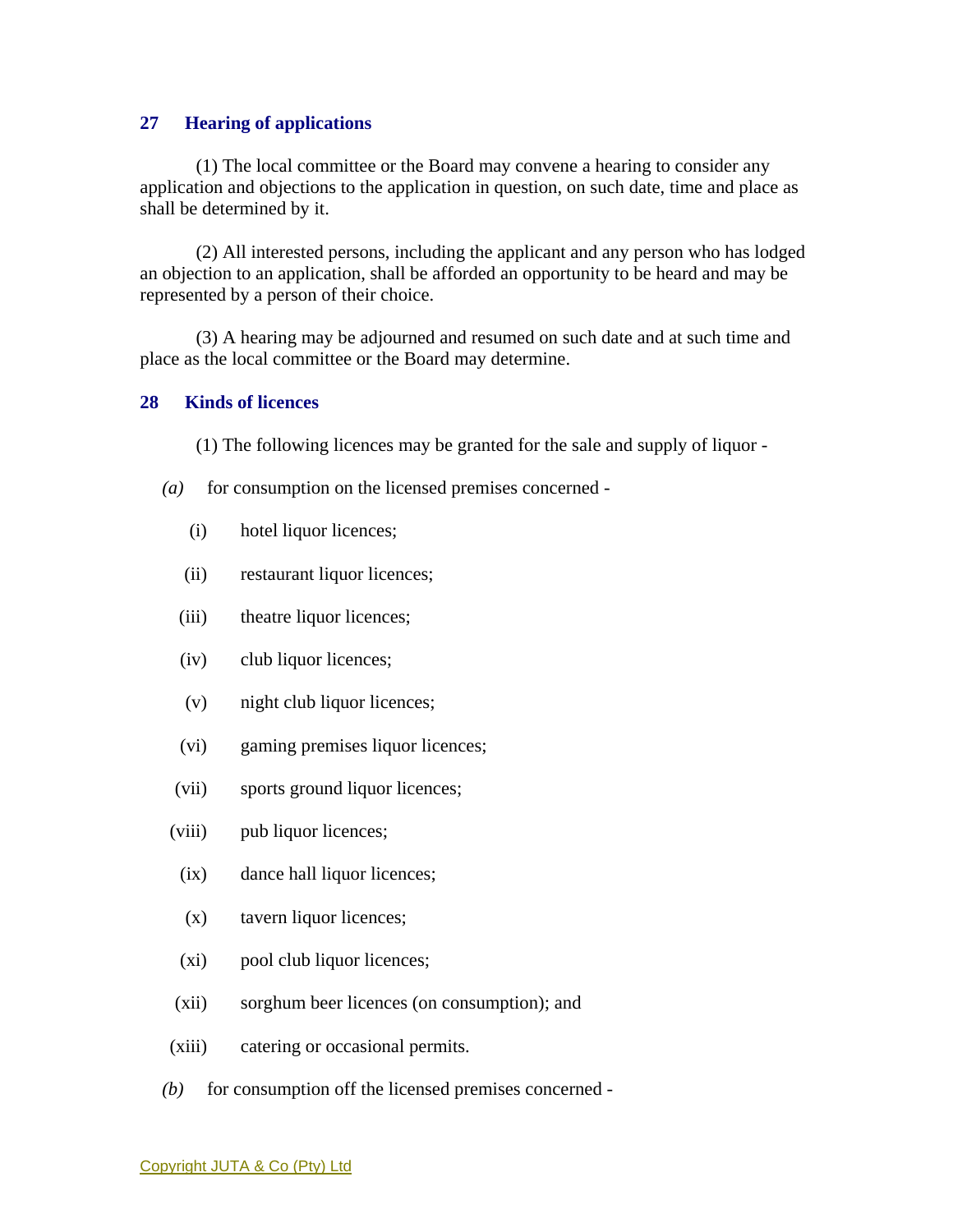## **27 Hearing of applications**

 (1) The local committee or the Board may convene a hearing to consider any application and objections to the application in question, on such date, time and place as shall be determined by it.

 (2) All interested persons, including the applicant and any person who has lodged an objection to an application, shall be afforded an opportunity to be heard and may be represented by a person of their choice.

 (3) A hearing may be adjourned and resumed on such date and at such time and place as the local committee or the Board may determine.

### **28 Kinds of licences**

(1) The following licences may be granted for the sale and supply of liquor -

- *(a)* for consumption on the licensed premises concerned
	- (i) hotel liquor licences;
	- (ii) restaurant liquor licences;
	- (iii) theatre liquor licences;
	- (iv) club liquor licences;
	- (v) night club liquor licences;
	- (vi) gaming premises liquor licences;
	- (vii) sports ground liquor licences;
	- (viii) pub liquor licences;
	- (ix) dance hall liquor licences;
	- (x) tavern liquor licences;
	- (xi) pool club liquor licences;
	- (xii) sorghum beer licences (on consumption); and
- (xiii) catering or occasional permits.
- *(b)* for consumption off the licensed premises concerned -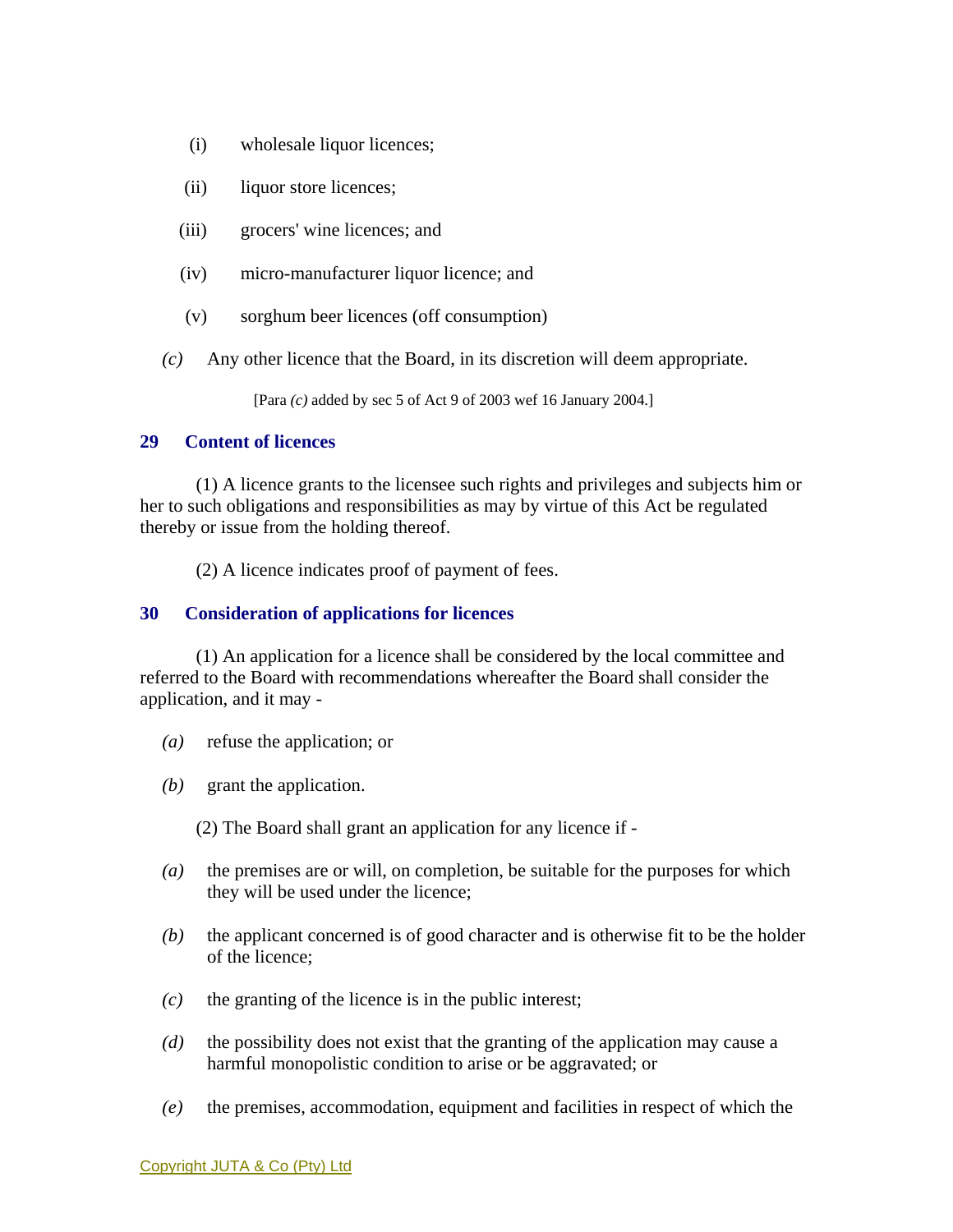- (i) wholesale liquor licences;
- (ii) liquor store licences;
- (iii) grocers' wine licences; and
- (iv) micro-manufacturer liquor licence; and
- (v) sorghum beer licences (off consumption)
- *(c)* Any other licence that the Board, in its discretion will deem appropriate.

[Para *(c)* added by sec 5 of Act 9 of 2003 wef 16 January 2004.]

## **29 Content of licences**

 (1) A licence grants to the licensee such rights and privileges and subjects him or her to such obligations and responsibilities as may by virtue of this Act be regulated thereby or issue from the holding thereof.

(2) A licence indicates proof of payment of fees.

# **30 Consideration of applications for licences**

 (1) An application for a licence shall be considered by the local committee and referred to the Board with recommendations whereafter the Board shall consider the application, and it may -

- *(a)* refuse the application; or
- *(b)* grant the application.

(2) The Board shall grant an application for any licence if -

- *(a)* the premises are or will, on completion, be suitable for the purposes for which they will be used under the licence;
- *(b)* the applicant concerned is of good character and is otherwise fit to be the holder of the licence;
- *(c)* the granting of the licence is in the public interest;
- *(d)* the possibility does not exist that the granting of the application may cause a harmful monopolistic condition to arise or be aggravated; or
- *(e)* the premises, accommodation, equipment and facilities in respect of which the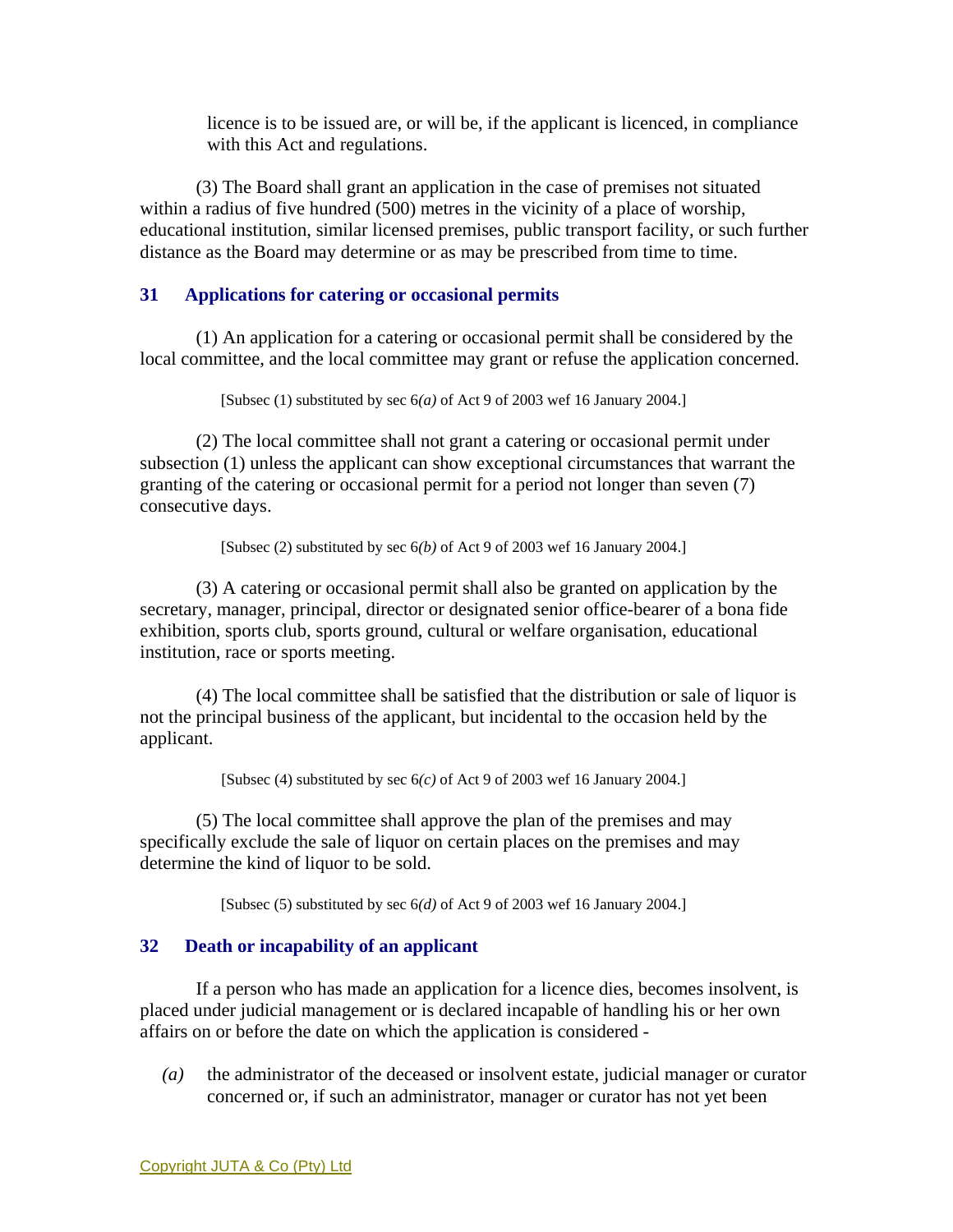licence is to be issued are, or will be, if the applicant is licenced, in compliance with this Act and regulations.

 (3) The Board shall grant an application in the case of premises not situated within a radius of five hundred (500) metres in the vicinity of a place of worship, educational institution, similar licensed premises, public transport facility, or such further distance as the Board may determine or as may be prescribed from time to time.

# **31 Applications for catering or occasional permits**

 (1) An application for a catering or occasional permit shall be considered by the local committee, and the local committee may grant or refuse the application concerned.

[Subsec (1) substituted by sec 6*(a)* of Act 9 of 2003 wef 16 January 2004.]

 (2) The local committee shall not grant a catering or occasional permit under subsection (1) unless the applicant can show exceptional circumstances that warrant the granting of the catering or occasional permit for a period not longer than seven (7) consecutive days.

[Subsec (2) substituted by sec 6*(b)* of Act 9 of 2003 wef 16 January 2004.]

 (3) A catering or occasional permit shall also be granted on application by the secretary, manager, principal, director or designated senior office-bearer of a bona fide exhibition, sports club, sports ground, cultural or welfare organisation, educational institution, race or sports meeting.

 (4) The local committee shall be satisfied that the distribution or sale of liquor is not the principal business of the applicant, but incidental to the occasion held by the applicant.

[Subsec (4) substituted by sec 6*(c)* of Act 9 of 2003 wef 16 January 2004.]

 (5) The local committee shall approve the plan of the premises and may specifically exclude the sale of liquor on certain places on the premises and may determine the kind of liquor to be sold.

[Subsec (5) substituted by sec 6*(d)* of Act 9 of 2003 wef 16 January 2004.]

# **32 Death or incapability of an applicant**

 If a person who has made an application for a licence dies, becomes insolvent, is placed under judicial management or is declared incapable of handling his or her own affairs on or before the date on which the application is considered -

*(a)* the administrator of the deceased or insolvent estate, judicial manager or curator concerned or, if such an administrator, manager or curator has not yet been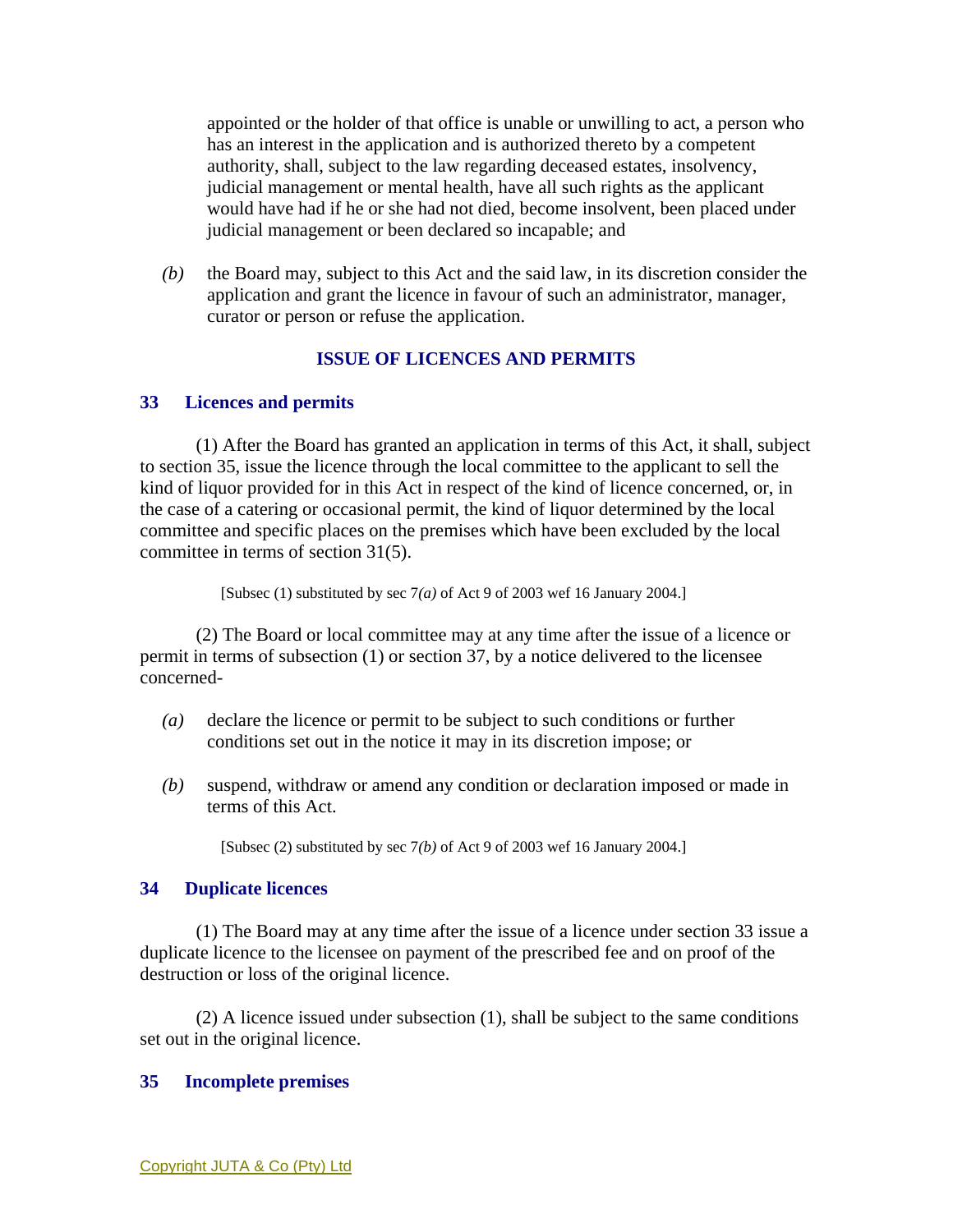appointed or the holder of that office is unable or unwilling to act, a person who has an interest in the application and is authorized thereto by a competent authority, shall, subject to the law regarding deceased estates, insolvency, judicial management or mental health, have all such rights as the applicant would have had if he or she had not died, become insolvent, been placed under judicial management or been declared so incapable; and

*(b)* the Board may, subject to this Act and the said law, in its discretion consider the application and grant the licence in favour of such an administrator, manager, curator or person or refuse the application.

# **ISSUE OF LICENCES AND PERMITS**

### **33 Licences and permits**

 (1) After the Board has granted an application in terms of this Act, it shall, subject to section 35, issue the licence through the local committee to the applicant to sell the kind of liquor provided for in this Act in respect of the kind of licence concerned, or, in the case of a catering or occasional permit, the kind of liquor determined by the local committee and specific places on the premises which have been excluded by the local committee in terms of section 31(5).

[Subsec (1) substituted by sec 7*(a)* of Act 9 of 2003 wef 16 January 2004.]

 (2) The Board or local committee may at any time after the issue of a licence or permit in terms of subsection (1) or section 37, by a notice delivered to the licensee concerned-

- *(a)* declare the licence or permit to be subject to such conditions or further conditions set out in the notice it may in its discretion impose; or
- *(b)* suspend, withdraw or amend any condition or declaration imposed or made in terms of this Act.

[Subsec (2) substituted by sec 7*(b)* of Act 9 of 2003 wef 16 January 2004.]

#### **34 Duplicate licences**

 (1) The Board may at any time after the issue of a licence under section 33 issue a duplicate licence to the licensee on payment of the prescribed fee and on proof of the destruction or loss of the original licence.

 (2) A licence issued under subsection (1), shall be subject to the same conditions set out in the original licence.

#### **35 Incomplete premises**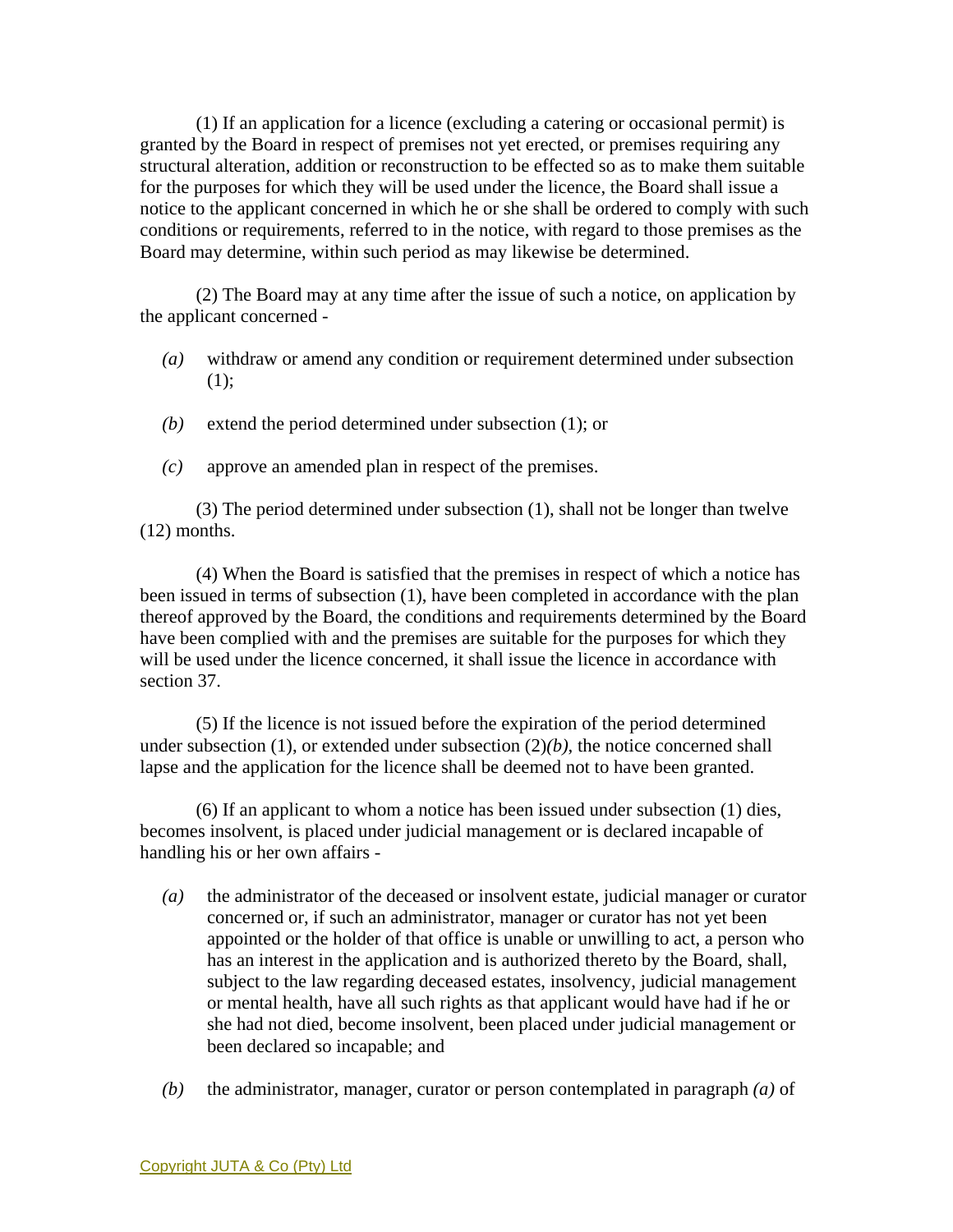(1) If an application for a licence (excluding a catering or occasional permit) is granted by the Board in respect of premises not yet erected, or premises requiring any structural alteration, addition or reconstruction to be effected so as to make them suitable for the purposes for which they will be used under the licence, the Board shall issue a notice to the applicant concerned in which he or she shall be ordered to comply with such conditions or requirements, referred to in the notice, with regard to those premises as the Board may determine, within such period as may likewise be determined.

 (2) The Board may at any time after the issue of such a notice, on application by the applicant concerned -

- *(a)* withdraw or amend any condition or requirement determined under subsection  $(1);$
- *(b)* extend the period determined under subsection (1); or
- *(c)* approve an amended plan in respect of the premises.

 (3) The period determined under subsection (1), shall not be longer than twelve (12) months.

 (4) When the Board is satisfied that the premises in respect of which a notice has been issued in terms of subsection (1), have been completed in accordance with the plan thereof approved by the Board, the conditions and requirements determined by the Board have been complied with and the premises are suitable for the purposes for which they will be used under the licence concerned, it shall issue the licence in accordance with section 37.

 (5) If the licence is not issued before the expiration of the period determined under subsection  $(1)$ , or extended under subsection  $(2)(b)$ , the notice concerned shall lapse and the application for the licence shall be deemed not to have been granted.

 (6) If an applicant to whom a notice has been issued under subsection (1) dies, becomes insolvent, is placed under judicial management or is declared incapable of handling his or her own affairs -

- *(a)* the administrator of the deceased or insolvent estate, judicial manager or curator concerned or, if such an administrator, manager or curator has not yet been appointed or the holder of that office is unable or unwilling to act, a person who has an interest in the application and is authorized thereto by the Board, shall, subject to the law regarding deceased estates, insolvency, judicial management or mental health, have all such rights as that applicant would have had if he or she had not died, become insolvent, been placed under judicial management or been declared so incapable; and
- *(b)* the administrator, manager, curator or person contemplated in paragraph *(a)* of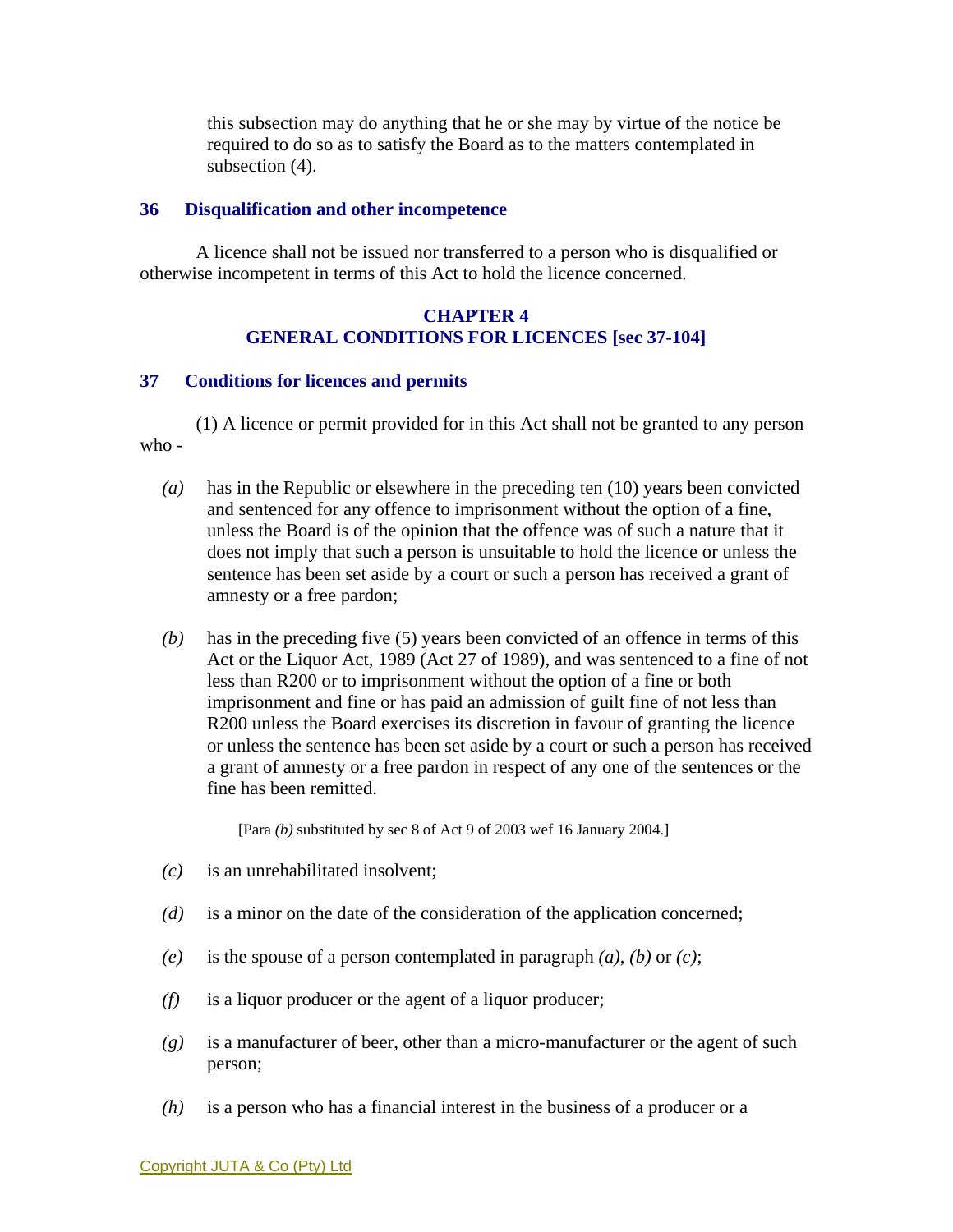this subsection may do anything that he or she may by virtue of the notice be required to do so as to satisfy the Board as to the matters contemplated in subsection (4).

#### **36 Disqualification and other incompetence**

 A licence shall not be issued nor transferred to a person who is disqualified or otherwise incompetent in terms of this Act to hold the licence concerned.

## **CHAPTER 4 GENERAL CONDITIONS FOR LICENCES [sec 37-104]**

#### **37 Conditions for licences and permits**

 (1) A licence or permit provided for in this Act shall not be granted to any person who -

- *(a)* has in the Republic or elsewhere in the preceding ten (10) years been convicted and sentenced for any offence to imprisonment without the option of a fine, unless the Board is of the opinion that the offence was of such a nature that it does not imply that such a person is unsuitable to hold the licence or unless the sentence has been set aside by a court or such a person has received a grant of amnesty or a free pardon;
- *(b)* has in the preceding five (5) years been convicted of an offence in terms of this Act or the Liquor Act, 1989 (Act 27 of 1989), and was sentenced to a fine of not less than R200 or to imprisonment without the option of a fine or both imprisonment and fine or has paid an admission of guilt fine of not less than R200 unless the Board exercises its discretion in favour of granting the licence or unless the sentence has been set aside by a court or such a person has received a grant of amnesty or a free pardon in respect of any one of the sentences or the fine has been remitted.

[Para *(b)* substituted by sec 8 of Act 9 of 2003 wef 16 January 2004.]

- *(c)* is an unrehabilitated insolvent;
- *(d)* is a minor on the date of the consideration of the application concerned;
- *(e)* is the spouse of a person contemplated in paragraph *(a)*, *(b)* or *(c)*;
- *(f)* is a liquor producer or the agent of a liquor producer;
- *(g)* is a manufacturer of beer, other than a micro-manufacturer or the agent of such person;
- *(h)* is a person who has a financial interest in the business of a producer or a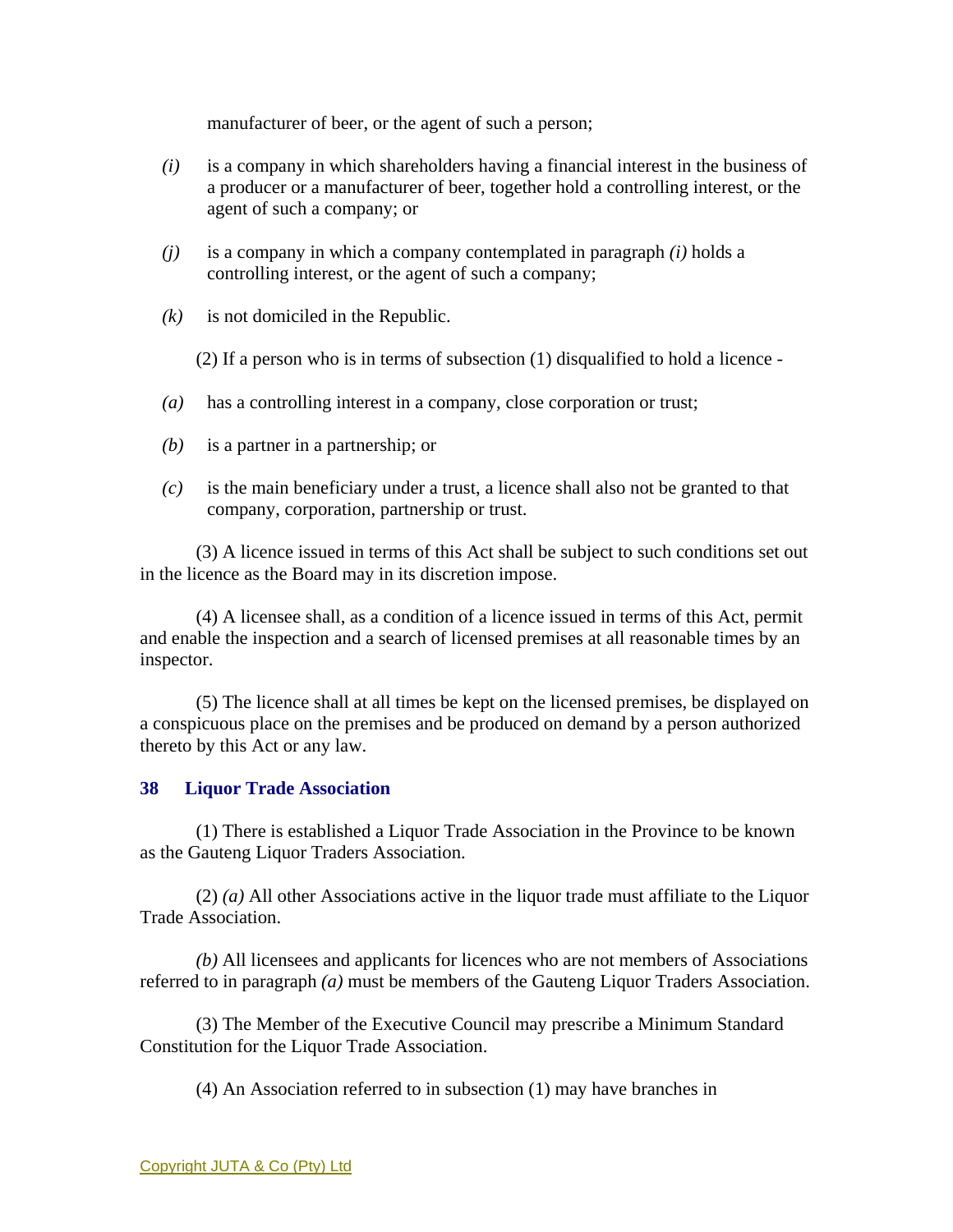manufacturer of beer, or the agent of such a person;

- *(i)* is a company in which shareholders having a financial interest in the business of a producer or a manufacturer of beer, together hold a controlling interest, or the agent of such a company; or
- *(j)* is a company in which a company contemplated in paragraph *(i)* holds a controlling interest, or the agent of such a company;
- *(k)* is not domiciled in the Republic.

(2) If a person who is in terms of subsection (1) disqualified to hold a licence -

- *(a)* has a controlling interest in a company, close corporation or trust;
- *(b)* is a partner in a partnership; or
- *(c)* is the main beneficiary under a trust, a licence shall also not be granted to that company, corporation, partnership or trust.

 (3) A licence issued in terms of this Act shall be subject to such conditions set out in the licence as the Board may in its discretion impose.

 (4) A licensee shall, as a condition of a licence issued in terms of this Act, permit and enable the inspection and a search of licensed premises at all reasonable times by an inspector.

 (5) The licence shall at all times be kept on the licensed premises, be displayed on a conspicuous place on the premises and be produced on demand by a person authorized thereto by this Act or any law.

# **38 Liquor Trade Association**

 (1) There is established a Liquor Trade Association in the Province to be known as the Gauteng Liquor Traders Association.

 (2) *(a)* All other Associations active in the liquor trade must affiliate to the Liquor Trade Association.

*(b)* All licensees and applicants for licences who are not members of Associations referred to in paragraph *(a)* must be members of the Gauteng Liquor Traders Association.

 (3) The Member of the Executive Council may prescribe a Minimum Standard Constitution for the Liquor Trade Association.

(4) An Association referred to in subsection (1) may have branches in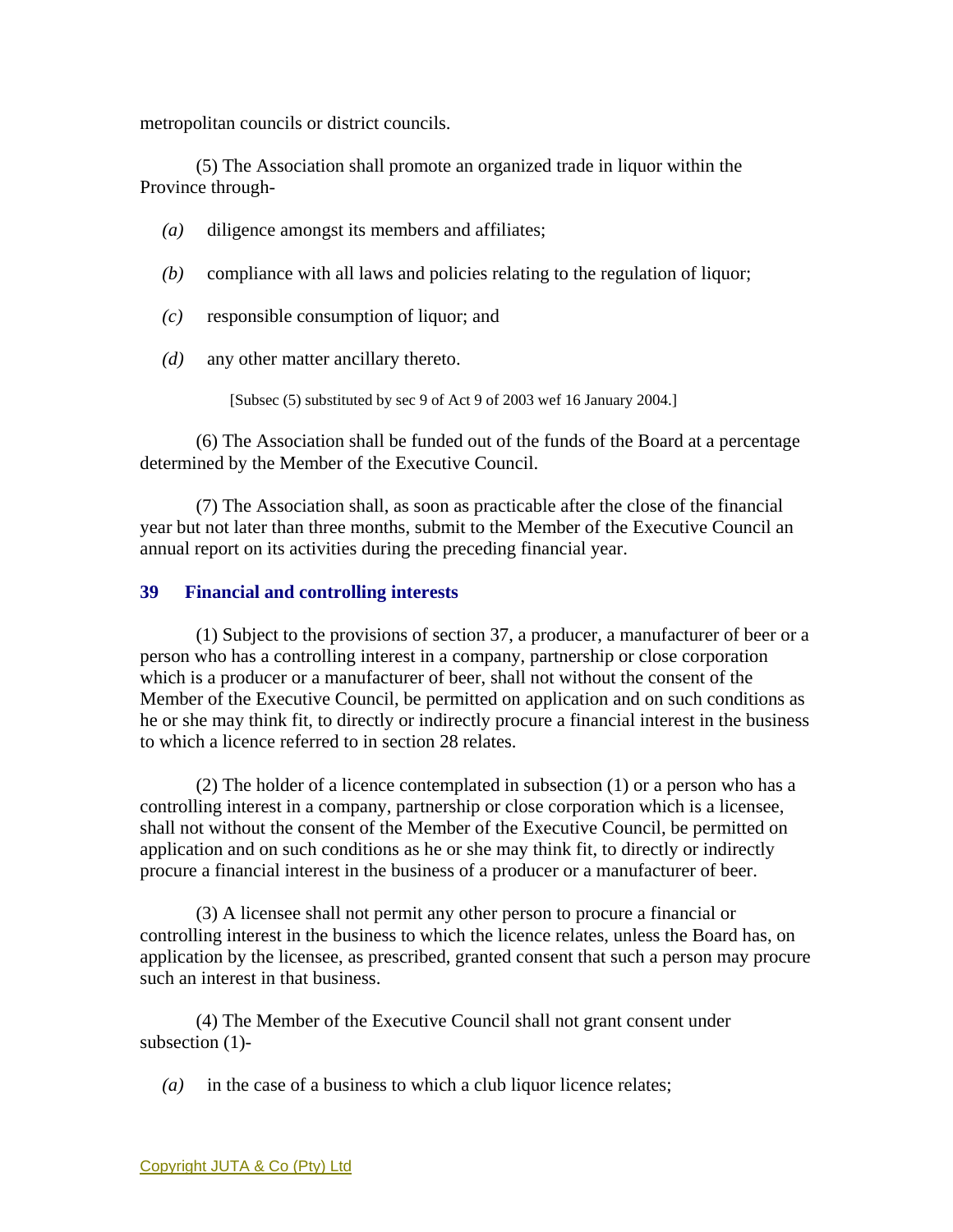metropolitan councils or district councils.

 (5) The Association shall promote an organized trade in liquor within the Province through-

- *(a)* diligence amongst its members and affiliates;
- *(b)* compliance with all laws and policies relating to the regulation of liquor;
- *(c)* responsible consumption of liquor; and
- *(d)* any other matter ancillary thereto.

[Subsec (5) substituted by sec 9 of Act 9 of 2003 wef 16 January 2004.]

 (6) The Association shall be funded out of the funds of the Board at a percentage determined by the Member of the Executive Council.

 (7) The Association shall, as soon as practicable after the close of the financial year but not later than three months, submit to the Member of the Executive Council an annual report on its activities during the preceding financial year.

## **39 Financial and controlling interests**

 (1) Subject to the provisions of section 37, a producer, a manufacturer of beer or a person who has a controlling interest in a company, partnership or close corporation which is a producer or a manufacturer of beer, shall not without the consent of the Member of the Executive Council, be permitted on application and on such conditions as he or she may think fit, to directly or indirectly procure a financial interest in the business to which a licence referred to in section 28 relates.

 (2) The holder of a licence contemplated in subsection (1) or a person who has a controlling interest in a company, partnership or close corporation which is a licensee, shall not without the consent of the Member of the Executive Council, be permitted on application and on such conditions as he or she may think fit, to directly or indirectly procure a financial interest in the business of a producer or a manufacturer of beer.

 (3) A licensee shall not permit any other person to procure a financial or controlling interest in the business to which the licence relates, unless the Board has, on application by the licensee, as prescribed, granted consent that such a person may procure such an interest in that business.

 (4) The Member of the Executive Council shall not grant consent under subsection (1)-

*(a)* in the case of a business to which a club liquor licence relates;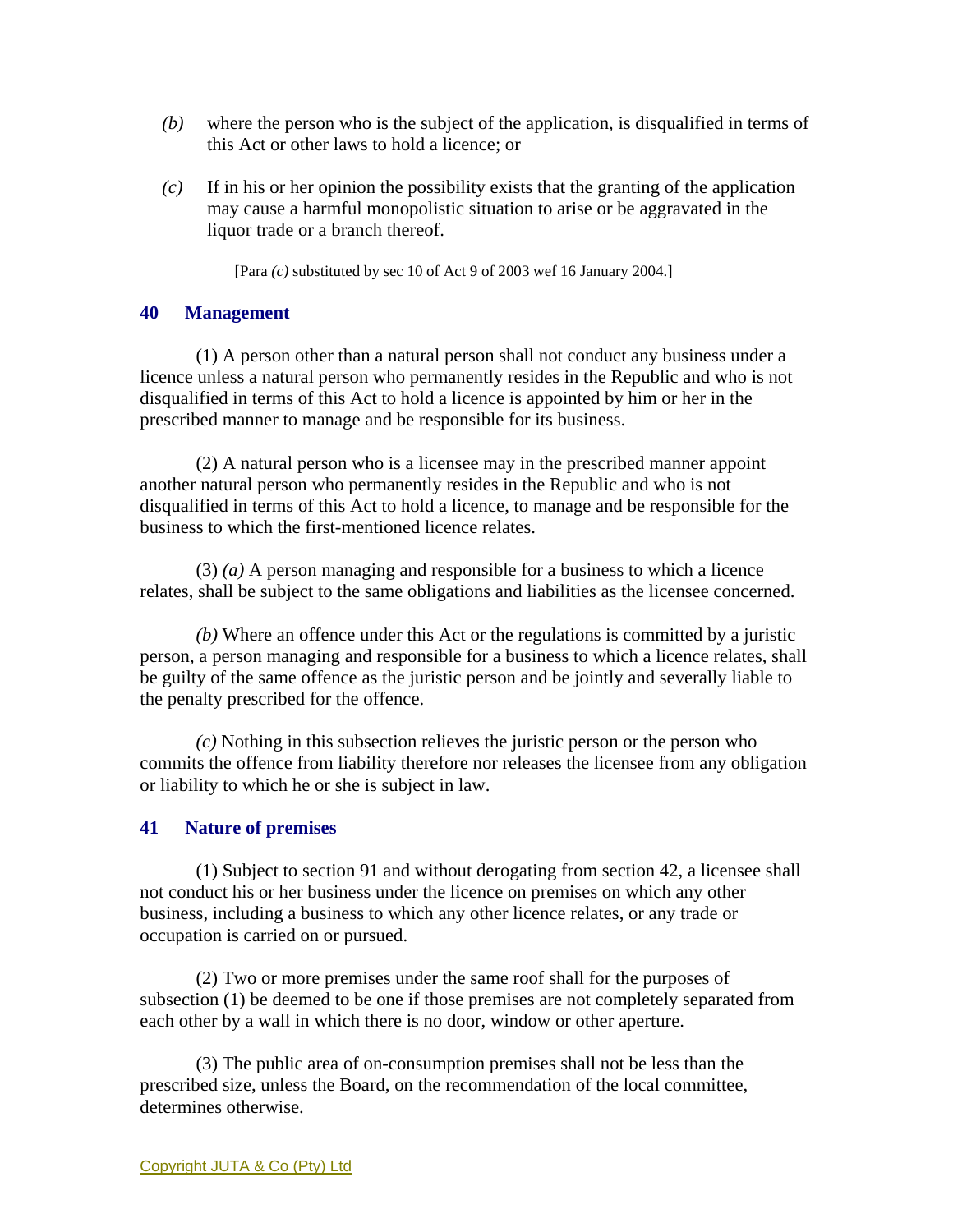- *(b)* where the person who is the subject of the application, is disqualified in terms of this Act or other laws to hold a licence; or
- *(c)* If in his or her opinion the possibility exists that the granting of the application may cause a harmful monopolistic situation to arise or be aggravated in the liquor trade or a branch thereof.

[Para *(c)* substituted by sec 10 of Act 9 of 2003 wef 16 January 2004.]

### **40 Management**

 (1) A person other than a natural person shall not conduct any business under a licence unless a natural person who permanently resides in the Republic and who is not disqualified in terms of this Act to hold a licence is appointed by him or her in the prescribed manner to manage and be responsible for its business.

 (2) A natural person who is a licensee may in the prescribed manner appoint another natural person who permanently resides in the Republic and who is not disqualified in terms of this Act to hold a licence, to manage and be responsible for the business to which the first-mentioned licence relates.

 (3) *(a)* A person managing and responsible for a business to which a licence relates, shall be subject to the same obligations and liabilities as the licensee concerned.

*(b)* Where an offence under this Act or the regulations is committed by a juristic person, a person managing and responsible for a business to which a licence relates, shall be guilty of the same offence as the juristic person and be jointly and severally liable to the penalty prescribed for the offence.

*(c)* Nothing in this subsection relieves the juristic person or the person who commits the offence from liability therefore nor releases the licensee from any obligation or liability to which he or she is subject in law.

## **41 Nature of premises**

 (1) Subject to section 91 and without derogating from section 42, a licensee shall not conduct his or her business under the licence on premises on which any other business, including a business to which any other licence relates, or any trade or occupation is carried on or pursued.

 (2) Two or more premises under the same roof shall for the purposes of subsection (1) be deemed to be one if those premises are not completely separated from each other by a wall in which there is no door, window or other aperture.

 (3) The public area of on-consumption premises shall not be less than the prescribed size, unless the Board, on the recommendation of the local committee, determines otherwise.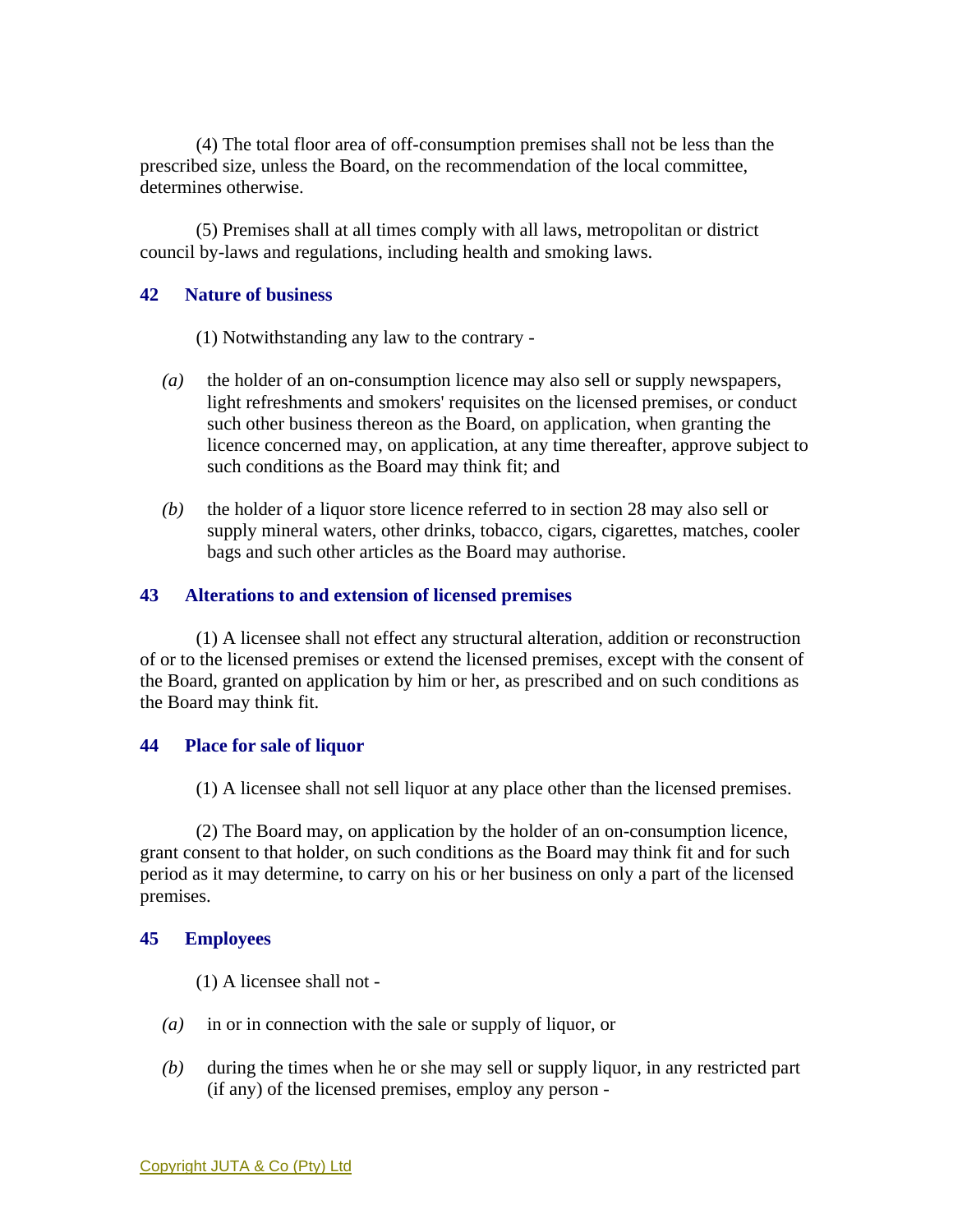(4) The total floor area of off-consumption premises shall not be less than the prescribed size, unless the Board, on the recommendation of the local committee, determines otherwise.

 (5) Premises shall at all times comply with all laws, metropolitan or district council by-laws and regulations, including health and smoking laws.

### **42 Nature of business**

(1) Notwithstanding any law to the contrary -

- *(a)* the holder of an on-consumption licence may also sell or supply newspapers, light refreshments and smokers' requisites on the licensed premises, or conduct such other business thereon as the Board, on application, when granting the licence concerned may, on application, at any time thereafter, approve subject to such conditions as the Board may think fit; and
- *(b)* the holder of a liquor store licence referred to in section 28 may also sell or supply mineral waters, other drinks, tobacco, cigars, cigarettes, matches, cooler bags and such other articles as the Board may authorise.

#### **43 Alterations to and extension of licensed premises**

 (1) A licensee shall not effect any structural alteration, addition or reconstruction of or to the licensed premises or extend the licensed premises, except with the consent of the Board, granted on application by him or her, as prescribed and on such conditions as the Board may think fit.

#### **44 Place for sale of liquor**

(1) A licensee shall not sell liquor at any place other than the licensed premises.

 (2) The Board may, on application by the holder of an on-consumption licence, grant consent to that holder, on such conditions as the Board may think fit and for such period as it may determine, to carry on his or her business on only a part of the licensed premises.

#### **45 Employees**

(1) A licensee shall not -

- *(a)* in or in connection with the sale or supply of liquor, or
- *(b)* during the times when he or she may sell or supply liquor, in any restricted part (if any) of the licensed premises, employ any person -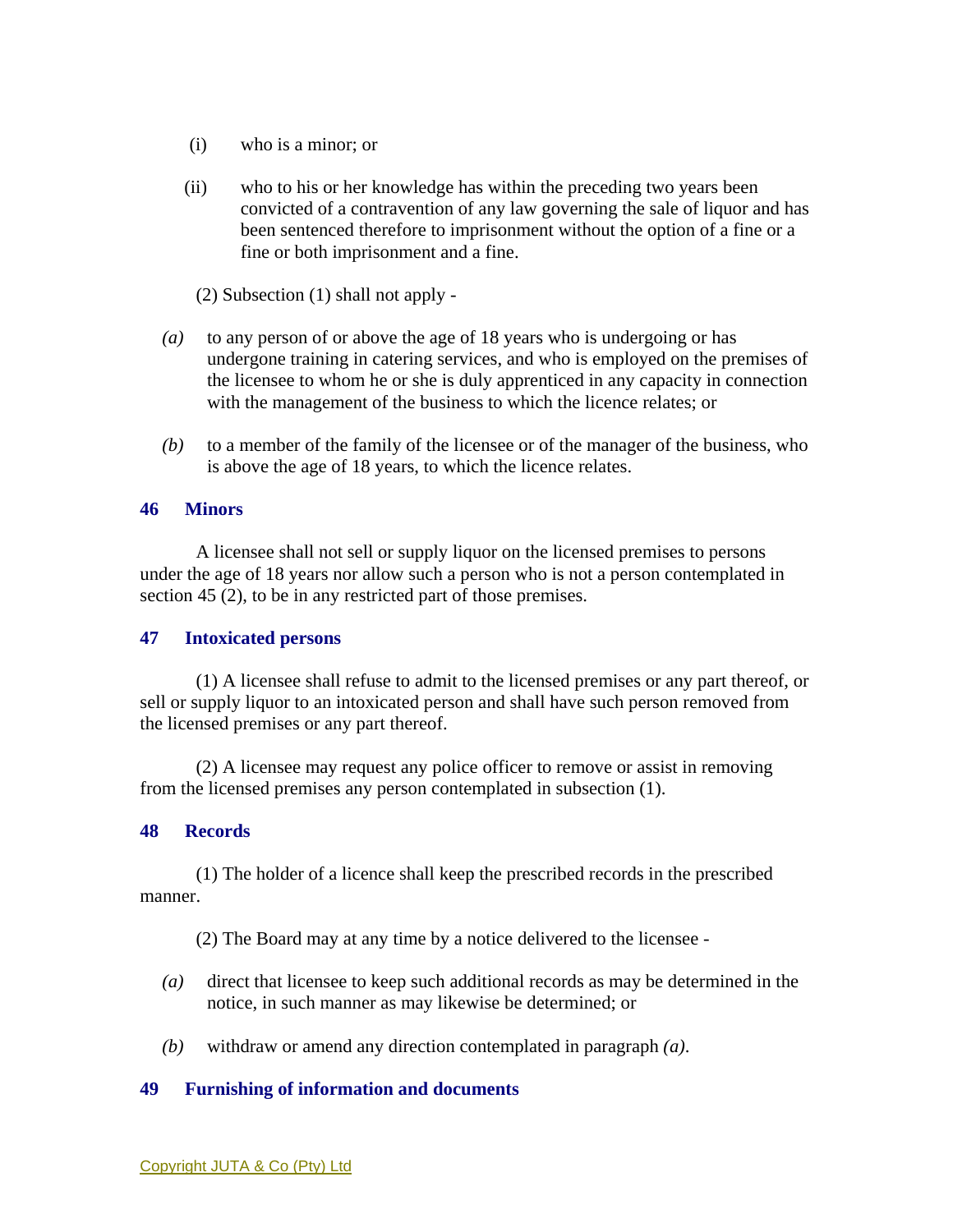- (i) who is a minor; or
- (ii) who to his or her knowledge has within the preceding two years been convicted of a contravention of any law governing the sale of liquor and has been sentenced therefore to imprisonment without the option of a fine or a fine or both imprisonment and a fine.
	- (2) Subsection (1) shall not apply -
- *(a)* to any person of or above the age of 18 years who is undergoing or has undergone training in catering services, and who is employed on the premises of the licensee to whom he or she is duly apprenticed in any capacity in connection with the management of the business to which the licence relates; or
- *(b)* to a member of the family of the licensee or of the manager of the business, who is above the age of 18 years, to which the licence relates.

#### **46 Minors**

 A licensee shall not sell or supply liquor on the licensed premises to persons under the age of 18 years nor allow such a person who is not a person contemplated in section 45 (2), to be in any restricted part of those premises.

#### **47 Intoxicated persons**

 (1) A licensee shall refuse to admit to the licensed premises or any part thereof, or sell or supply liquor to an intoxicated person and shall have such person removed from the licensed premises or any part thereof.

 (2) A licensee may request any police officer to remove or assist in removing from the licensed premises any person contemplated in subsection (1).

### **48 Records**

 (1) The holder of a licence shall keep the prescribed records in the prescribed manner.

- (2) The Board may at any time by a notice delivered to the licensee -
- *(a)* direct that licensee to keep such additional records as may be determined in the notice, in such manner as may likewise be determined; or
- *(b)* withdraw or amend any direction contemplated in paragraph *(a)*.

#### **49 Furnishing of information and documents**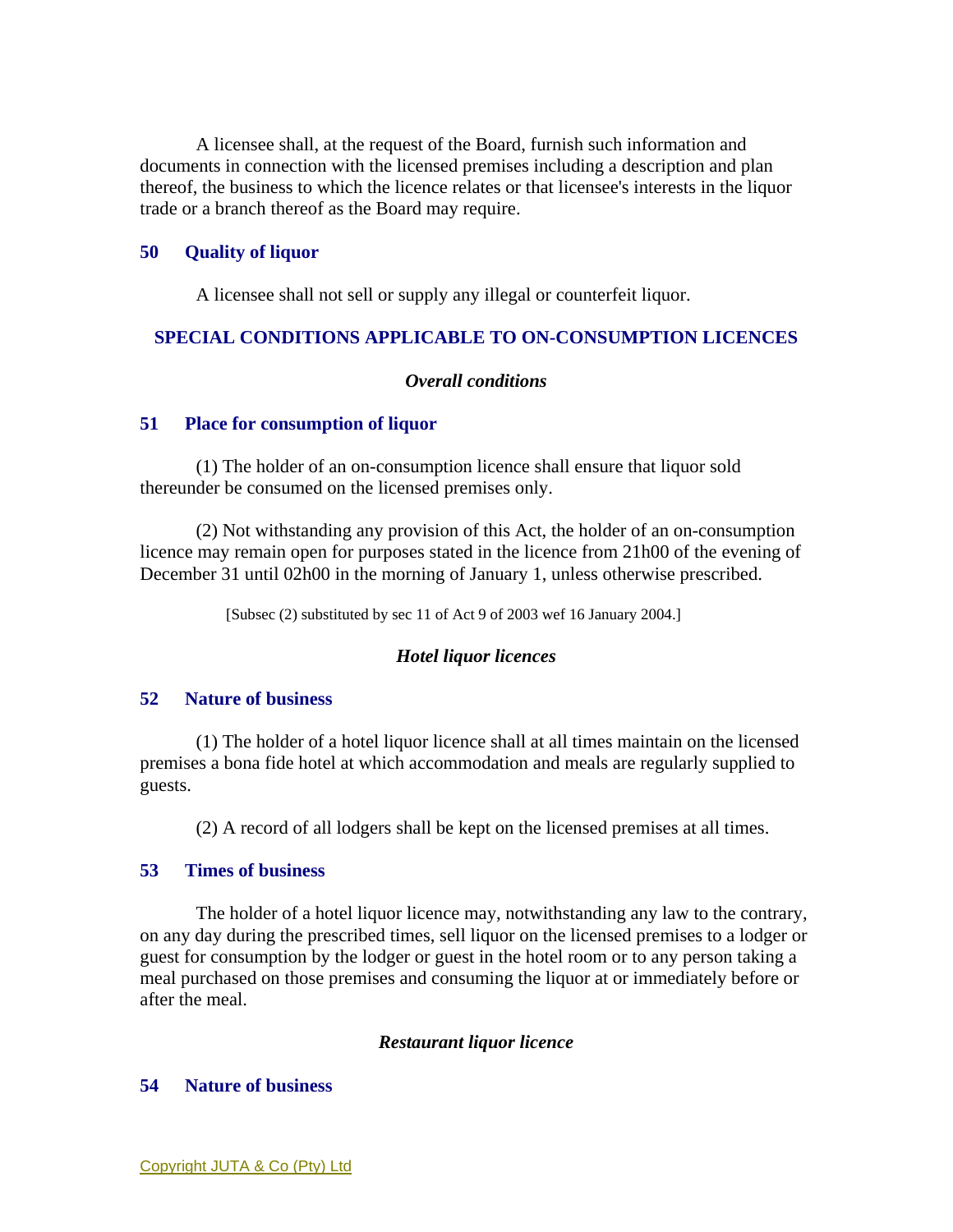A licensee shall, at the request of the Board, furnish such information and documents in connection with the licensed premises including a description and plan thereof, the business to which the licence relates or that licensee's interests in the liquor trade or a branch thereof as the Board may require.

## **50 Quality of liquor**

A licensee shall not sell or supply any illegal or counterfeit liquor.

#### **SPECIAL CONDITIONS APPLICABLE TO ON-CONSUMPTION LICENCES**

### *Overall conditions*

#### **51 Place for consumption of liquor**

 (1) The holder of an on-consumption licence shall ensure that liquor sold thereunder be consumed on the licensed premises only.

 (2) Not withstanding any provision of this Act, the holder of an on-consumption licence may remain open for purposes stated in the licence from 21h00 of the evening of December 31 until 02h00 in the morning of January 1, unless otherwise prescribed.

[Subsec (2) substituted by sec 11 of Act 9 of 2003 wef 16 January 2004.]

#### *Hotel liquor licences*

#### **52 Nature of business**

 (1) The holder of a hotel liquor licence shall at all times maintain on the licensed premises a bona fide hotel at which accommodation and meals are regularly supplied to guests.

(2) A record of all lodgers shall be kept on the licensed premises at all times.

#### **53 Times of business**

 The holder of a hotel liquor licence may, notwithstanding any law to the contrary, on any day during the prescribed times, sell liquor on the licensed premises to a lodger or guest for consumption by the lodger or guest in the hotel room or to any person taking a meal purchased on those premises and consuming the liquor at or immediately before or after the meal.

#### *Restaurant liquor licence*

## **54 Nature of business**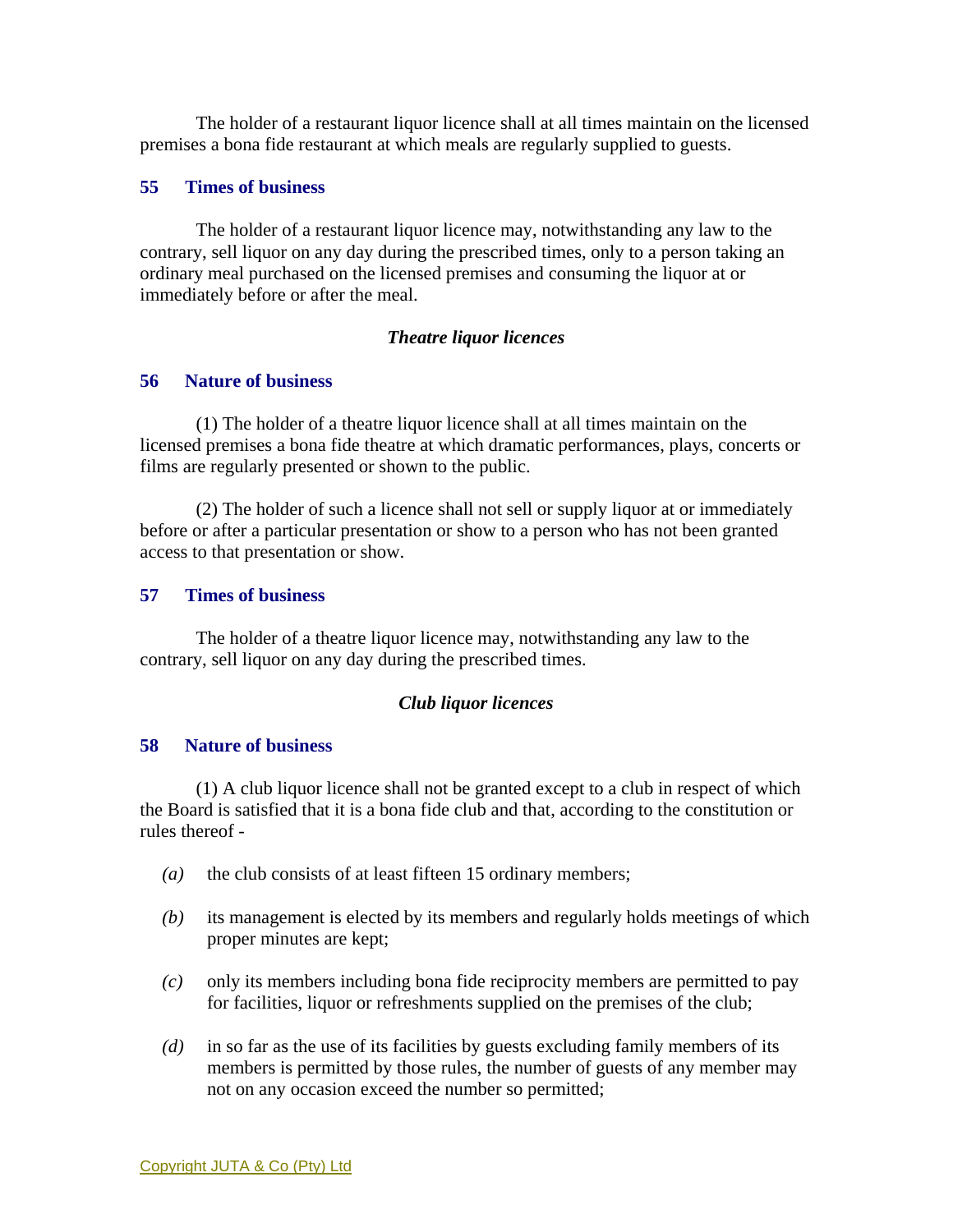The holder of a restaurant liquor licence shall at all times maintain on the licensed premises a bona fide restaurant at which meals are regularly supplied to guests.

#### **55 Times of business**

 The holder of a restaurant liquor licence may, notwithstanding any law to the contrary, sell liquor on any day during the prescribed times, only to a person taking an ordinary meal purchased on the licensed premises and consuming the liquor at or immediately before or after the meal.

#### *Theatre liquor licences*

#### **56 Nature of business**

 (1) The holder of a theatre liquor licence shall at all times maintain on the licensed premises a bona fide theatre at which dramatic performances, plays, concerts or films are regularly presented or shown to the public.

 (2) The holder of such a licence shall not sell or supply liquor at or immediately before or after a particular presentation or show to a person who has not been granted access to that presentation or show.

#### **57 Times of business**

 The holder of a theatre liquor licence may, notwithstanding any law to the contrary, sell liquor on any day during the prescribed times.

#### *Club liquor licences*

### **58 Nature of business**

 (1) A club liquor licence shall not be granted except to a club in respect of which the Board is satisfied that it is a bona fide club and that, according to the constitution or rules thereof -

- *(a)* the club consists of at least fifteen 15 ordinary members;
- *(b)* its management is elected by its members and regularly holds meetings of which proper minutes are kept;
- *(c)* only its members including bona fide reciprocity members are permitted to pay for facilities, liquor or refreshments supplied on the premises of the club;
- *(d)* in so far as the use of its facilities by guests excluding family members of its members is permitted by those rules, the number of guests of any member may not on any occasion exceed the number so permitted;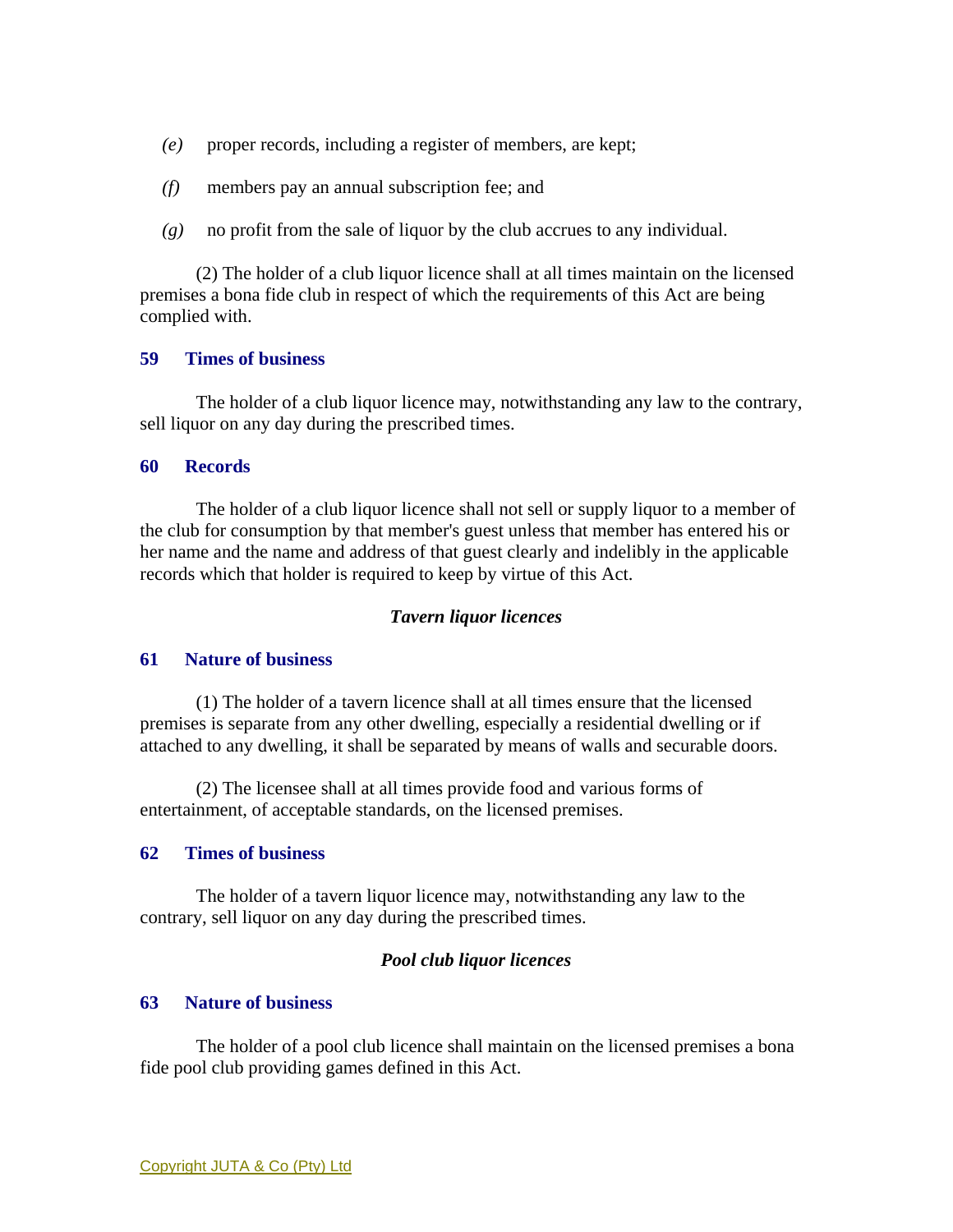- *(e)* proper records, including a register of members, are kept;
- *(f)* members pay an annual subscription fee; and
- *(g)* no profit from the sale of liquor by the club accrues to any individual.

 (2) The holder of a club liquor licence shall at all times maintain on the licensed premises a bona fide club in respect of which the requirements of this Act are being complied with.

### **59 Times of business**

 The holder of a club liquor licence may, notwithstanding any law to the contrary, sell liquor on any day during the prescribed times.

#### **60 Records**

 The holder of a club liquor licence shall not sell or supply liquor to a member of the club for consumption by that member's guest unless that member has entered his or her name and the name and address of that guest clearly and indelibly in the applicable records which that holder is required to keep by virtue of this Act.

#### *Tavern liquor licences*

### **61 Nature of business**

 (1) The holder of a tavern licence shall at all times ensure that the licensed premises is separate from any other dwelling, especially a residential dwelling or if attached to any dwelling, it shall be separated by means of walls and securable doors.

 (2) The licensee shall at all times provide food and various forms of entertainment, of acceptable standards, on the licensed premises.

#### **62 Times of business**

 The holder of a tavern liquor licence may, notwithstanding any law to the contrary, sell liquor on any day during the prescribed times.

#### *Pool club liquor licences*

#### **63 Nature of business**

 The holder of a pool club licence shall maintain on the licensed premises a bona fide pool club providing games defined in this Act.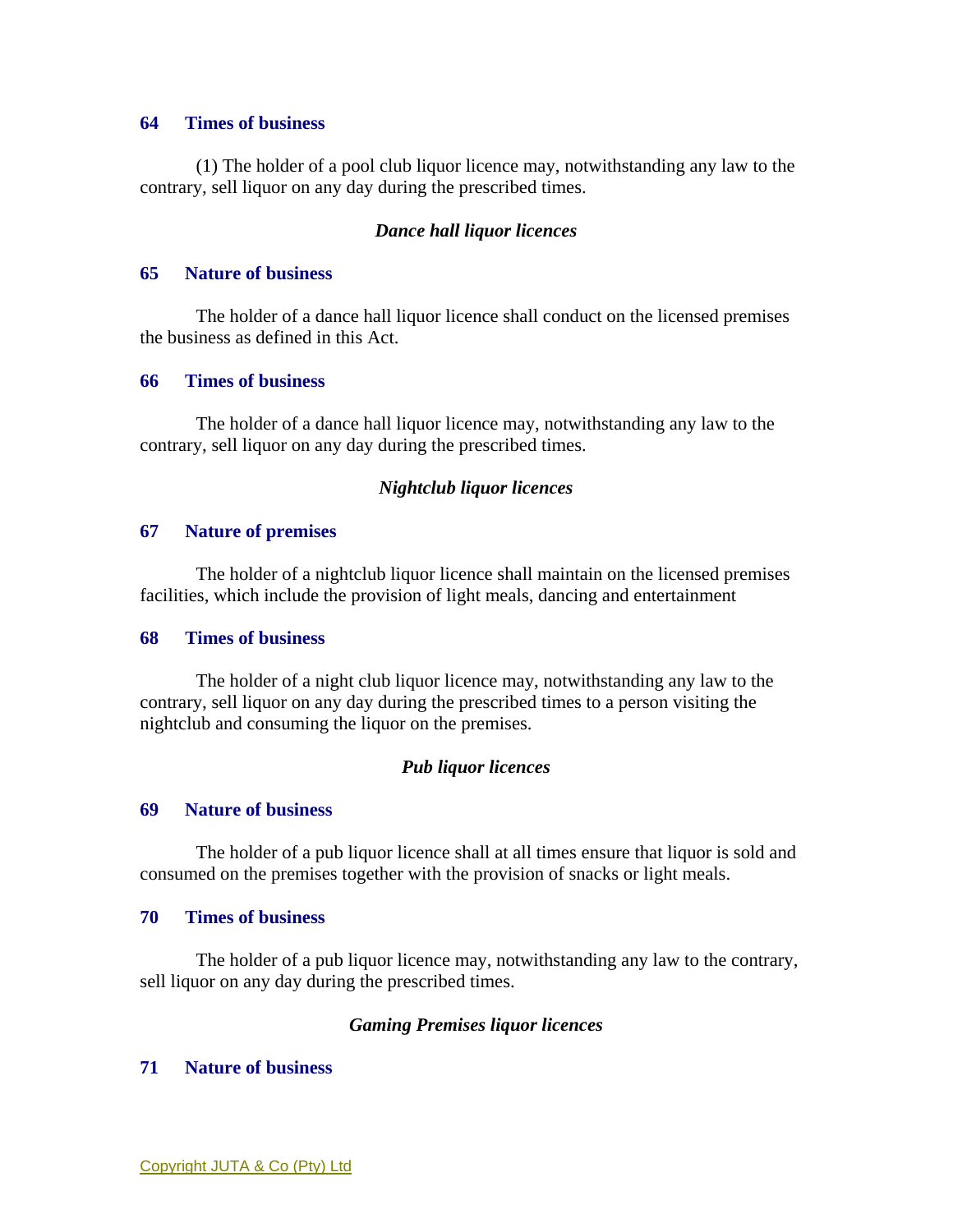#### **64 Times of business**

 (1) The holder of a pool club liquor licence may, notwithstanding any law to the contrary, sell liquor on any day during the prescribed times.

### *Dance hall liquor licences*

#### **65 Nature of business**

 The holder of a dance hall liquor licence shall conduct on the licensed premises the business as defined in this Act.

### **66 Times of business**

 The holder of a dance hall liquor licence may, notwithstanding any law to the contrary, sell liquor on any day during the prescribed times.

## *Nightclub liquor licences*

## **67 Nature of premises**

 The holder of a nightclub liquor licence shall maintain on the licensed premises facilities, which include the provision of light meals, dancing and entertainment

## **68 Times of business**

 The holder of a night club liquor licence may, notwithstanding any law to the contrary, sell liquor on any day during the prescribed times to a person visiting the nightclub and consuming the liquor on the premises.

## *Pub liquor licences*

## **69 Nature of business**

 The holder of a pub liquor licence shall at all times ensure that liquor is sold and consumed on the premises together with the provision of snacks or light meals.

### **70 Times of business**

 The holder of a pub liquor licence may, notwithstanding any law to the contrary, sell liquor on any day during the prescribed times.

## *Gaming Premises liquor licences*

## **71 Nature of business**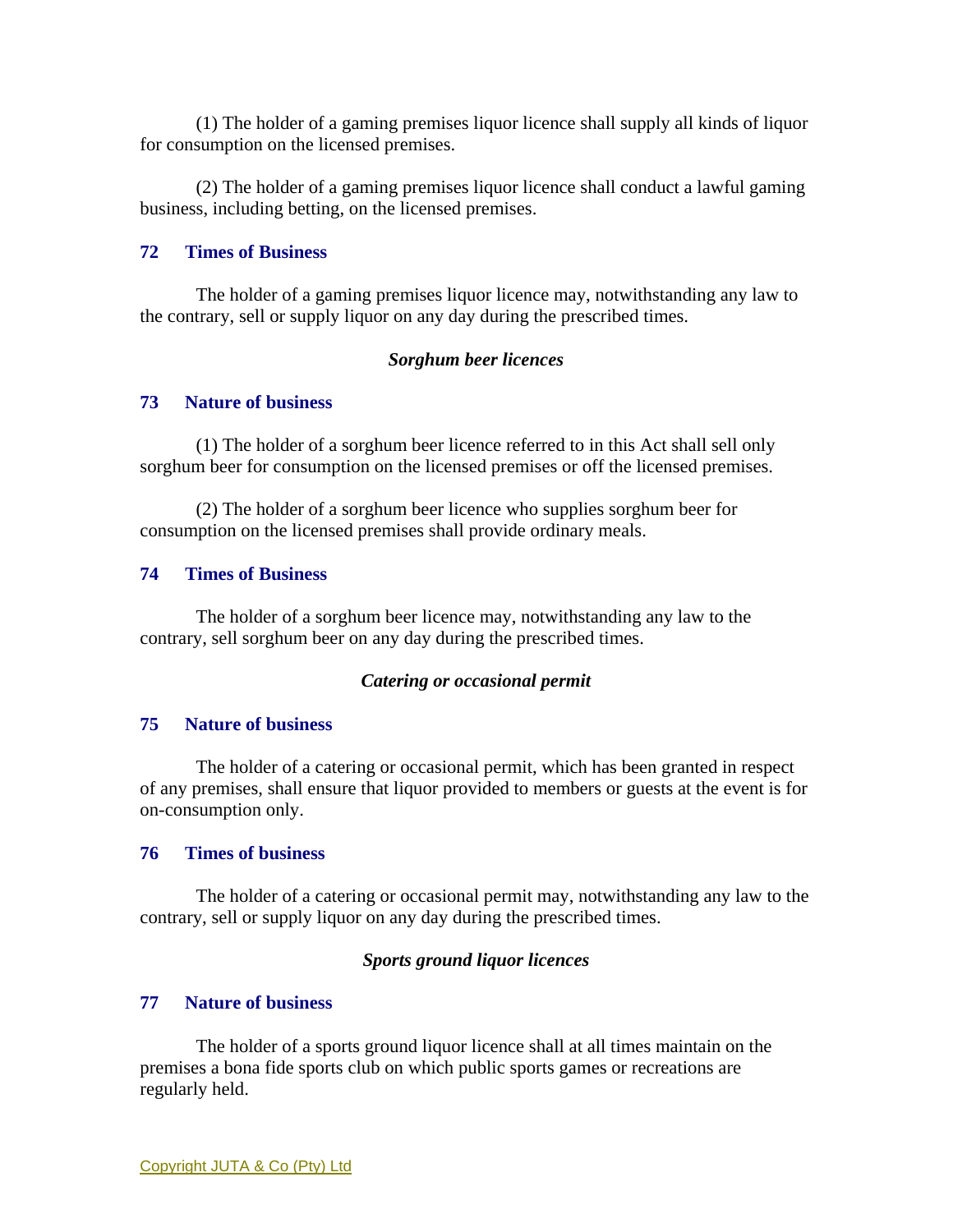(1) The holder of a gaming premises liquor licence shall supply all kinds of liquor for consumption on the licensed premises.

 (2) The holder of a gaming premises liquor licence shall conduct a lawful gaming business, including betting, on the licensed premises.

## **72 Times of Business**

 The holder of a gaming premises liquor licence may, notwithstanding any law to the contrary, sell or supply liquor on any day during the prescribed times.

#### *Sorghum beer licences*

## **73 Nature of business**

 (1) The holder of a sorghum beer licence referred to in this Act shall sell only sorghum beer for consumption on the licensed premises or off the licensed premises.

 (2) The holder of a sorghum beer licence who supplies sorghum beer for consumption on the licensed premises shall provide ordinary meals.

## **74 Times of Business**

 The holder of a sorghum beer licence may, notwithstanding any law to the contrary, sell sorghum beer on any day during the prescribed times.

## *Catering or occasional permit*

#### **75 Nature of business**

 The holder of a catering or occasional permit, which has been granted in respect of any premises, shall ensure that liquor provided to members or guests at the event is for on-consumption only.

#### **76 Times of business**

 The holder of a catering or occasional permit may, notwithstanding any law to the contrary, sell or supply liquor on any day during the prescribed times.

#### *Sports ground liquor licences*

#### **77 Nature of business**

 The holder of a sports ground liquor licence shall at all times maintain on the premises a bona fide sports club on which public sports games or recreations are regularly held.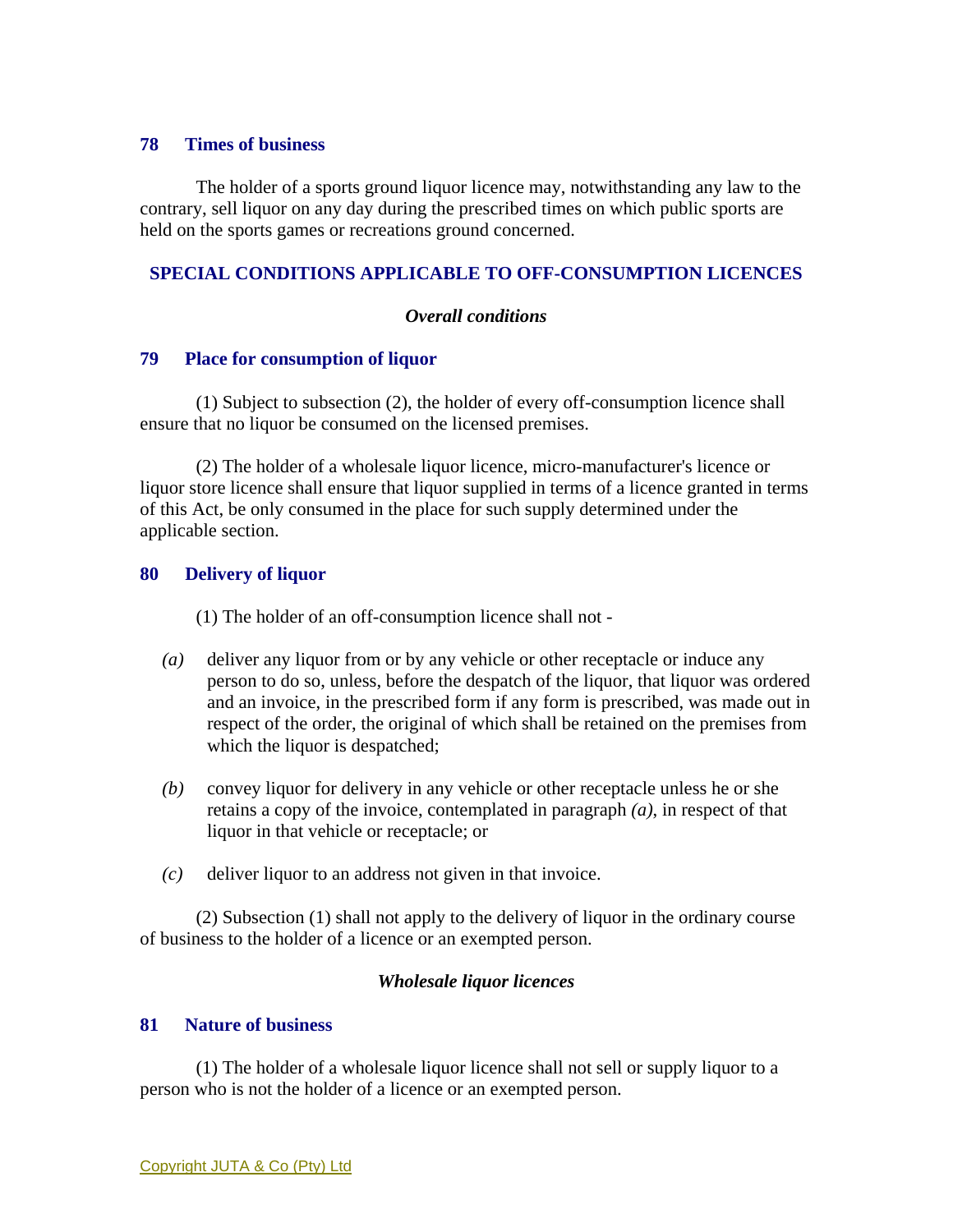#### **78 Times of business**

 The holder of a sports ground liquor licence may, notwithstanding any law to the contrary, sell liquor on any day during the prescribed times on which public sports are held on the sports games or recreations ground concerned.

## **SPECIAL CONDITIONS APPLICABLE TO OFF-CONSUMPTION LICENCES**

## *Overall conditions*

## **79 Place for consumption of liquor**

 (1) Subject to subsection (2), the holder of every off-consumption licence shall ensure that no liquor be consumed on the licensed premises.

 (2) The holder of a wholesale liquor licence, micro-manufacturer's licence or liquor store licence shall ensure that liquor supplied in terms of a licence granted in terms of this Act, be only consumed in the place for such supply determined under the applicable section.

## **80 Delivery of liquor**

(1) The holder of an off-consumption licence shall not -

- *(a)* deliver any liquor from or by any vehicle or other receptacle or induce any person to do so, unless, before the despatch of the liquor, that liquor was ordered and an invoice, in the prescribed form if any form is prescribed, was made out in respect of the order, the original of which shall be retained on the premises from which the liquor is despatched;
- *(b)* convey liquor for delivery in any vehicle or other receptacle unless he or she retains a copy of the invoice, contemplated in paragraph *(a)*, in respect of that liquor in that vehicle or receptacle; or
- *(c)* deliver liquor to an address not given in that invoice.

 (2) Subsection (1) shall not apply to the delivery of liquor in the ordinary course of business to the holder of a licence or an exempted person.

## *Wholesale liquor licences*

#### **81 Nature of business**

 (1) The holder of a wholesale liquor licence shall not sell or supply liquor to a person who is not the holder of a licence or an exempted person.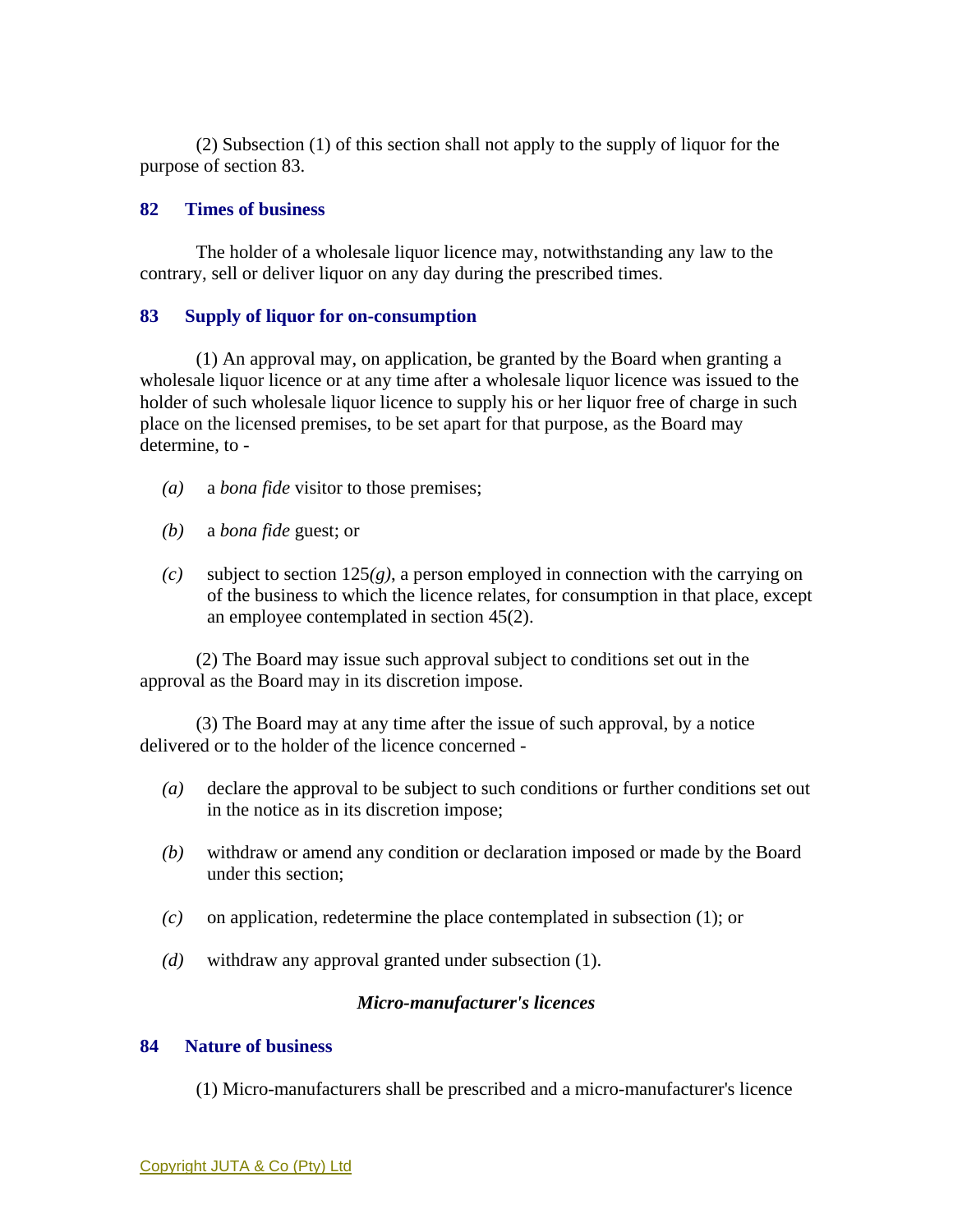(2) Subsection (1) of this section shall not apply to the supply of liquor for the purpose of section 83.

## **82 Times of business**

 The holder of a wholesale liquor licence may, notwithstanding any law to the contrary, sell or deliver liquor on any day during the prescribed times.

### **83 Supply of liquor for on-consumption**

 (1) An approval may, on application, be granted by the Board when granting a wholesale liquor licence or at any time after a wholesale liquor licence was issued to the holder of such wholesale liquor licence to supply his or her liquor free of charge in such place on the licensed premises, to be set apart for that purpose, as the Board may determine, to -

- *(a)* a *bona fide* visitor to those premises;
- *(b)* a *bona fide* guest; or
- *(c)* subject to section 125*(g)*, a person employed in connection with the carrying on of the business to which the licence relates, for consumption in that place, except an employee contemplated in section 45(2).

 (2) The Board may issue such approval subject to conditions set out in the approval as the Board may in its discretion impose.

 (3) The Board may at any time after the issue of such approval, by a notice delivered or to the holder of the licence concerned -

- *(a)* declare the approval to be subject to such conditions or further conditions set out in the notice as in its discretion impose;
- *(b)* withdraw or amend any condition or declaration imposed or made by the Board under this section;
- *(c)* on application, redetermine the place contemplated in subsection (1); or
- *(d)* withdraw any approval granted under subsection (1).

#### *Micro-manufacturer's licences*

### **84 Nature of business**

(1) Micro-manufacturers shall be prescribed and a micro-manufacturer's licence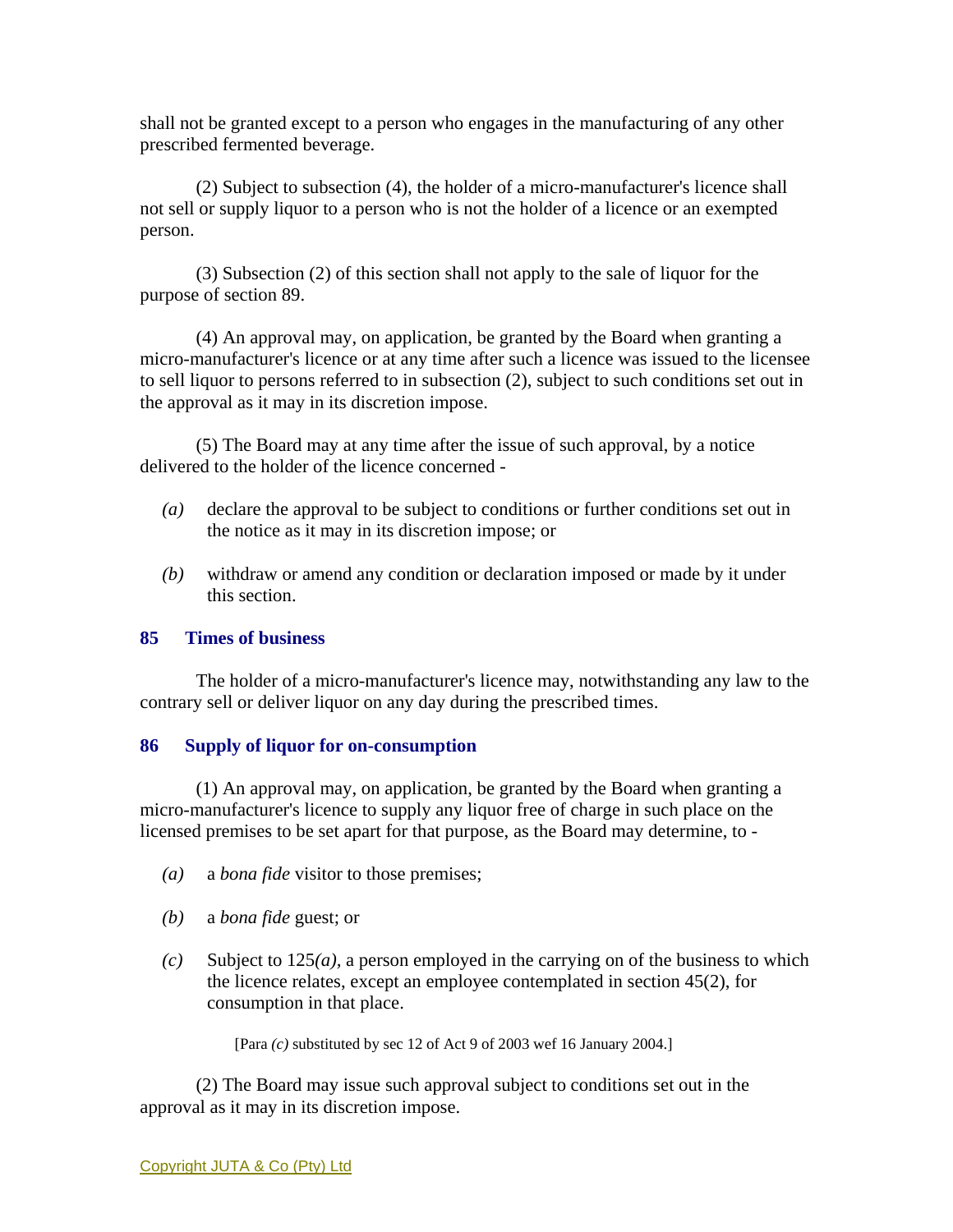shall not be granted except to a person who engages in the manufacturing of any other prescribed fermented beverage.

 (2) Subject to subsection (4), the holder of a micro-manufacturer's licence shall not sell or supply liquor to a person who is not the holder of a licence or an exempted person.

 (3) Subsection (2) of this section shall not apply to the sale of liquor for the purpose of section 89.

 (4) An approval may, on application, be granted by the Board when granting a micro-manufacturer's licence or at any time after such a licence was issued to the licensee to sell liquor to persons referred to in subsection (2), subject to such conditions set out in the approval as it may in its discretion impose.

 (5) The Board may at any time after the issue of such approval, by a notice delivered to the holder of the licence concerned -

- *(a)* declare the approval to be subject to conditions or further conditions set out in the notice as it may in its discretion impose; or
- *(b)* withdraw or amend any condition or declaration imposed or made by it under this section.

## **85 Times of business**

 The holder of a micro-manufacturer's licence may, notwithstanding any law to the contrary sell or deliver liquor on any day during the prescribed times.

## **86 Supply of liquor for on-consumption**

 (1) An approval may, on application, be granted by the Board when granting a micro-manufacturer's licence to supply any liquor free of charge in such place on the licensed premises to be set apart for that purpose, as the Board may determine, to -

- *(a)* a *bona fide* visitor to those premises;
- *(b)* a *bona fide* guest; or
- $(c)$  Subject to 125 $(a)$ , a person employed in the carrying on of the business to which the licence relates, except an employee contemplated in section 45(2), for consumption in that place.

[Para *(c)* substituted by sec 12 of Act 9 of 2003 wef 16 January 2004.]

 (2) The Board may issue such approval subject to conditions set out in the approval as it may in its discretion impose.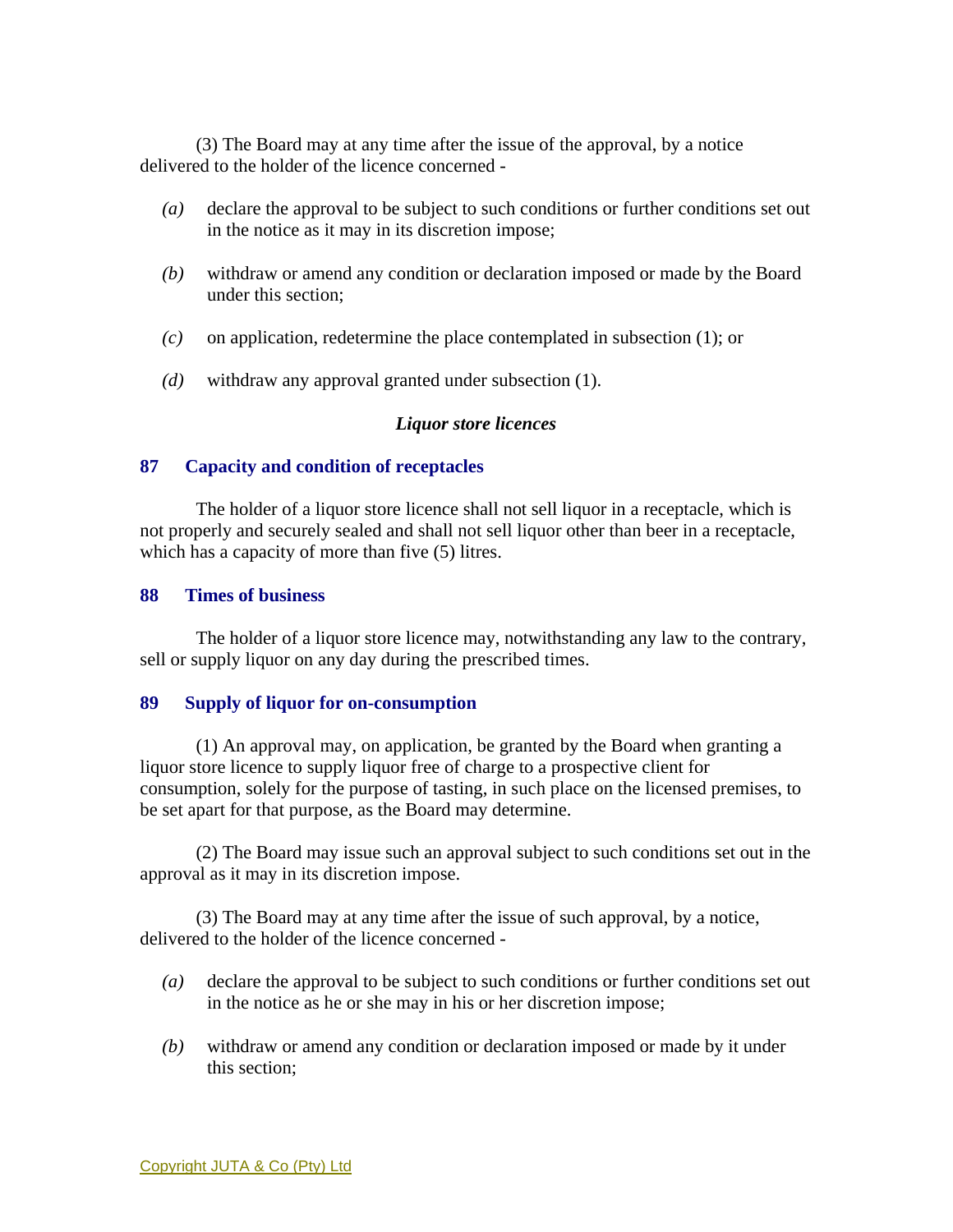(3) The Board may at any time after the issue of the approval, by a notice delivered to the holder of the licence concerned -

- *(a)* declare the approval to be subject to such conditions or further conditions set out in the notice as it may in its discretion impose;
- *(b)* withdraw or amend any condition or declaration imposed or made by the Board under this section;
- *(c)* on application, redetermine the place contemplated in subsection (1); or
- *(d)* withdraw any approval granted under subsection (1).

## *Liquor store licences*

### **87 Capacity and condition of receptacles**

 The holder of a liquor store licence shall not sell liquor in a receptacle, which is not properly and securely sealed and shall not sell liquor other than beer in a receptacle, which has a capacity of more than five  $(5)$  litres.

### **88 Times of business**

 The holder of a liquor store licence may, notwithstanding any law to the contrary, sell or supply liquor on any day during the prescribed times.

#### **89 Supply of liquor for on-consumption**

 (1) An approval may, on application, be granted by the Board when granting a liquor store licence to supply liquor free of charge to a prospective client for consumption, solely for the purpose of tasting, in such place on the licensed premises, to be set apart for that purpose, as the Board may determine.

 (2) The Board may issue such an approval subject to such conditions set out in the approval as it may in its discretion impose.

 (3) The Board may at any time after the issue of such approval, by a notice, delivered to the holder of the licence concerned -

- *(a)* declare the approval to be subject to such conditions or further conditions set out in the notice as he or she may in his or her discretion impose;
- *(b)* withdraw or amend any condition or declaration imposed or made by it under this section;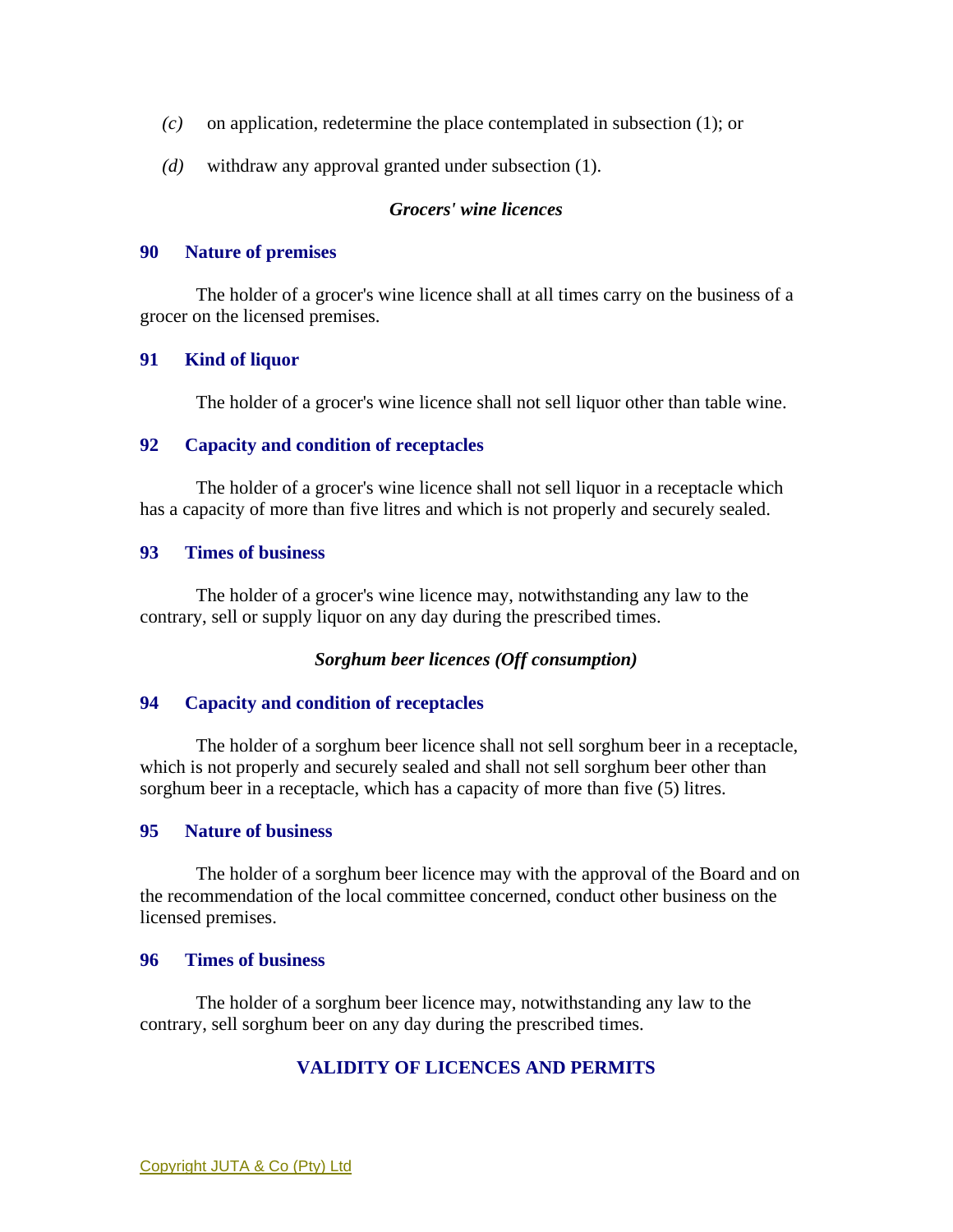- *(c)* on application, redetermine the place contemplated in subsection (1); or
- *(d)* withdraw any approval granted under subsection (1).

## *Grocers' wine licences*

#### **90 Nature of premises**

 The holder of a grocer's wine licence shall at all times carry on the business of a grocer on the licensed premises.

## **91 Kind of liquor**

The holder of a grocer's wine licence shall not sell liquor other than table wine.

### **92 Capacity and condition of receptacles**

 The holder of a grocer's wine licence shall not sell liquor in a receptacle which has a capacity of more than five litres and which is not properly and securely sealed.

### **93 Times of business**

 The holder of a grocer's wine licence may, notwithstanding any law to the contrary, sell or supply liquor on any day during the prescribed times.

## *Sorghum beer licences (Off consumption)*

#### **94 Capacity and condition of receptacles**

 The holder of a sorghum beer licence shall not sell sorghum beer in a receptacle, which is not properly and securely sealed and shall not sell sorghum beer other than sorghum beer in a receptacle, which has a capacity of more than five (5) litres.

#### **95 Nature of business**

 The holder of a sorghum beer licence may with the approval of the Board and on the recommendation of the local committee concerned, conduct other business on the licensed premises.

### **96 Times of business**

 The holder of a sorghum beer licence may, notwithstanding any law to the contrary, sell sorghum beer on any day during the prescribed times.

# **VALIDITY OF LICENCES AND PERMITS**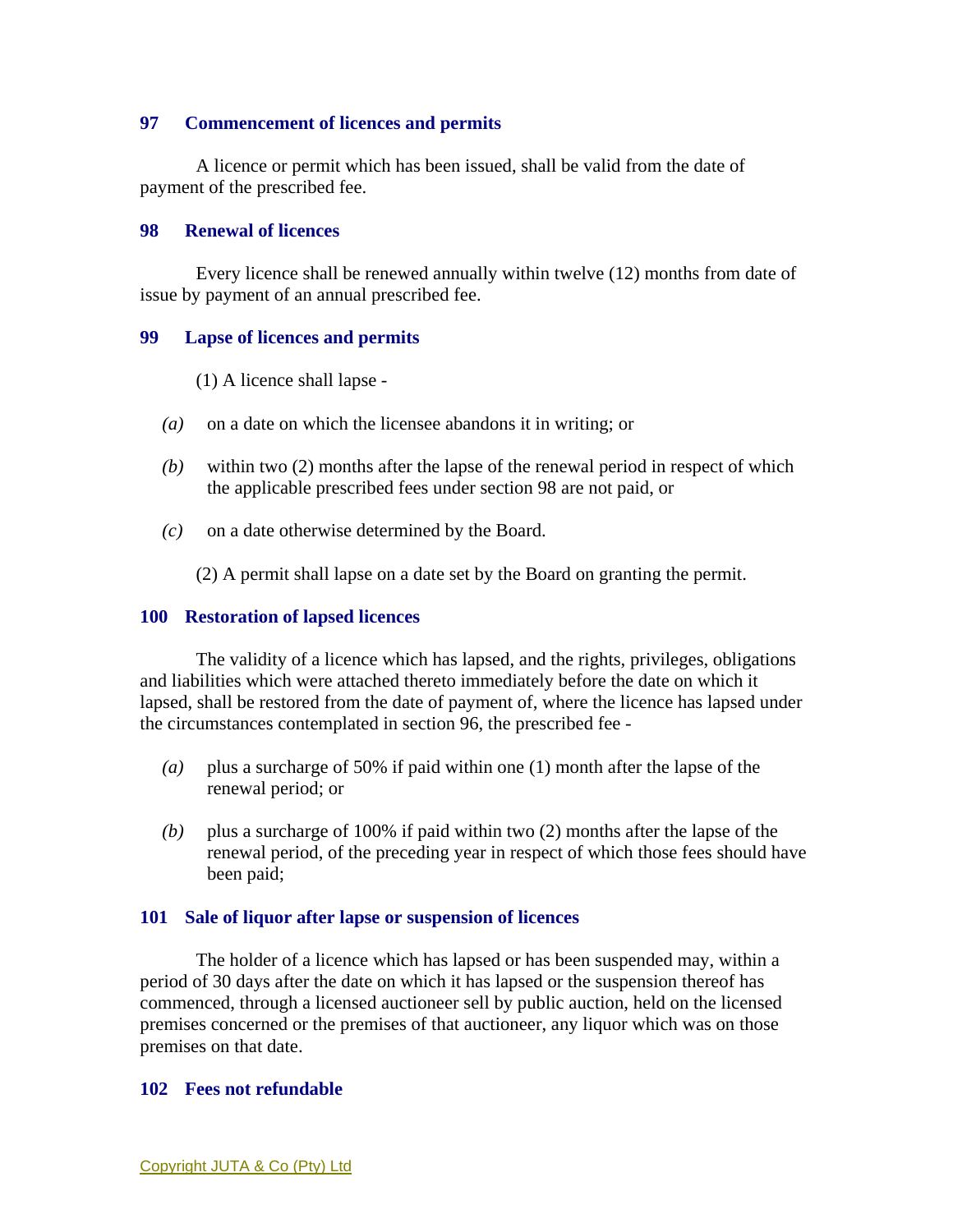## **97 Commencement of licences and permits**

 A licence or permit which has been issued, shall be valid from the date of payment of the prescribed fee.

#### **98 Renewal of licences**

 Every licence shall be renewed annually within twelve (12) months from date of issue by payment of an annual prescribed fee.

## **99 Lapse of licences and permits**

- (1) A licence shall lapse -
- *(a)* on a date on which the licensee abandons it in writing; or
- *(b)* within two (2) months after the lapse of the renewal period in respect of which the applicable prescribed fees under section 98 are not paid, or
- *(c)* on a date otherwise determined by the Board.

(2) A permit shall lapse on a date set by the Board on granting the permit.

#### **100 Restoration of lapsed licences**

 The validity of a licence which has lapsed, and the rights, privileges, obligations and liabilities which were attached thereto immediately before the date on which it lapsed, shall be restored from the date of payment of, where the licence has lapsed under the circumstances contemplated in section 96, the prescribed fee -

- *(a)* plus a surcharge of 50% if paid within one (1) month after the lapse of the renewal period; or
- *(b)* plus a surcharge of 100% if paid within two (2) months after the lapse of the renewal period, of the preceding year in respect of which those fees should have been paid;

#### **101 Sale of liquor after lapse or suspension of licences**

 The holder of a licence which has lapsed or has been suspended may, within a period of 30 days after the date on which it has lapsed or the suspension thereof has commenced, through a licensed auctioneer sell by public auction, held on the licensed premises concerned or the premises of that auctioneer, any liquor which was on those premises on that date.

#### **102 Fees not refundable**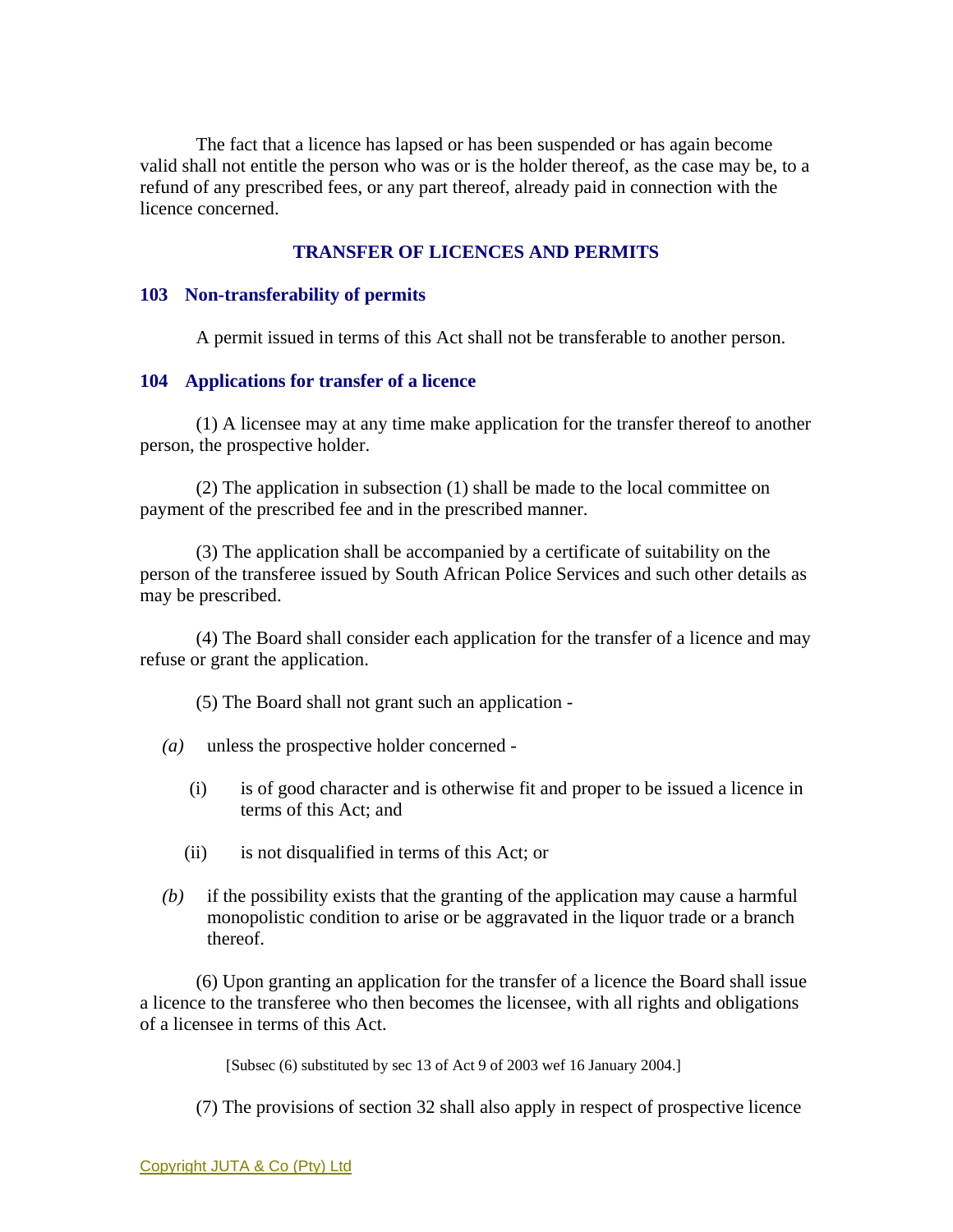The fact that a licence has lapsed or has been suspended or has again become valid shall not entitle the person who was or is the holder thereof, as the case may be, to a refund of any prescribed fees, or any part thereof, already paid in connection with the licence concerned.

## **TRANSFER OF LICENCES AND PERMITS**

### **103 Non-transferability of permits**

A permit issued in terms of this Act shall not be transferable to another person.

### **104 Applications for transfer of a licence**

 (1) A licensee may at any time make application for the transfer thereof to another person, the prospective holder.

 (2) The application in subsection (1) shall be made to the local committee on payment of the prescribed fee and in the prescribed manner.

 (3) The application shall be accompanied by a certificate of suitability on the person of the transferee issued by South African Police Services and such other details as may be prescribed.

 (4) The Board shall consider each application for the transfer of a licence and may refuse or grant the application.

(5) The Board shall not grant such an application -

- *(a)* unless the prospective holder concerned
	- (i) is of good character and is otherwise fit and proper to be issued a licence in terms of this Act; and
	- (ii) is not disqualified in terms of this Act; or
- *(b)* if the possibility exists that the granting of the application may cause a harmful monopolistic condition to arise or be aggravated in the liquor trade or a branch thereof.

 (6) Upon granting an application for the transfer of a licence the Board shall issue a licence to the transferee who then becomes the licensee, with all rights and obligations of a licensee in terms of this Act.

[Subsec (6) substituted by sec 13 of Act 9 of 2003 wef 16 January 2004.]

(7) The provisions of section 32 shall also apply in respect of prospective licence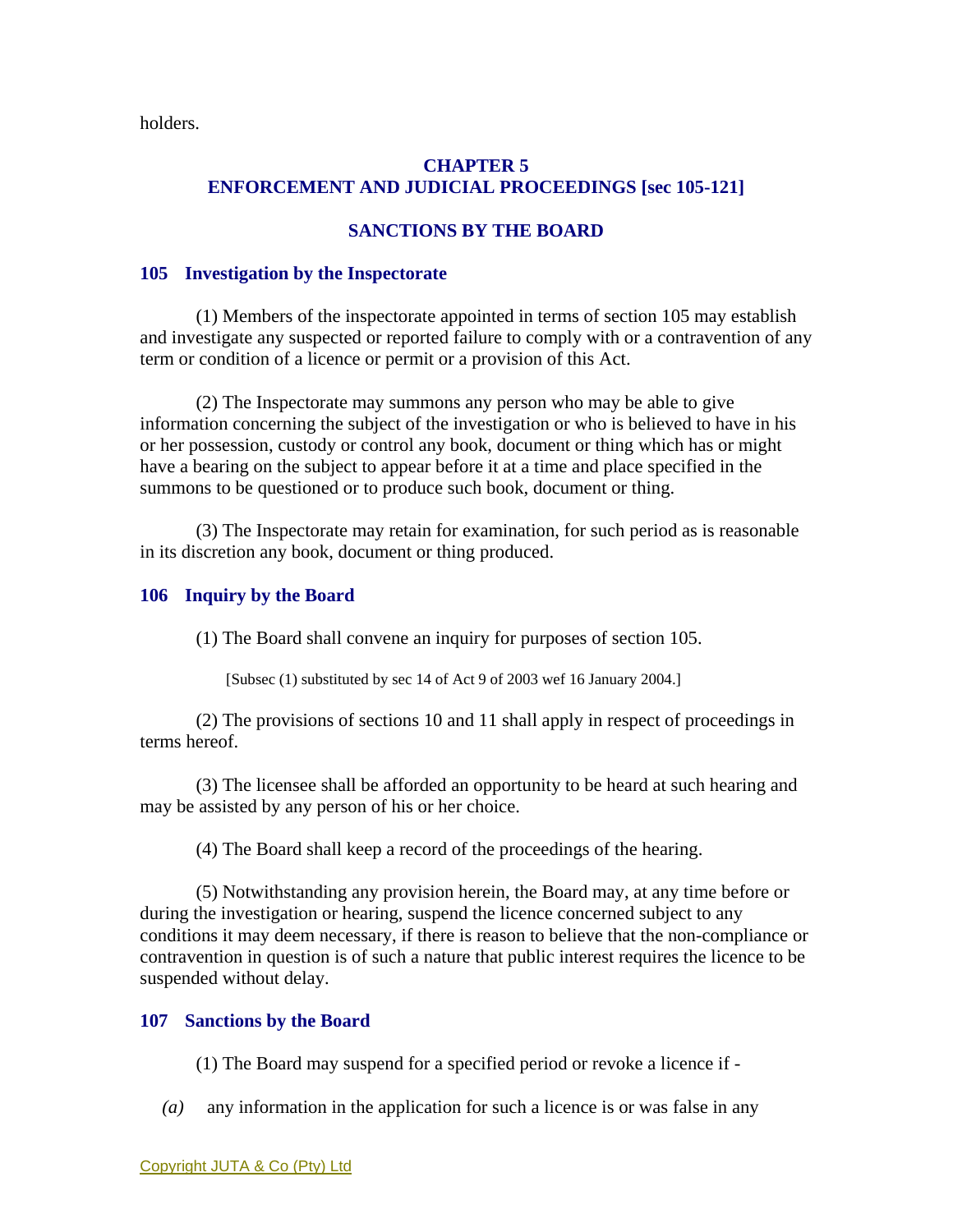holders.

# **CHAPTER 5 ENFORCEMENT AND JUDICIAL PROCEEDINGS [sec 105-121]**

# **SANCTIONS BY THE BOARD**

## **105 Investigation by the Inspectorate**

 (1) Members of the inspectorate appointed in terms of section 105 may establish and investigate any suspected or reported failure to comply with or a contravention of any term or condition of a licence or permit or a provision of this Act.

 (2) The Inspectorate may summons any person who may be able to give information concerning the subject of the investigation or who is believed to have in his or her possession, custody or control any book, document or thing which has or might have a bearing on the subject to appear before it at a time and place specified in the summons to be questioned or to produce such book, document or thing.

 (3) The Inspectorate may retain for examination, for such period as is reasonable in its discretion any book, document or thing produced.

## **106 Inquiry by the Board**

(1) The Board shall convene an inquiry for purposes of section 105.

[Subsec (1) substituted by sec 14 of Act 9 of 2003 wef 16 January 2004.]

 (2) The provisions of sections 10 and 11 shall apply in respect of proceedings in terms hereof.

 (3) The licensee shall be afforded an opportunity to be heard at such hearing and may be assisted by any person of his or her choice.

(4) The Board shall keep a record of the proceedings of the hearing.

 (5) Notwithstanding any provision herein, the Board may, at any time before or during the investigation or hearing, suspend the licence concerned subject to any conditions it may deem necessary, if there is reason to believe that the non-compliance or contravention in question is of such a nature that public interest requires the licence to be suspended without delay.

# **107 Sanctions by the Board**

(1) The Board may suspend for a specified period or revoke a licence if -

*(a)* any information in the application for such a licence is or was false in any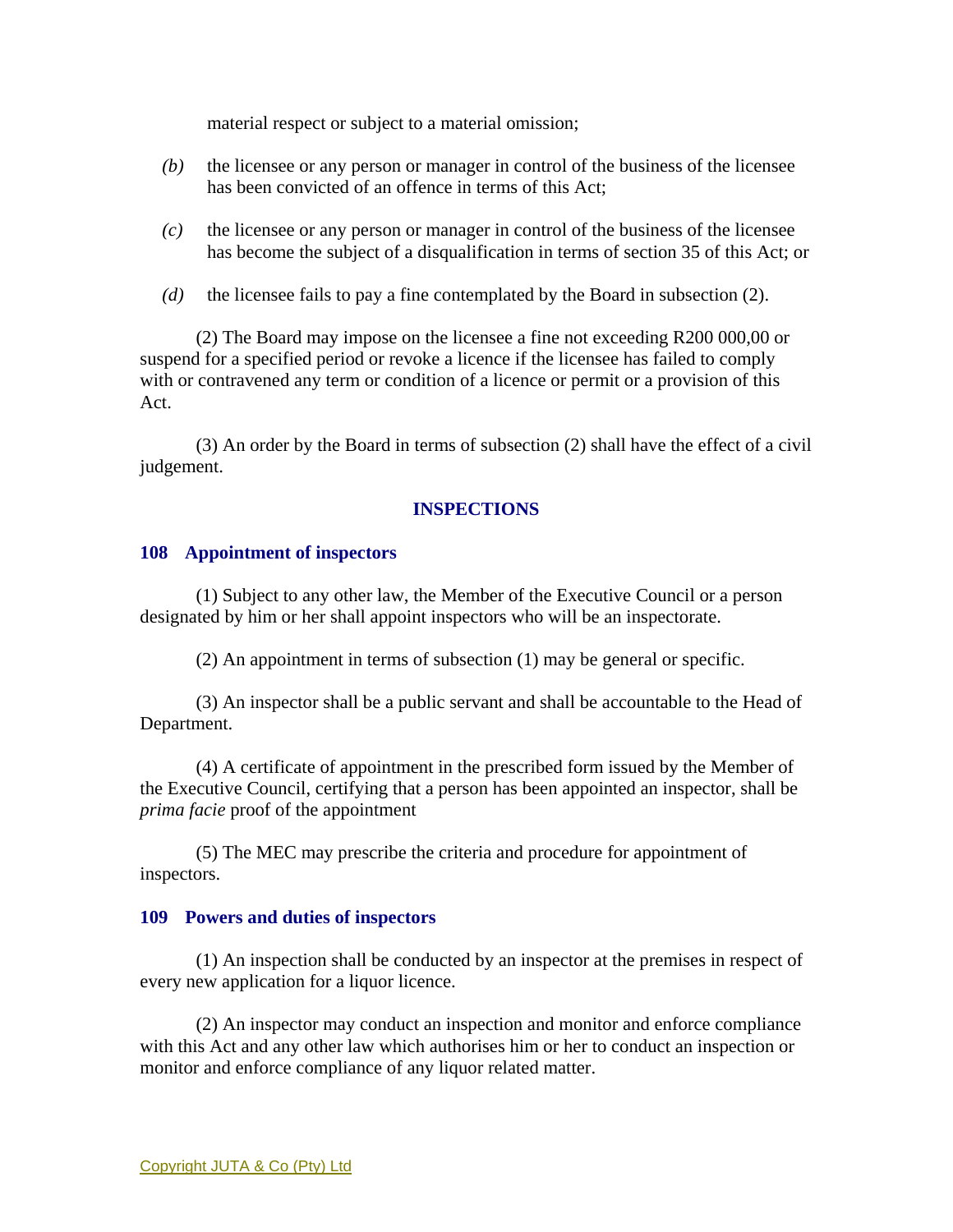material respect or subject to a material omission;

- *(b)* the licensee or any person or manager in control of the business of the licensee has been convicted of an offence in terms of this Act;
- *(c)* the licensee or any person or manager in control of the business of the licensee has become the subject of a disqualification in terms of section 35 of this Act; or
- *(d)* the licensee fails to pay a fine contemplated by the Board in subsection (2).

 (2) The Board may impose on the licensee a fine not exceeding R200 000,00 or suspend for a specified period or revoke a licence if the licensee has failed to comply with or contravened any term or condition of a licence or permit or a provision of this Act.

 (3) An order by the Board in terms of subsection (2) shall have the effect of a civil judgement.

## **INSPECTIONS**

## **108 Appointment of inspectors**

 (1) Subject to any other law, the Member of the Executive Council or a person designated by him or her shall appoint inspectors who will be an inspectorate.

(2) An appointment in terms of subsection (1) may be general or specific.

 (3) An inspector shall be a public servant and shall be accountable to the Head of Department.

 (4) A certificate of appointment in the prescribed form issued by the Member of the Executive Council, certifying that a person has been appointed an inspector, shall be *prima facie* proof of the appointment

 (5) The MEC may prescribe the criteria and procedure for appointment of inspectors.

#### **109 Powers and duties of inspectors**

 (1) An inspection shall be conducted by an inspector at the premises in respect of every new application for a liquor licence.

 (2) An inspector may conduct an inspection and monitor and enforce compliance with this Act and any other law which authorises him or her to conduct an inspection or monitor and enforce compliance of any liquor related matter.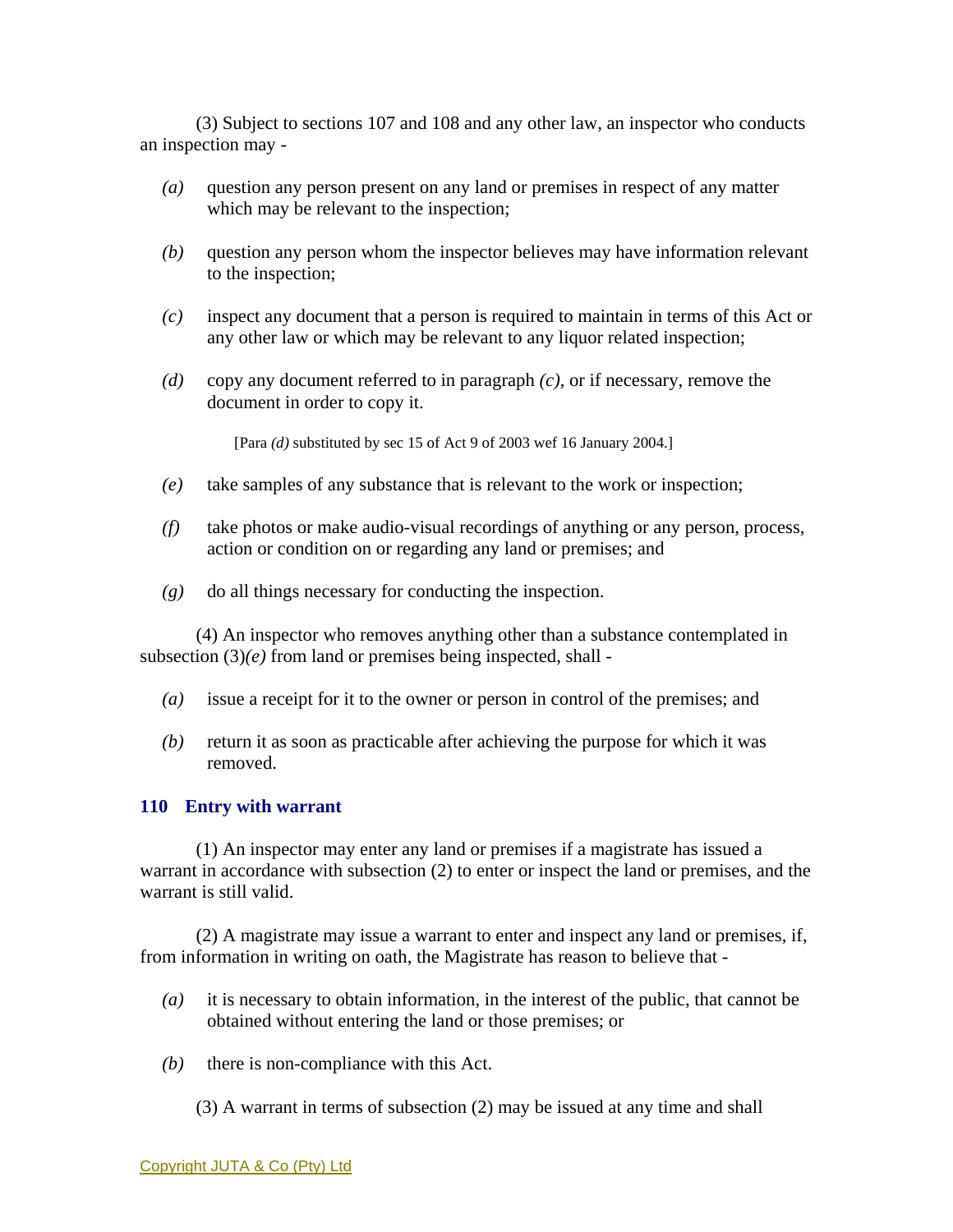(3) Subject to sections 107 and 108 and any other law, an inspector who conducts an inspection may -

- *(a)* question any person present on any land or premises in respect of any matter which may be relevant to the inspection;
- *(b)* question any person whom the inspector believes may have information relevant to the inspection;
- *(c)* inspect any document that a person is required to maintain in terms of this Act or any other law or which may be relevant to any liquor related inspection;
- *(d)* copy any document referred to in paragraph *(c),* or if necessary, remove the document in order to copy it.

[Para *(d)* substituted by sec 15 of Act 9 of 2003 wef 16 January 2004.]

- *(e)* take samples of any substance that is relevant to the work or inspection;
- *(f)* take photos or make audio-visual recordings of anything or any person, process, action or condition on or regarding any land or premises; and
- *(g)* do all things necessary for conducting the inspection.

 (4) An inspector who removes anything other than a substance contemplated in subsection  $(3)(e)$  from land or premises being inspected, shall -

- *(a)* issue a receipt for it to the owner or person in control of the premises; and
- *(b)* return it as soon as practicable after achieving the purpose for which it was removed.

#### **110 Entry with warrant**

 (1) An inspector may enter any land or premises if a magistrate has issued a warrant in accordance with subsection (2) to enter or inspect the land or premises, and the warrant is still valid.

 (2) A magistrate may issue a warrant to enter and inspect any land or premises, if, from information in writing on oath, the Magistrate has reason to believe that -

- *(a)* it is necessary to obtain information, in the interest of the public, that cannot be obtained without entering the land or those premises; or
- *(b)* there is non-compliance with this Act.

(3) A warrant in terms of subsection (2) may be issued at any time and shall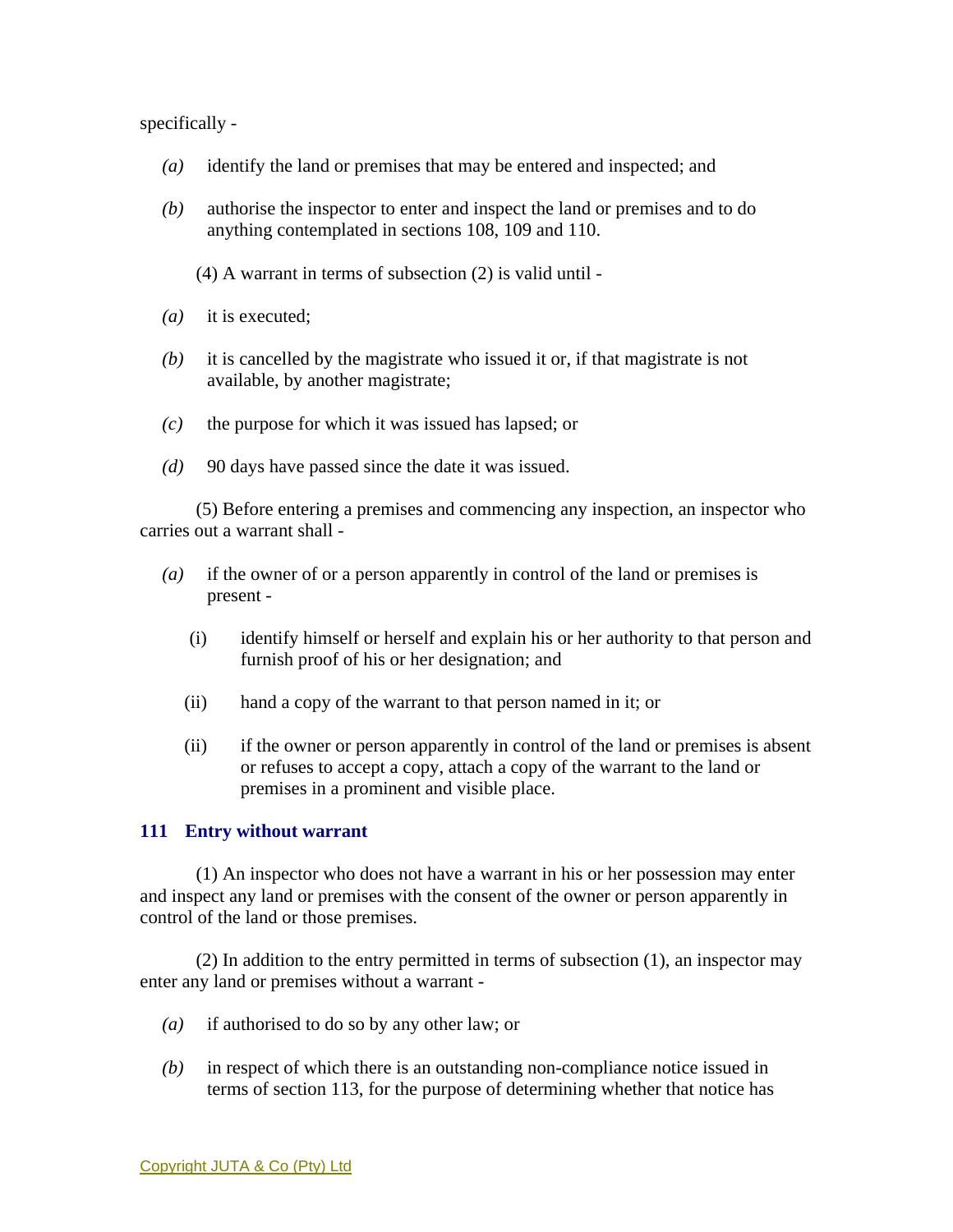specifically -

- *(a)* identify the land or premises that may be entered and inspected; and
- *(b)* authorise the inspector to enter and inspect the land or premises and to do anything contemplated in sections 108, 109 and 110.
	- (4) A warrant in terms of subsection (2) is valid until -
- *(a)* it is executed;
- *(b)* it is cancelled by the magistrate who issued it or, if that magistrate is not available, by another magistrate;
- *(c)* the purpose for which it was issued has lapsed; or
- *(d)* 90 days have passed since the date it was issued.

 (5) Before entering a premises and commencing any inspection, an inspector who carries out a warrant shall -

- *(a)* if the owner of or a person apparently in control of the land or premises is present -
	- (i) identify himself or herself and explain his or her authority to that person and furnish proof of his or her designation; and
	- (ii) hand a copy of the warrant to that person named in it; or
	- (ii) if the owner or person apparently in control of the land or premises is absent or refuses to accept a copy, attach a copy of the warrant to the land or premises in a prominent and visible place.

#### **111 Entry without warrant**

 (1) An inspector who does not have a warrant in his or her possession may enter and inspect any land or premises with the consent of the owner or person apparently in control of the land or those premises.

 (2) In addition to the entry permitted in terms of subsection (1), an inspector may enter any land or premises without a warrant -

- *(a)* if authorised to do so by any other law; or
- *(b)* in respect of which there is an outstanding non-compliance notice issued in terms of section 113, for the purpose of determining whether that notice has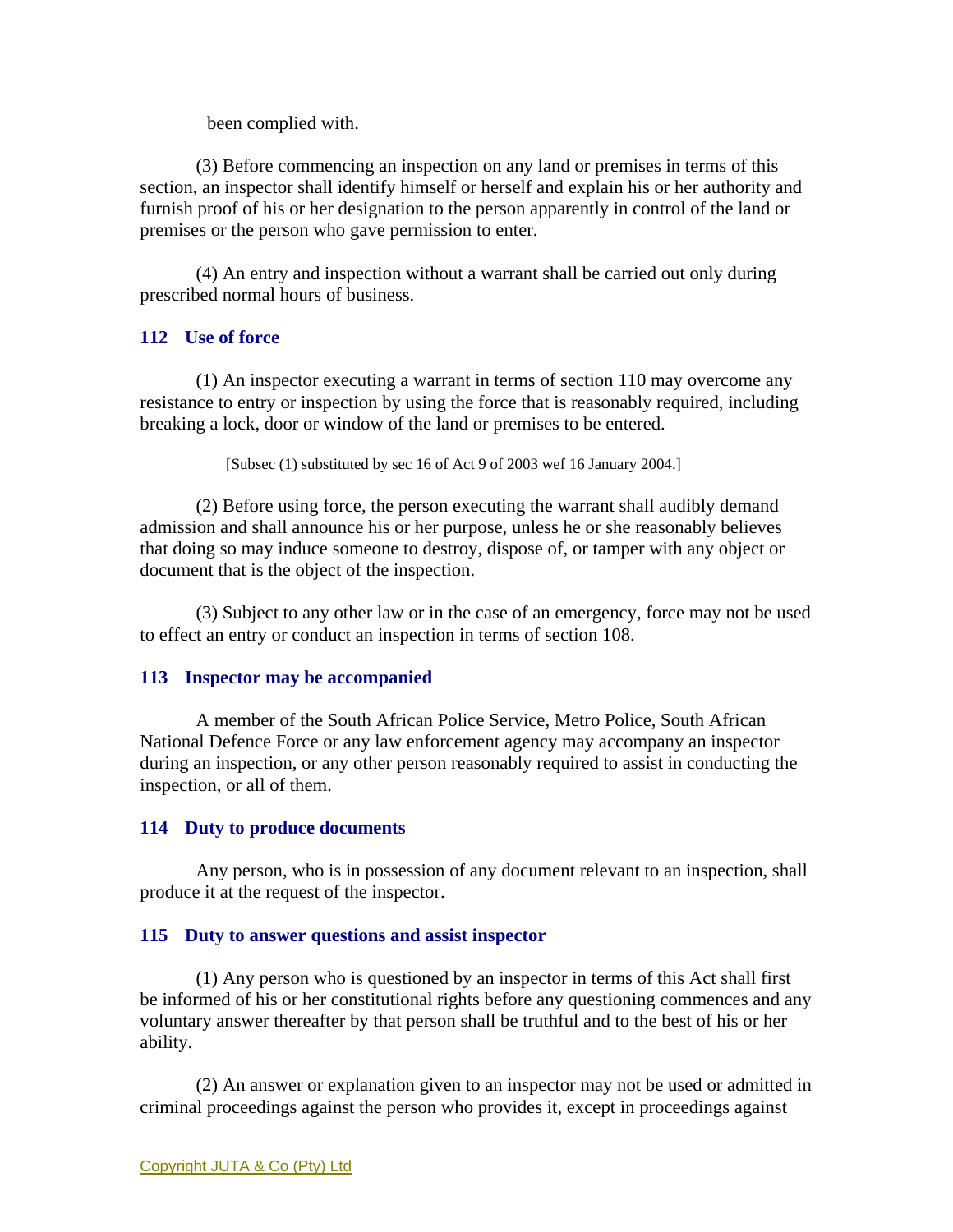been complied with.

 (3) Before commencing an inspection on any land or premises in terms of this section, an inspector shall identify himself or herself and explain his or her authority and furnish proof of his or her designation to the person apparently in control of the land or premises or the person who gave permission to enter.

 (4) An entry and inspection without a warrant shall be carried out only during prescribed normal hours of business.

## **112 Use of force**

 (1) An inspector executing a warrant in terms of section 110 may overcome any resistance to entry or inspection by using the force that is reasonably required, including breaking a lock, door or window of the land or premises to be entered.

[Subsec (1) substituted by sec 16 of Act 9 of 2003 wef 16 January 2004.]

 (2) Before using force, the person executing the warrant shall audibly demand admission and shall announce his or her purpose, unless he or she reasonably believes that doing so may induce someone to destroy, dispose of, or tamper with any object or document that is the object of the inspection.

 (3) Subject to any other law or in the case of an emergency, force may not be used to effect an entry or conduct an inspection in terms of section 108.

## **113 Inspector may be accompanied**

 A member of the South African Police Service, Metro Police, South African National Defence Force or any law enforcement agency may accompany an inspector during an inspection, or any other person reasonably required to assist in conducting the inspection, or all of them.

## **114 Duty to produce documents**

 Any person, who is in possession of any document relevant to an inspection, shall produce it at the request of the inspector.

## **115 Duty to answer questions and assist inspector**

 (1) Any person who is questioned by an inspector in terms of this Act shall first be informed of his or her constitutional rights before any questioning commences and any voluntary answer thereafter by that person shall be truthful and to the best of his or her ability.

 (2) An answer or explanation given to an inspector may not be used or admitted in criminal proceedings against the person who provides it, except in proceedings against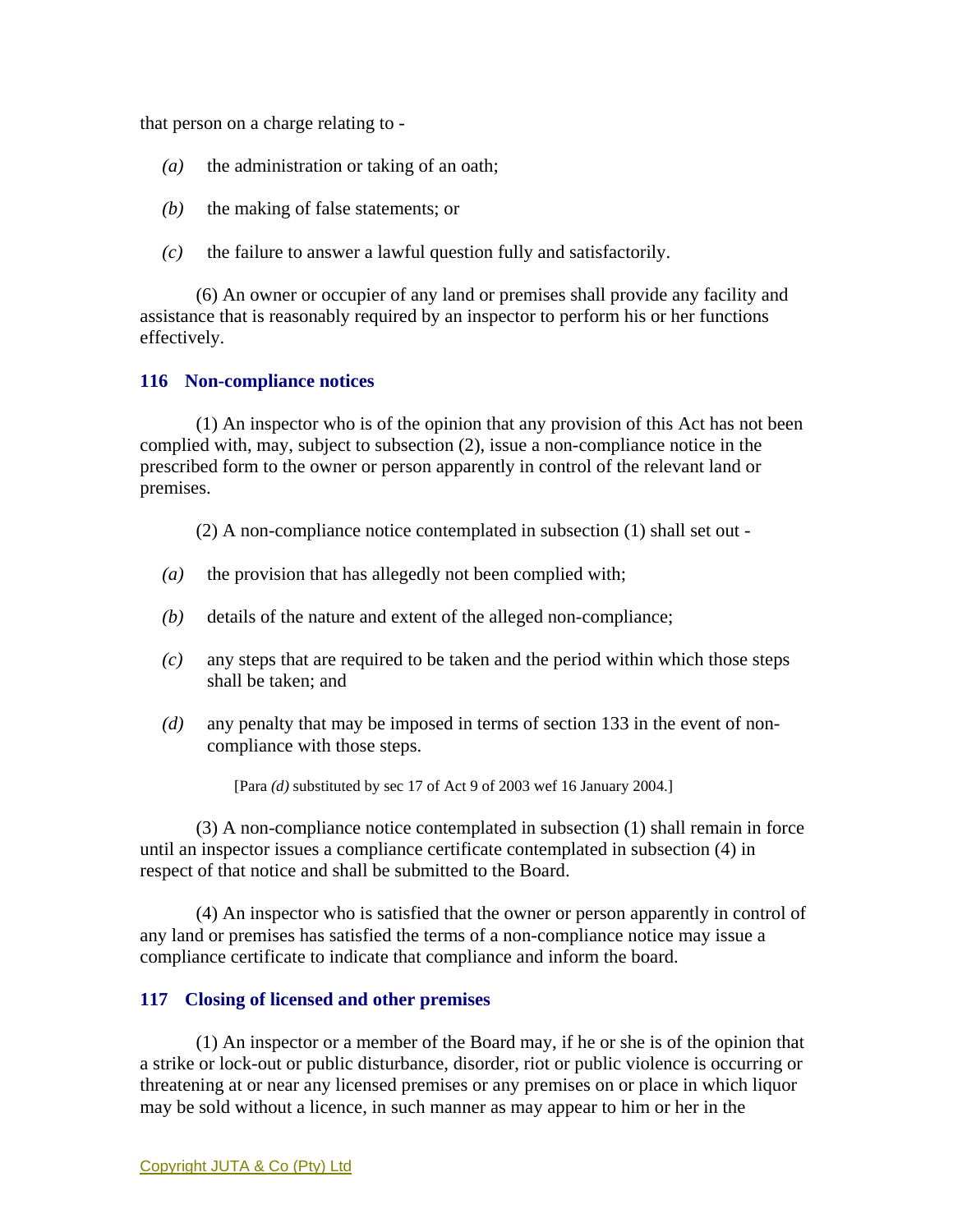that person on a charge relating to -

- *(a)* the administration or taking of an oath;
- *(b)* the making of false statements; or
- *(c)* the failure to answer a lawful question fully and satisfactorily.

 (6) An owner or occupier of any land or premises shall provide any facility and assistance that is reasonably required by an inspector to perform his or her functions effectively.

### **116 Non-compliance notices**

 (1) An inspector who is of the opinion that any provision of this Act has not been complied with, may, subject to subsection (2), issue a non-compliance notice in the prescribed form to the owner or person apparently in control of the relevant land or premises.

(2) A non-compliance notice contemplated in subsection (1) shall set out -

- *(a)* the provision that has allegedly not been complied with;
- *(b)* details of the nature and extent of the alleged non-compliance;
- *(c)* any steps that are required to be taken and the period within which those steps shall be taken; and
- *(d)* any penalty that may be imposed in terms of section 133 in the event of noncompliance with those steps.

[Para *(d)* substituted by sec 17 of Act 9 of 2003 wef 16 January 2004.]

 (3) A non-compliance notice contemplated in subsection (1) shall remain in force until an inspector issues a compliance certificate contemplated in subsection (4) in respect of that notice and shall be submitted to the Board.

 (4) An inspector who is satisfied that the owner or person apparently in control of any land or premises has satisfied the terms of a non-compliance notice may issue a compliance certificate to indicate that compliance and inform the board.

## **117 Closing of licensed and other premises**

 (1) An inspector or a member of the Board may, if he or she is of the opinion that a strike or lock-out or public disturbance, disorder, riot or public violence is occurring or threatening at or near any licensed premises or any premises on or place in which liquor may be sold without a licence, in such manner as may appear to him or her in the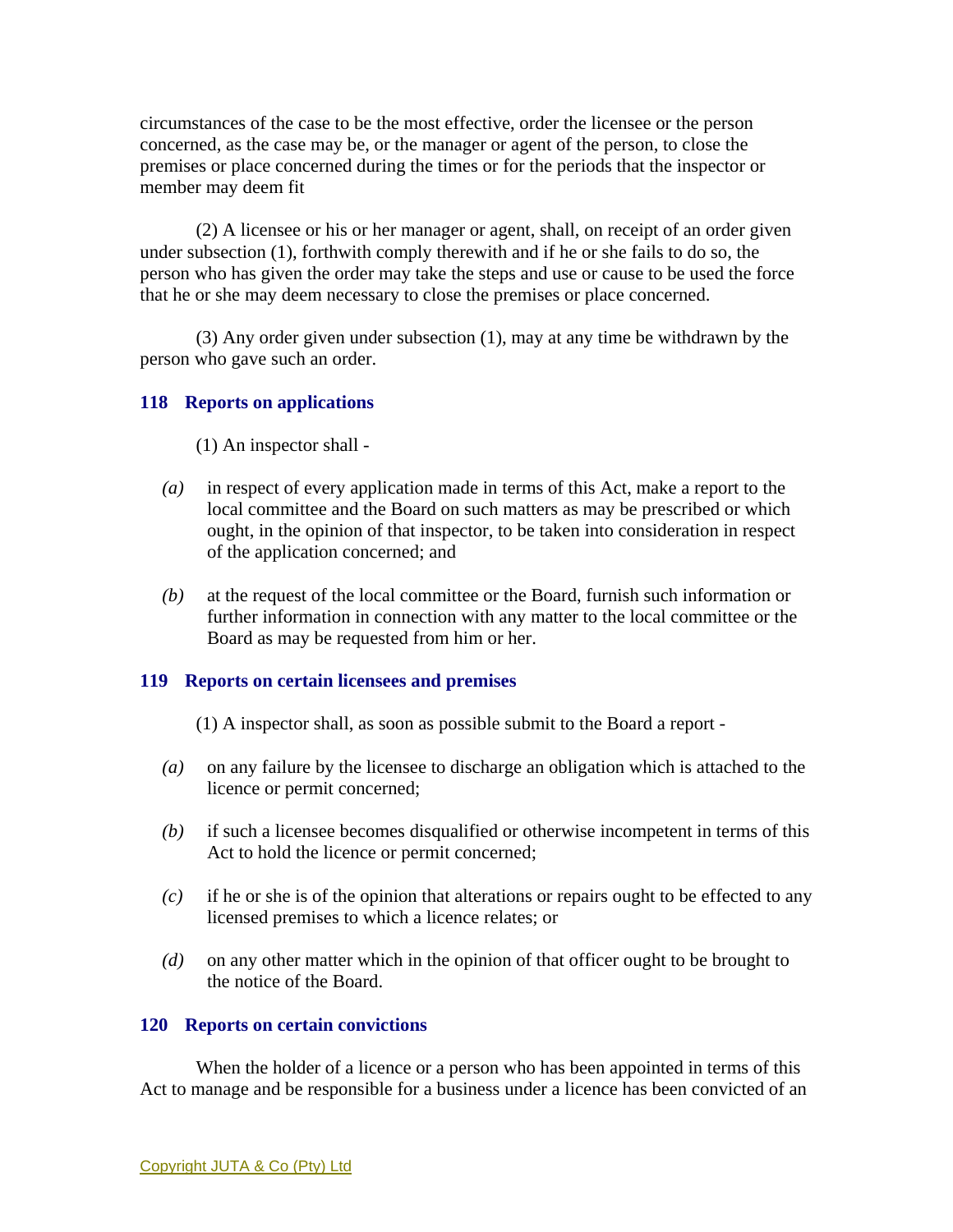circumstances of the case to be the most effective, order the licensee or the person concerned, as the case may be, or the manager or agent of the person, to close the premises or place concerned during the times or for the periods that the inspector or member may deem fit

 (2) A licensee or his or her manager or agent, shall, on receipt of an order given under subsection (1), forthwith comply therewith and if he or she fails to do so, the person who has given the order may take the steps and use or cause to be used the force that he or she may deem necessary to close the premises or place concerned.

 (3) Any order given under subsection (1), may at any time be withdrawn by the person who gave such an order.

### **118 Reports on applications**

- (1) An inspector shall -
- *(a)* in respect of every application made in terms of this Act, make a report to the local committee and the Board on such matters as may be prescribed or which ought, in the opinion of that inspector, to be taken into consideration in respect of the application concerned; and
- *(b)* at the request of the local committee or the Board, furnish such information or further information in connection with any matter to the local committee or the Board as may be requested from him or her.

#### **119 Reports on certain licensees and premises**

- (1) A inspector shall, as soon as possible submit to the Board a report -
- *(a)* on any failure by the licensee to discharge an obligation which is attached to the licence or permit concerned;
- *(b)* if such a licensee becomes disqualified or otherwise incompetent in terms of this Act to hold the licence or permit concerned;
- *(c)* if he or she is of the opinion that alterations or repairs ought to be effected to any licensed premises to which a licence relates; or
- *(d)* on any other matter which in the opinion of that officer ought to be brought to the notice of the Board.

#### **120 Reports on certain convictions**

 When the holder of a licence or a person who has been appointed in terms of this Act to manage and be responsible for a business under a licence has been convicted of an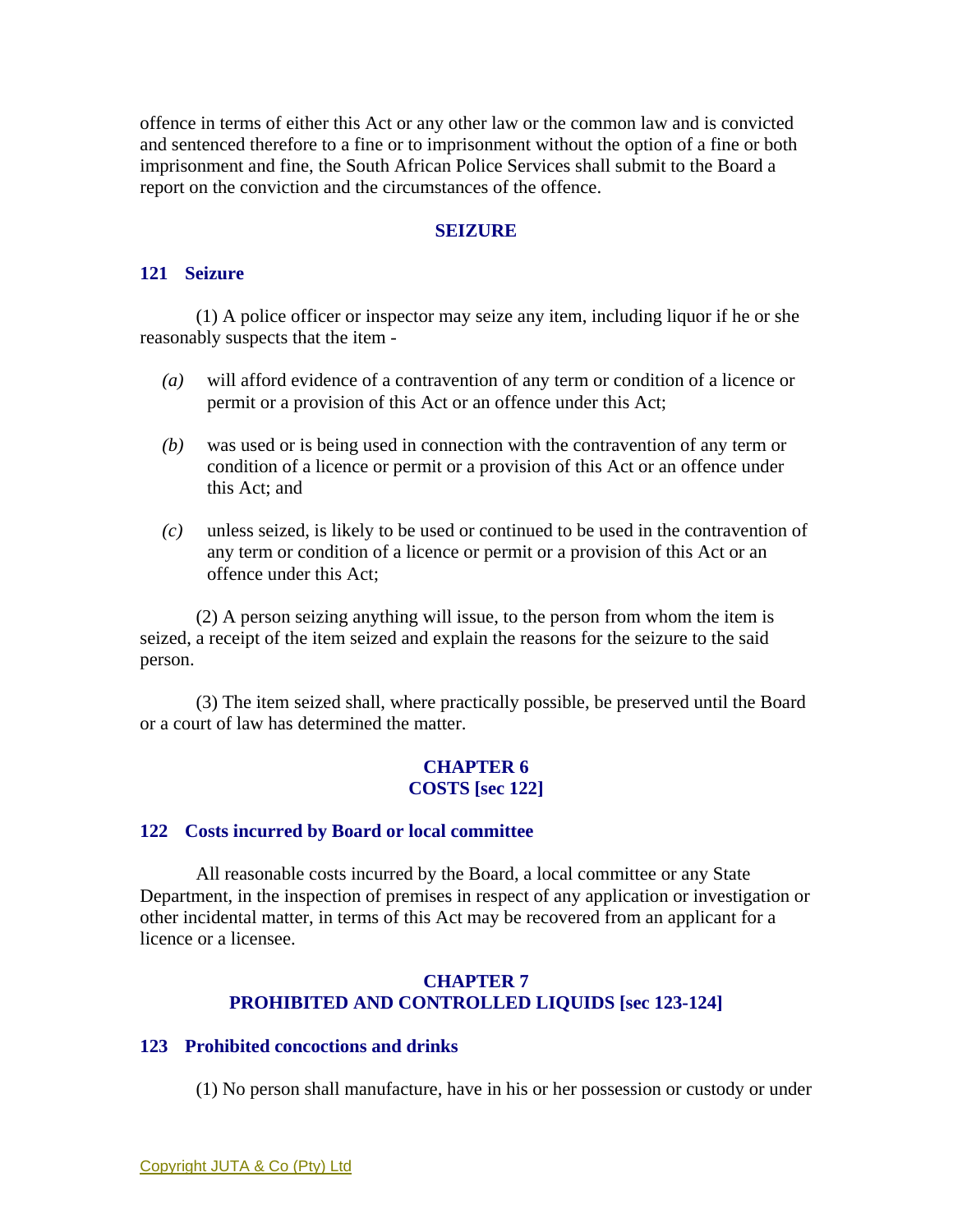offence in terms of either this Act or any other law or the common law and is convicted and sentenced therefore to a fine or to imprisonment without the option of a fine or both imprisonment and fine, the South African Police Services shall submit to the Board a report on the conviction and the circumstances of the offence.

#### **SEIZURE**

#### **121 Seizure**

 (1) A police officer or inspector may seize any item, including liquor if he or she reasonably suspects that the item -

- *(a)* will afford evidence of a contravention of any term or condition of a licence or permit or a provision of this Act or an offence under this Act;
- *(b)* was used or is being used in connection with the contravention of any term or condition of a licence or permit or a provision of this Act or an offence under this Act; and
- *(c)* unless seized, is likely to be used or continued to be used in the contravention of any term or condition of a licence or permit or a provision of this Act or an offence under this Act;

 (2) A person seizing anything will issue, to the person from whom the item is seized, a receipt of the item seized and explain the reasons for the seizure to the said person.

 (3) The item seized shall, where practically possible, be preserved until the Board or a court of law has determined the matter.

#### **CHAPTER 6 COSTS [sec 122]**

#### **122 Costs incurred by Board or local committee**

 All reasonable costs incurred by the Board, a local committee or any State Department, in the inspection of premises in respect of any application or investigation or other incidental matter, in terms of this Act may be recovered from an applicant for a licence or a licensee.

#### **CHAPTER 7 PROHIBITED AND CONTROLLED LIQUIDS [sec 123-124]**

#### **123 Prohibited concoctions and drinks**

(1) No person shall manufacture, have in his or her possession or custody or under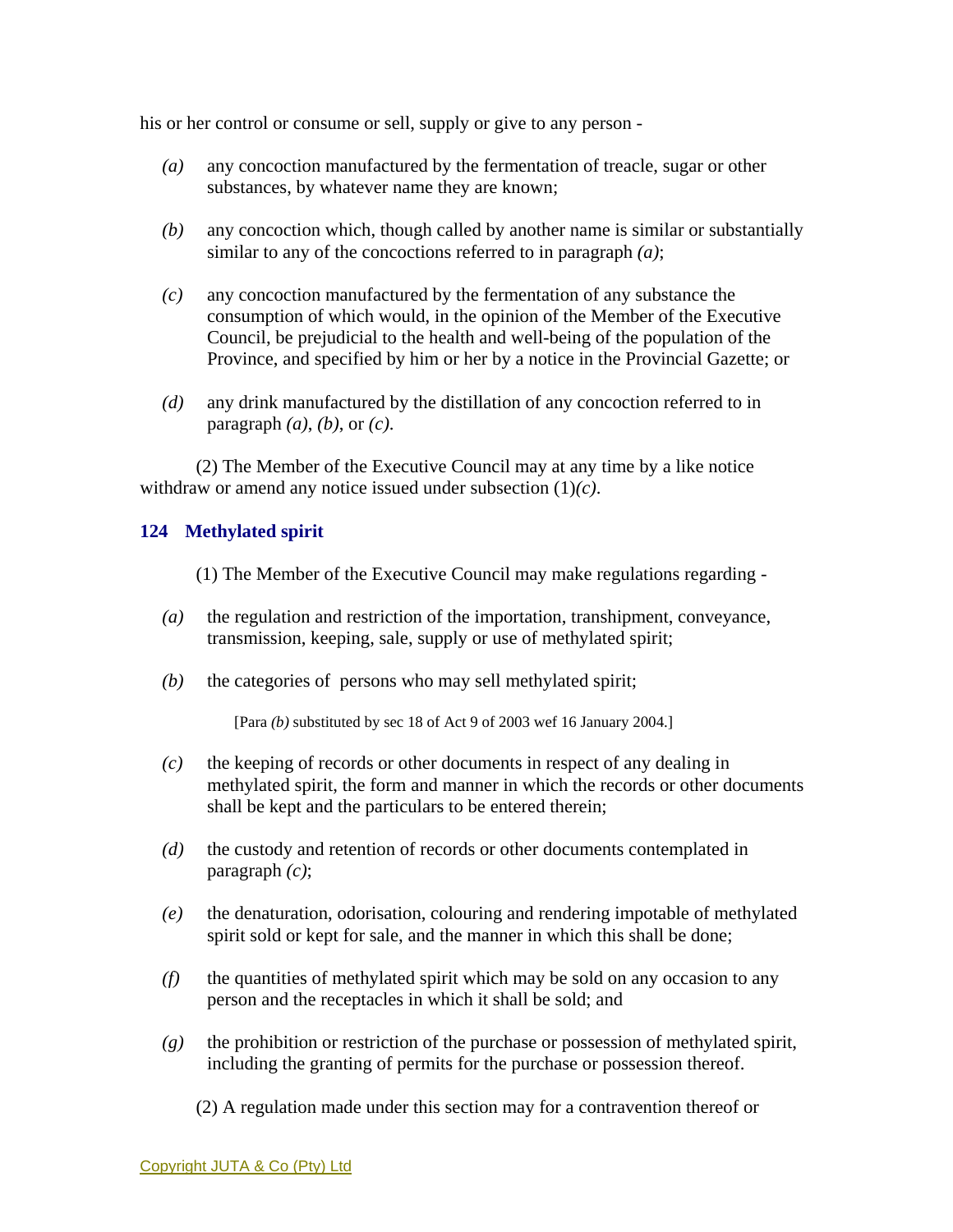his or her control or consume or sell, supply or give to any person -

- *(a)* any concoction manufactured by the fermentation of treacle, sugar or other substances, by whatever name they are known;
- *(b)* any concoction which, though called by another name is similar or substantially similar to any of the concoctions referred to in paragraph *(a)*;
- *(c)* any concoction manufactured by the fermentation of any substance the consumption of which would, in the opinion of the Member of the Executive Council, be prejudicial to the health and well-being of the population of the Province, and specified by him or her by a notice in the Provincial Gazette; or
- *(d)* any drink manufactured by the distillation of any concoction referred to in paragraph *(a)*, *(b)*, or *(c)*.

 (2) The Member of the Executive Council may at any time by a like notice withdraw or amend any notice issued under subsection (1)*(c)*.

## **124 Methylated spirit**

(1) The Member of the Executive Council may make regulations regarding -

- *(a)* the regulation and restriction of the importation, transhipment, conveyance, transmission, keeping, sale, supply or use of methylated spirit;
- *(b)* the categories of persons who may sell methylated spirit;

[Para *(b)* substituted by sec 18 of Act 9 of 2003 wef 16 January 2004.]

- *(c)* the keeping of records or other documents in respect of any dealing in methylated spirit, the form and manner in which the records or other documents shall be kept and the particulars to be entered therein;
- *(d)* the custody and retention of records or other documents contemplated in paragraph *(c)*;
- *(e)* the denaturation, odorisation, colouring and rendering impotable of methylated spirit sold or kept for sale, and the manner in which this shall be done;
- *(f)* the quantities of methylated spirit which may be sold on any occasion to any person and the receptacles in which it shall be sold; and
- *(g)* the prohibition or restriction of the purchase or possession of methylated spirit, including the granting of permits for the purchase or possession thereof.
	- (2) A regulation made under this section may for a contravention thereof or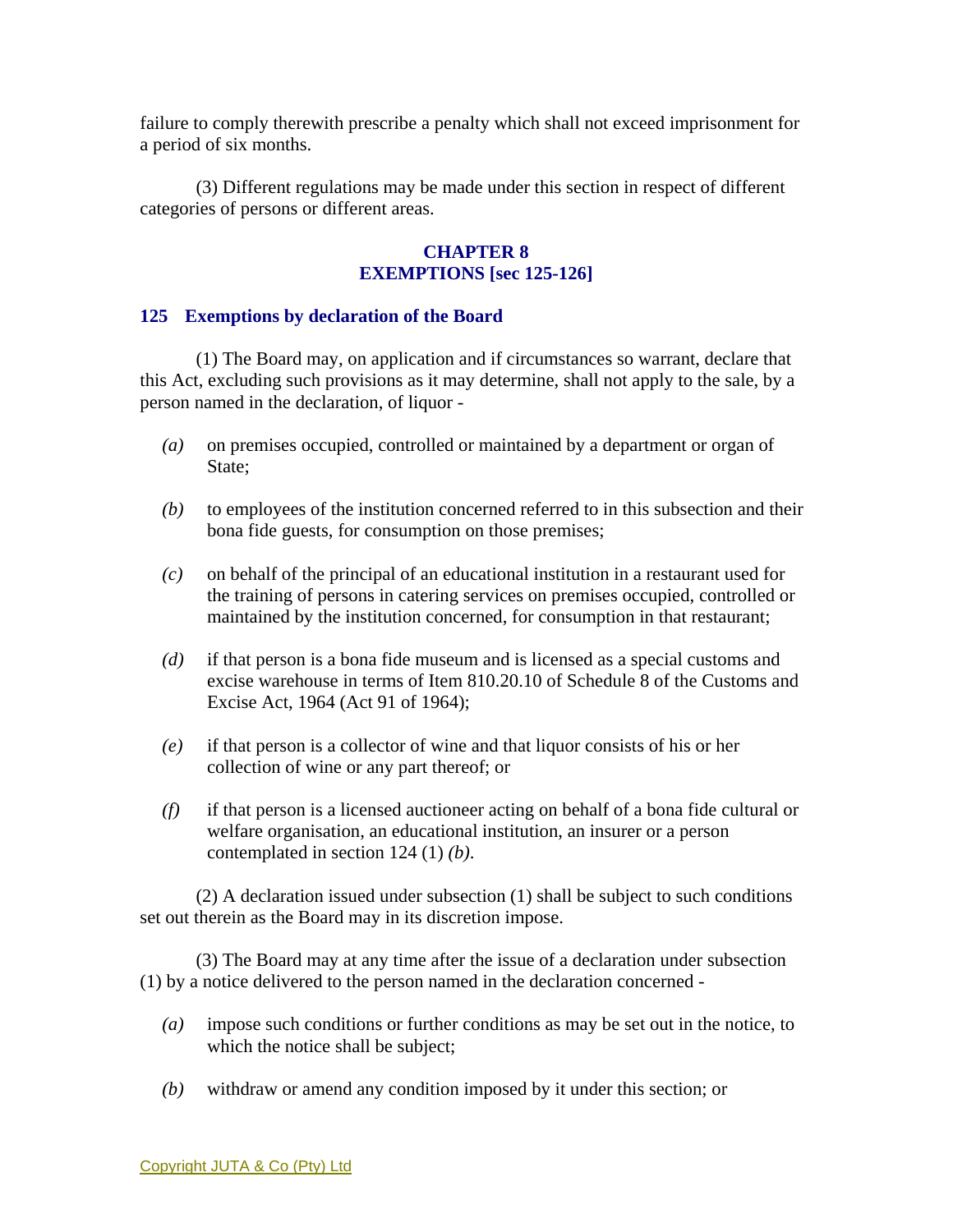failure to comply therewith prescribe a penalty which shall not exceed imprisonment for a period of six months.

 (3) Different regulations may be made under this section in respect of different categories of persons or different areas.

# **CHAPTER 8 EXEMPTIONS [sec 125-126]**

## **125 Exemptions by declaration of the Board**

 (1) The Board may, on application and if circumstances so warrant, declare that this Act, excluding such provisions as it may determine, shall not apply to the sale, by a person named in the declaration, of liquor -

- *(a)* on premises occupied, controlled or maintained by a department or organ of State:
- *(b)* to employees of the institution concerned referred to in this subsection and their bona fide guests, for consumption on those premises;
- *(c)* on behalf of the principal of an educational institution in a restaurant used for the training of persons in catering services on premises occupied, controlled or maintained by the institution concerned, for consumption in that restaurant;
- *(d)* if that person is a bona fide museum and is licensed as a special customs and excise warehouse in terms of Item 810.20.10 of Schedule 8 of the Customs and Excise Act, 1964 (Act 91 of 1964);
- *(e)* if that person is a collector of wine and that liquor consists of his or her collection of wine or any part thereof; or
- *(f)* if that person is a licensed auctioneer acting on behalf of a bona fide cultural or welfare organisation, an educational institution, an insurer or a person contemplated in section 124 (1) *(b)*.

 (2) A declaration issued under subsection (1) shall be subject to such conditions set out therein as the Board may in its discretion impose.

 (3) The Board may at any time after the issue of a declaration under subsection (1) by a notice delivered to the person named in the declaration concerned -

- *(a)* impose such conditions or further conditions as may be set out in the notice, to which the notice shall be subject;
- *(b)* withdraw or amend any condition imposed by it under this section; or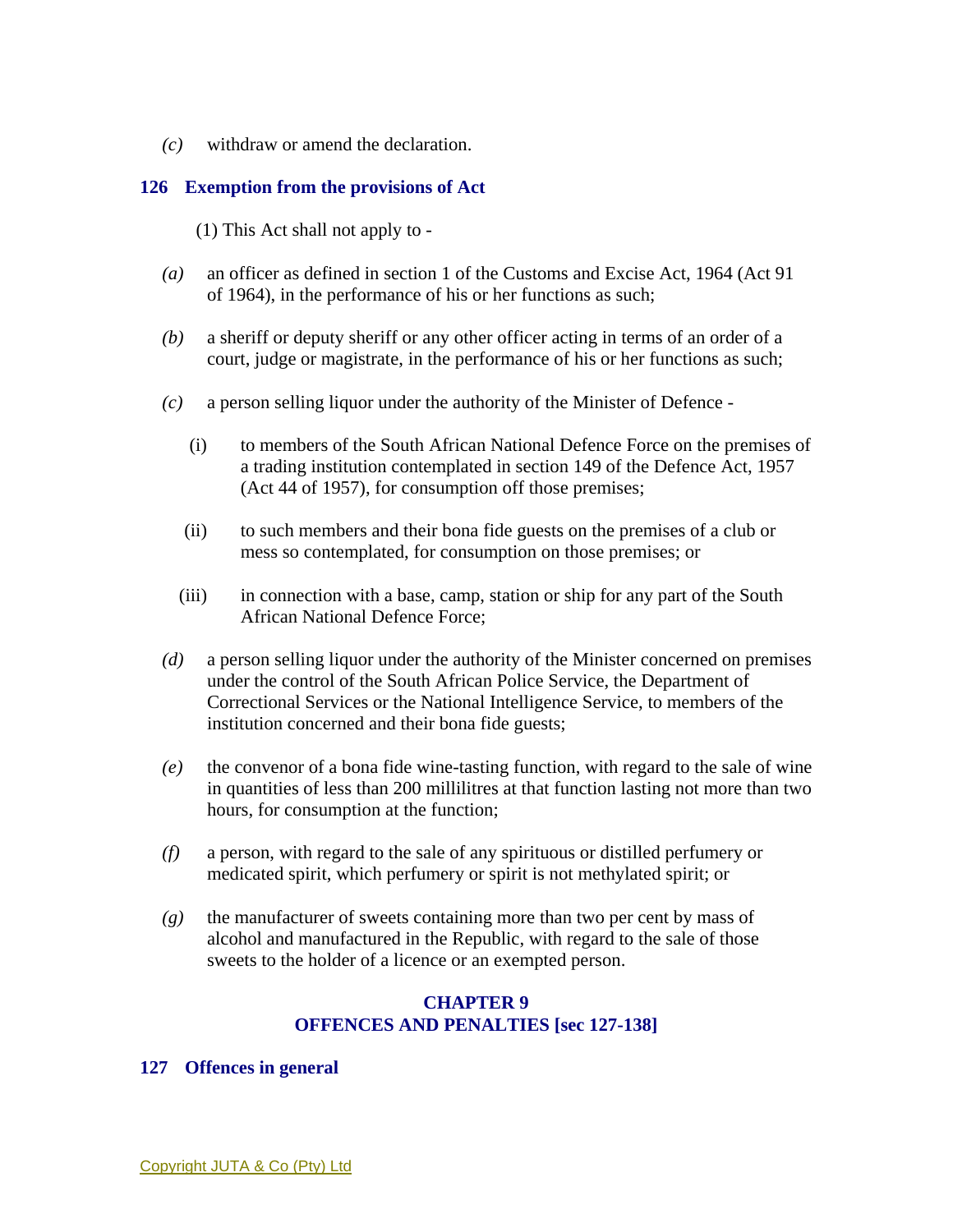*(c)* withdraw or amend the declaration.

### **126 Exemption from the provisions of Act**

(1) This Act shall not apply to -

- *(a)* an officer as defined in section 1 of the Customs and Excise Act, 1964 (Act 91 of 1964), in the performance of his or her functions as such;
- *(b)* a sheriff or deputy sheriff or any other officer acting in terms of an order of a court, judge or magistrate, in the performance of his or her functions as such;
- *(c)* a person selling liquor under the authority of the Minister of Defence
	- (i) to members of the South African National Defence Force on the premises of a trading institution contemplated in section 149 of the Defence Act, 1957 (Act 44 of 1957), for consumption off those premises;
	- (ii) to such members and their bona fide guests on the premises of a club or mess so contemplated, for consumption on those premises; or
	- (iii) in connection with a base, camp, station or ship for any part of the South African National Defence Force;
- *(d)* a person selling liquor under the authority of the Minister concerned on premises under the control of the South African Police Service, the Department of Correctional Services or the National Intelligence Service, to members of the institution concerned and their bona fide guests;
- *(e)* the convenor of a bona fide wine-tasting function, with regard to the sale of wine in quantities of less than 200 millilitres at that function lasting not more than two hours, for consumption at the function;
- *(f)* a person, with regard to the sale of any spirituous or distilled perfumery or medicated spirit, which perfumery or spirit is not methylated spirit; or
- *(g)* the manufacturer of sweets containing more than two per cent by mass of alcohol and manufactured in the Republic, with regard to the sale of those sweets to the holder of a licence or an exempted person.

## **CHAPTER 9 OFFENCES AND PENALTIES [sec 127-138]**

#### **127 Offences in general**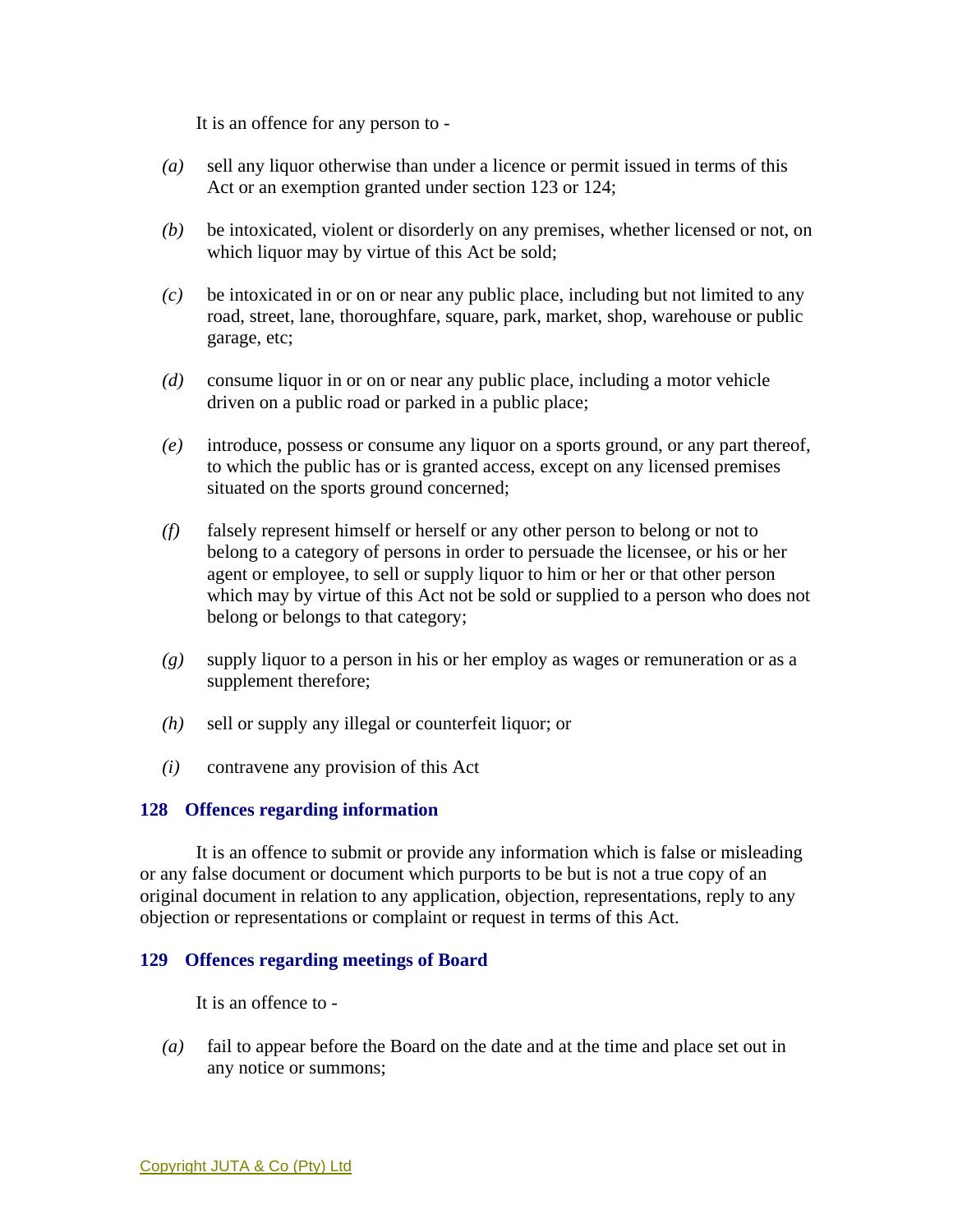It is an offence for any person to -

- *(a)* sell any liquor otherwise than under a licence or permit issued in terms of this Act or an exemption granted under section 123 or 124;
- *(b)* be intoxicated, violent or disorderly on any premises, whether licensed or not, on which liquor may by virtue of this Act be sold;
- *(c)* be intoxicated in or on or near any public place, including but not limited to any road, street, lane, thoroughfare, square, park, market, shop, warehouse or public garage, etc;
- *(d)* consume liquor in or on or near any public place, including a motor vehicle driven on a public road or parked in a public place;
- *(e)* introduce, possess or consume any liquor on a sports ground, or any part thereof, to which the public has or is granted access, except on any licensed premises situated on the sports ground concerned;
- *(f)* falsely represent himself or herself or any other person to belong or not to belong to a category of persons in order to persuade the licensee, or his or her agent or employee, to sell or supply liquor to him or her or that other person which may by virtue of this Act not be sold or supplied to a person who does not belong or belongs to that category;
- *(g)* supply liquor to a person in his or her employ as wages or remuneration or as a supplement therefore;
- *(h)* sell or supply any illegal or counterfeit liquor; or
- *(i)* contravene any provision of this Act

#### **128 Offences regarding information**

 It is an offence to submit or provide any information which is false or misleading or any false document or document which purports to be but is not a true copy of an original document in relation to any application, objection, representations, reply to any objection or representations or complaint or request in terms of this Act.

#### **129 Offences regarding meetings of Board**

It is an offence to -

*(a)* fail to appear before the Board on the date and at the time and place set out in any notice or summons;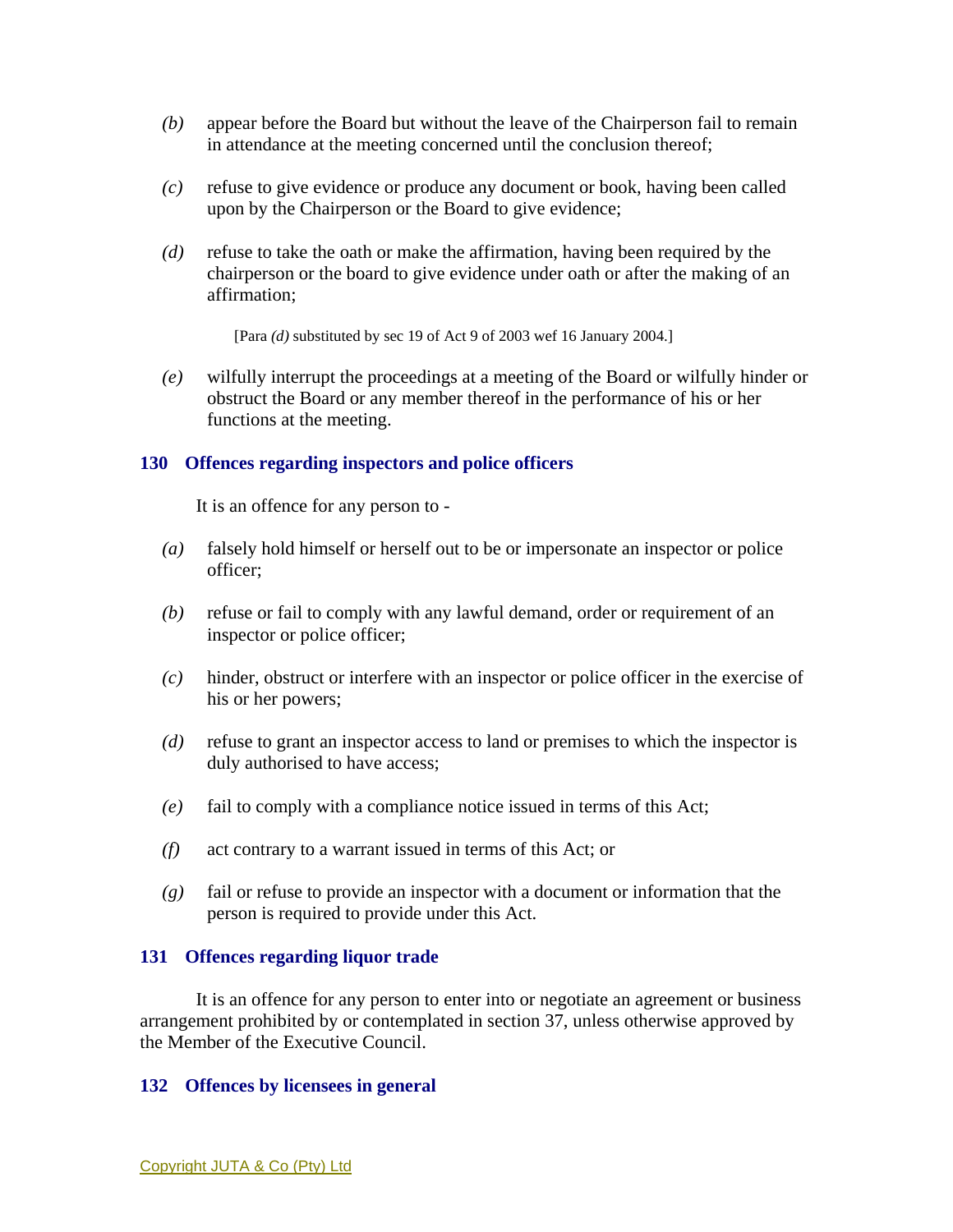- *(b)* appear before the Board but without the leave of the Chairperson fail to remain in attendance at the meeting concerned until the conclusion thereof;
- *(c)* refuse to give evidence or produce any document or book, having been called upon by the Chairperson or the Board to give evidence;
- *(d)* refuse to take the oath or make the affirmation, having been required by the chairperson or the board to give evidence under oath or after the making of an affirmation;

[Para *(d)* substituted by sec 19 of Act 9 of 2003 wef 16 January 2004.]

*(e)* wilfully interrupt the proceedings at a meeting of the Board or wilfully hinder or obstruct the Board or any member thereof in the performance of his or her functions at the meeting.

## **130 Offences regarding inspectors and police officers**

It is an offence for any person to -

- *(a)* falsely hold himself or herself out to be or impersonate an inspector or police officer;
- *(b)* refuse or fail to comply with any lawful demand, order or requirement of an inspector or police officer;
- *(c)* hinder, obstruct or interfere with an inspector or police officer in the exercise of his or her powers;
- *(d)* refuse to grant an inspector access to land or premises to which the inspector is duly authorised to have access;
- *(e)* fail to comply with a compliance notice issued in terms of this Act;
- *(f)* act contrary to a warrant issued in terms of this Act; or
- *(g)* fail or refuse to provide an inspector with a document or information that the person is required to provide under this Act.

#### **131 Offences regarding liquor trade**

 It is an offence for any person to enter into or negotiate an agreement or business arrangement prohibited by or contemplated in section 37, unless otherwise approved by the Member of the Executive Council.

#### **132 Offences by licensees in general**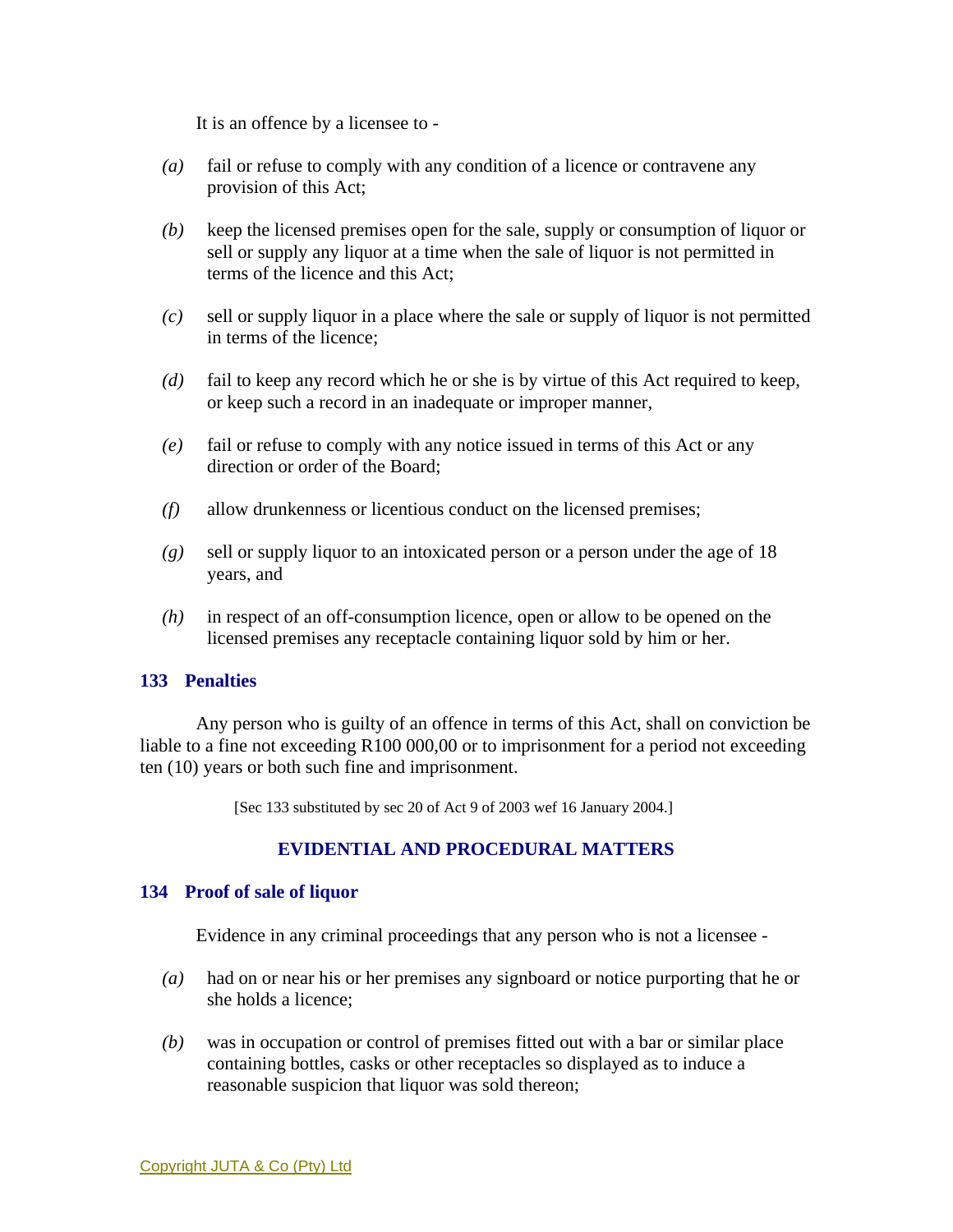It is an offence by a licensee to -

- *(a)* fail or refuse to comply with any condition of a licence or contravene any provision of this Act;
- *(b)* keep the licensed premises open for the sale, supply or consumption of liquor or sell or supply any liquor at a time when the sale of liquor is not permitted in terms of the licence and this Act;
- *(c)* sell or supply liquor in a place where the sale or supply of liquor is not permitted in terms of the licence;
- *(d)* fail to keep any record which he or she is by virtue of this Act required to keep, or keep such a record in an inadequate or improper manner,
- *(e)* fail or refuse to comply with any notice issued in terms of this Act or any direction or order of the Board;
- *(f)* allow drunkenness or licentious conduct on the licensed premises;
- *(g)* sell or supply liquor to an intoxicated person or a person under the age of 18 years, and
- *(h)* in respect of an off-consumption licence, open or allow to be opened on the licensed premises any receptacle containing liquor sold by him or her.

## **133 Penalties**

 Any person who is guilty of an offence in terms of this Act, shall on conviction be liable to a fine not exceeding R100 000,00 or to imprisonment for a period not exceeding ten (10) years or both such fine and imprisonment.

[Sec 133 substituted by sec 20 of Act 9 of 2003 wef 16 January 2004.]

# **EVIDENTIAL AND PROCEDURAL MATTERS**

#### **134 Proof of sale of liquor**

Evidence in any criminal proceedings that any person who is not a licensee -

- *(a)* had on or near his or her premises any signboard or notice purporting that he or she holds a licence;
- *(b)* was in occupation or control of premises fitted out with a bar or similar place containing bottles, casks or other receptacles so displayed as to induce a reasonable suspicion that liquor was sold thereon;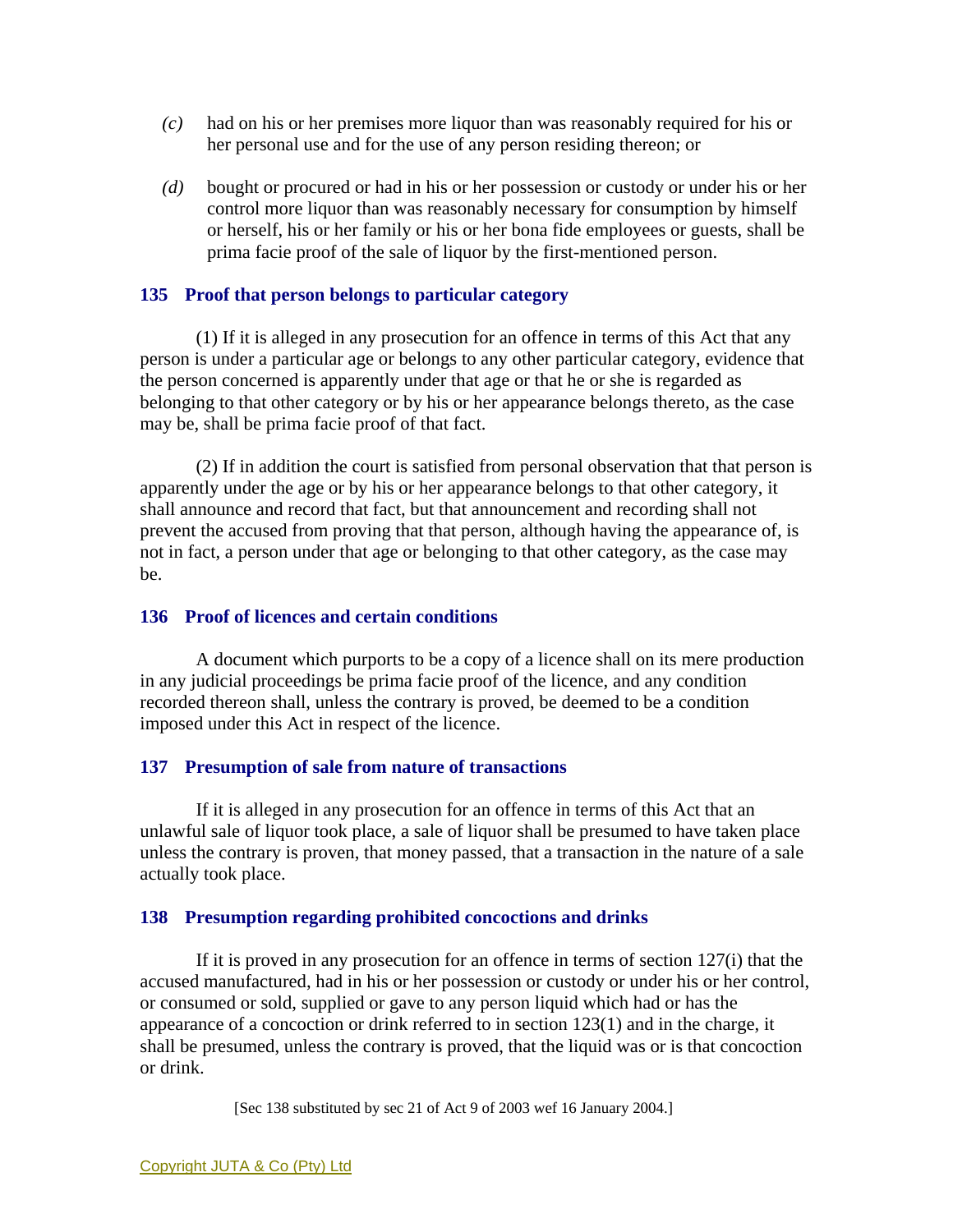- *(c)* had on his or her premises more liquor than was reasonably required for his or her personal use and for the use of any person residing thereon; or
- *(d)* bought or procured or had in his or her possession or custody or under his or her control more liquor than was reasonably necessary for consumption by himself or herself, his or her family or his or her bona fide employees or guests, shall be prima facie proof of the sale of liquor by the first-mentioned person.

## **135 Proof that person belongs to particular category**

 (1) If it is alleged in any prosecution for an offence in terms of this Act that any person is under a particular age or belongs to any other particular category, evidence that the person concerned is apparently under that age or that he or she is regarded as belonging to that other category or by his or her appearance belongs thereto, as the case may be, shall be prima facie proof of that fact.

 (2) If in addition the court is satisfied from personal observation that that person is apparently under the age or by his or her appearance belongs to that other category, it shall announce and record that fact, but that announcement and recording shall not prevent the accused from proving that that person, although having the appearance of, is not in fact, a person under that age or belonging to that other category, as the case may be.

### **136 Proof of licences and certain conditions**

 A document which purports to be a copy of a licence shall on its mere production in any judicial proceedings be prima facie proof of the licence, and any condition recorded thereon shall, unless the contrary is proved, be deemed to be a condition imposed under this Act in respect of the licence.

## **137 Presumption of sale from nature of transactions**

 If it is alleged in any prosecution for an offence in terms of this Act that an unlawful sale of liquor took place, a sale of liquor shall be presumed to have taken place unless the contrary is proven, that money passed, that a transaction in the nature of a sale actually took place.

#### **138 Presumption regarding prohibited concoctions and drinks**

 If it is proved in any prosecution for an offence in terms of section 127(i) that the accused manufactured, had in his or her possession or custody or under his or her control, or consumed or sold, supplied or gave to any person liquid which had or has the appearance of a concoction or drink referred to in section 123(1) and in the charge, it shall be presumed, unless the contrary is proved, that the liquid was or is that concoction or drink.

[Sec 138 substituted by sec 21 of Act 9 of 2003 wef 16 January 2004.]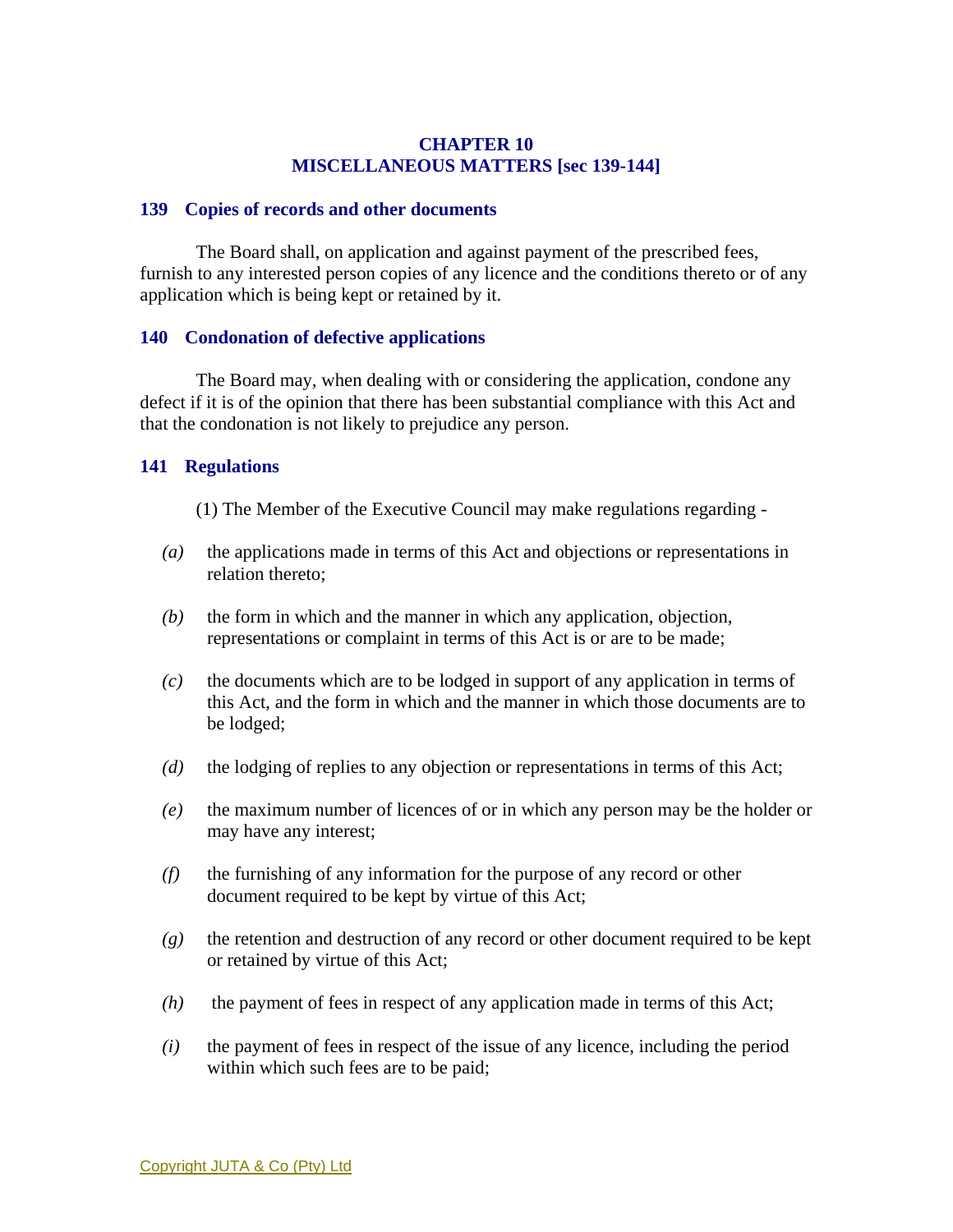## **CHAPTER 10 MISCELLANEOUS MATTERS [sec 139-144]**

#### **139 Copies of records and other documents**

 The Board shall, on application and against payment of the prescribed fees, furnish to any interested person copies of any licence and the conditions thereto or of any application which is being kept or retained by it.

### **140 Condonation of defective applications**

 The Board may, when dealing with or considering the application, condone any defect if it is of the opinion that there has been substantial compliance with this Act and that the condonation is not likely to prejudice any person.

## **141 Regulations**

- (1) The Member of the Executive Council may make regulations regarding -
- *(a)* the applications made in terms of this Act and objections or representations in relation thereto;
- *(b)* the form in which and the manner in which any application, objection, representations or complaint in terms of this Act is or are to be made;
- *(c)* the documents which are to be lodged in support of any application in terms of this Act, and the form in which and the manner in which those documents are to be lodged;
- *(d)* the lodging of replies to any objection or representations in terms of this Act;
- *(e)* the maximum number of licences of or in which any person may be the holder or may have any interest;
- *(f)* the furnishing of any information for the purpose of any record or other document required to be kept by virtue of this Act;
- *(g)* the retention and destruction of any record or other document required to be kept or retained by virtue of this Act;
- *(h)* the payment of fees in respect of any application made in terms of this Act;
- *(i)* the payment of fees in respect of the issue of any licence, including the period within which such fees are to be paid;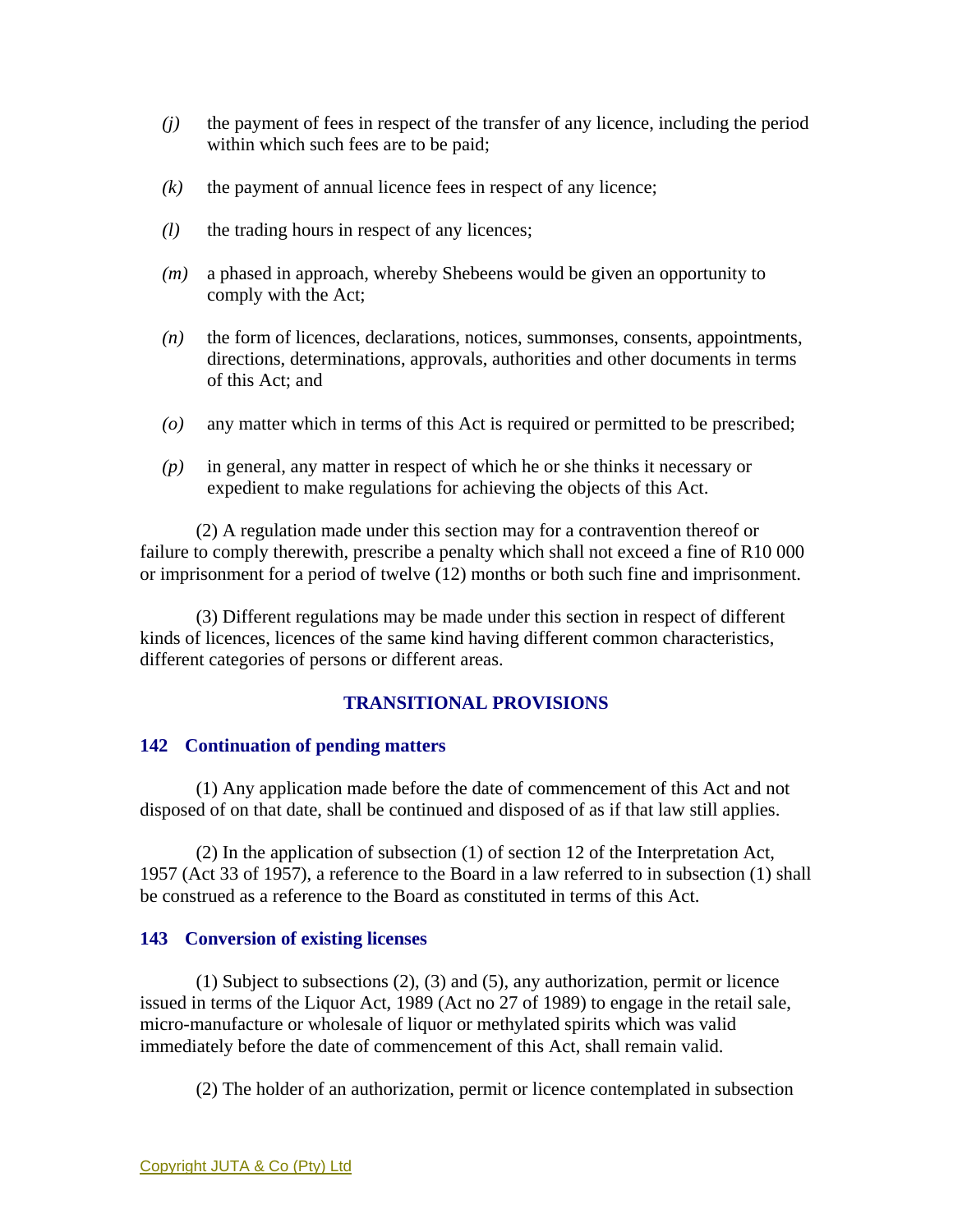- *(j)* the payment of fees in respect of the transfer of any licence, including the period within which such fees are to be paid;
- $(k)$  the payment of annual licence fees in respect of any licence;
- *(l)* the trading hours in respect of any licences;
- *(m)* a phased in approach, whereby Shebeens would be given an opportunity to comply with the Act;
- *(n)* the form of licences, declarations, notices, summonses, consents, appointments, directions, determinations, approvals, authorities and other documents in terms of this Act; and
- *(o)* any matter which in terms of this Act is required or permitted to be prescribed;
- *(p)* in general, any matter in respect of which he or she thinks it necessary or expedient to make regulations for achieving the objects of this Act.

 (2) A regulation made under this section may for a contravention thereof or failure to comply therewith, prescribe a penalty which shall not exceed a fine of R10 000 or imprisonment for a period of twelve (12) months or both such fine and imprisonment.

 (3) Different regulations may be made under this section in respect of different kinds of licences, licences of the same kind having different common characteristics, different categories of persons or different areas.

# **TRANSITIONAL PROVISIONS**

## **142 Continuation of pending matters**

 (1) Any application made before the date of commencement of this Act and not disposed of on that date, shall be continued and disposed of as if that law still applies.

 (2) In the application of subsection (1) of section 12 of the Interpretation Act, 1957 (Act 33 of 1957), a reference to the Board in a law referred to in subsection (1) shall be construed as a reference to the Board as constituted in terms of this Act.

## **143 Conversion of existing licenses**

 (1) Subject to subsections (2), (3) and (5), any authorization, permit or licence issued in terms of the Liquor Act, 1989 (Act no 27 of 1989) to engage in the retail sale, micro-manufacture or wholesale of liquor or methylated spirits which was valid immediately before the date of commencement of this Act, shall remain valid.

(2) The holder of an authorization, permit or licence contemplated in subsection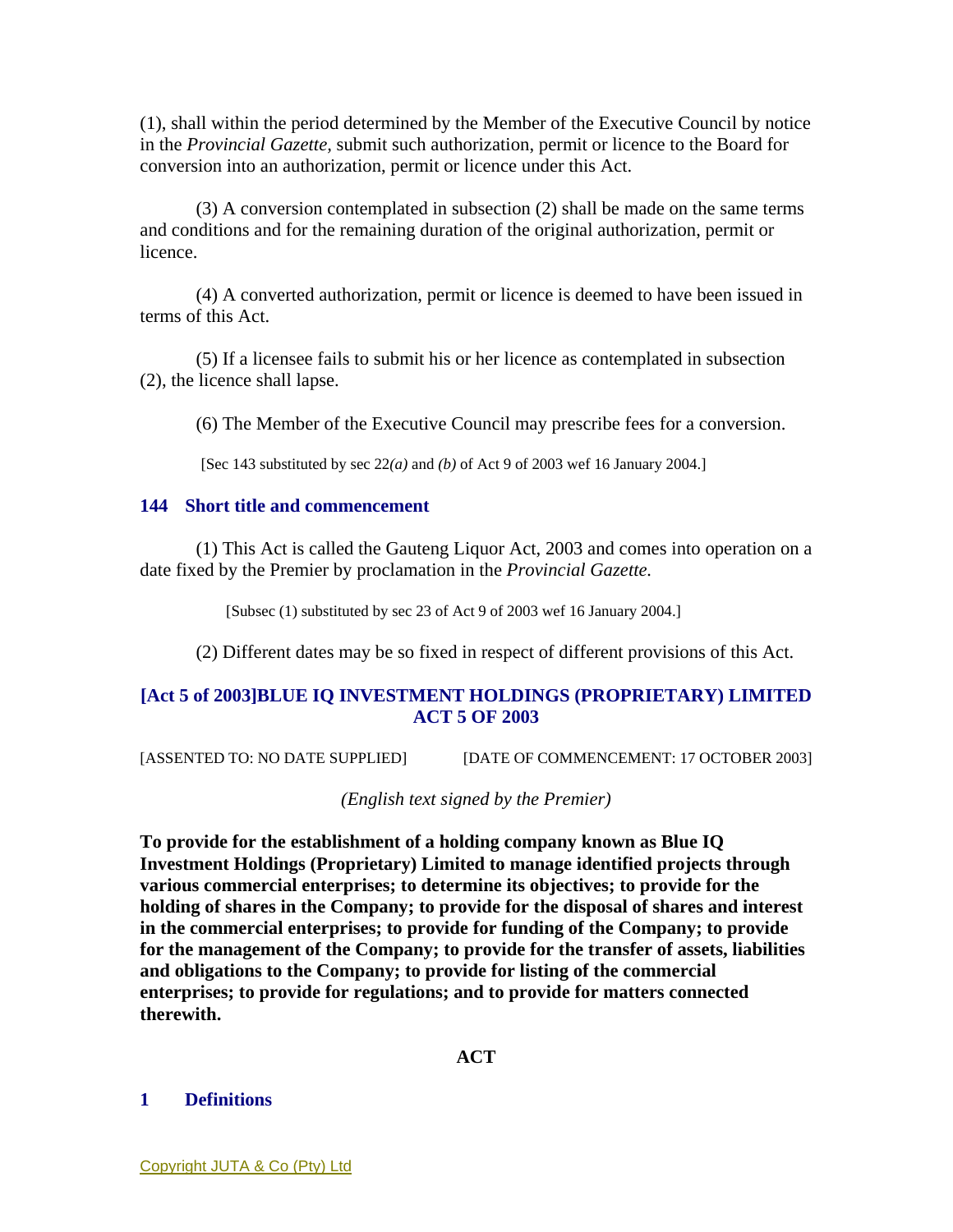(1), shall within the period determined by the Member of the Executive Council by notice in the *Provincial Gazette,* submit such authorization, permit or licence to the Board for conversion into an authorization, permit or licence under this Act.

 (3) A conversion contemplated in subsection (2) shall be made on the same terms and conditions and for the remaining duration of the original authorization, permit or licence.

 (4) A converted authorization, permit or licence is deemed to have been issued in terms of this Act.

 (5) If a licensee fails to submit his or her licence as contemplated in subsection (2), the licence shall lapse.

(6) The Member of the Executive Council may prescribe fees for a conversion.

[Sec 143 substituted by sec 22*(a)* and *(b)* of Act 9 of 2003 wef 16 January 2004.]

## **144 Short title and commencement**

 (1) This Act is called the Gauteng Liquor Act, 2003 and comes into operation on a date fixed by the Premier by proclamation in the *Provincial Gazette.* 

[Subsec (1) substituted by sec 23 of Act 9 of 2003 wef 16 January 2004.]

(2) Different dates may be so fixed in respect of different provisions of this Act.

# **[Act 5 of 2003]BLUE IQ INVESTMENT HOLDINGS (PROPRIETARY) LIMITED ACT 5 OF 2003**

[ASSENTED TO: NO DATE SUPPLIED] [DATE OF COMMENCEMENT: 17 OCTOBER 2003]

*(English text signed by the Premier)* 

**To provide for the establishment of a holding company known as Blue IQ Investment Holdings (Proprietary) Limited to manage identified projects through various commercial enterprises; to determine its objectives; to provide for the holding of shares in the Company; to provide for the disposal of shares and interest in the commercial enterprises; to provide for funding of the Company; to provide for the management of the Company; to provide for the transfer of assets, liabilities and obligations to the Company; to provide for listing of the commercial enterprises; to provide for regulations; and to provide for matters connected therewith.** 

## **ACT**

## **1 Definitions**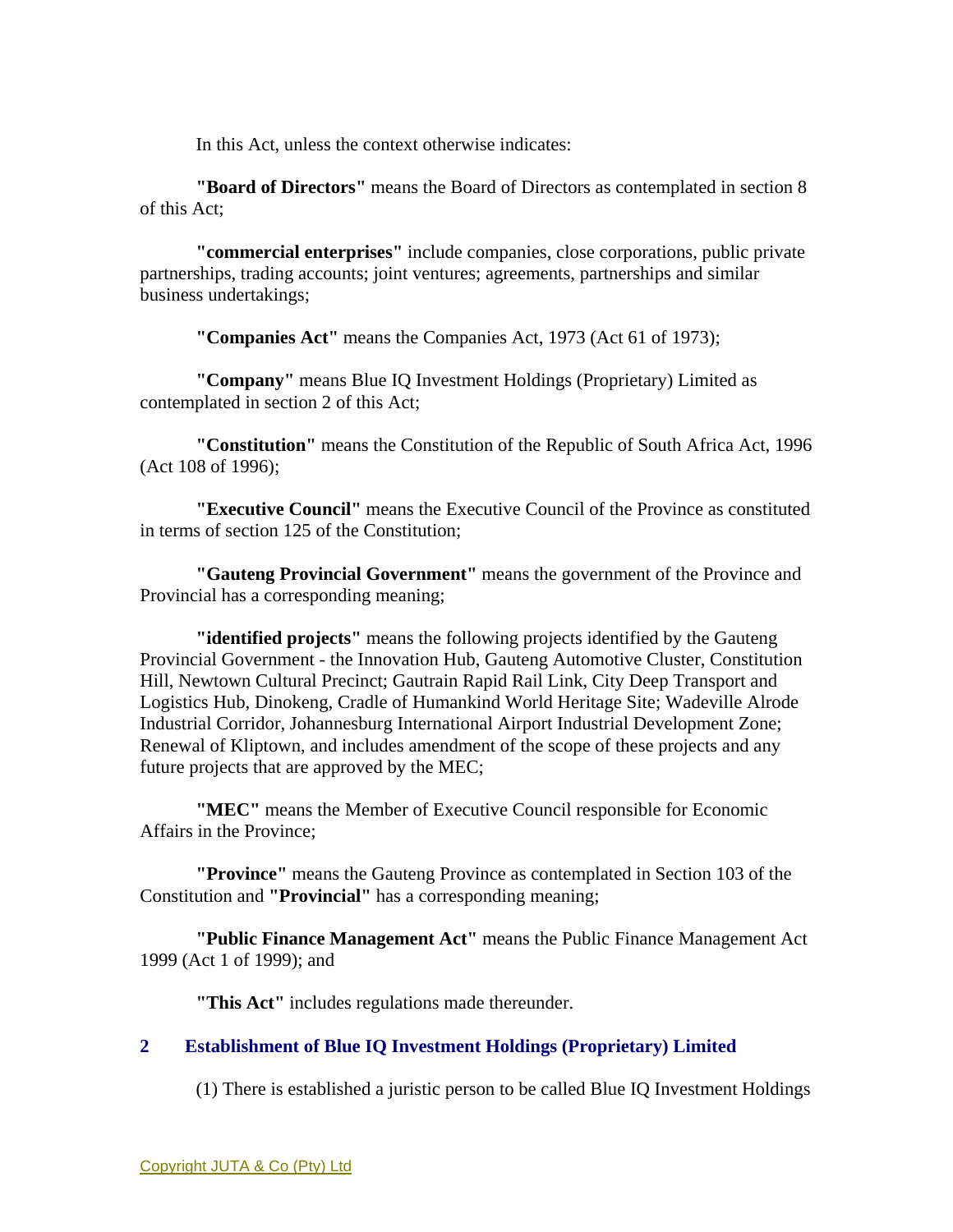In this Act, unless the context otherwise indicates:

**"Board of Directors"** means the Board of Directors as contemplated in section 8 of this Act;

**"commercial enterprises"** include companies, close corporations, public private partnerships, trading accounts; joint ventures; agreements, partnerships and similar business undertakings;

**"Companies Act"** means the Companies Act, 1973 (Act 61 of 1973);

**"Company"** means Blue IQ Investment Holdings (Proprietary) Limited as contemplated in section 2 of this Act;

**"Constitution"** means the Constitution of the Republic of South Africa Act, 1996 (Act 108 of 1996);

**"Executive Council"** means the Executive Council of the Province as constituted in terms of section 125 of the Constitution;

**"Gauteng Provincial Government"** means the government of the Province and Provincial has a corresponding meaning;

**"identified projects"** means the following projects identified by the Gauteng Provincial Government - the Innovation Hub, Gauteng Automotive Cluster, Constitution Hill, Newtown Cultural Precinct; Gautrain Rapid Rail Link, City Deep Transport and Logistics Hub, Dinokeng, Cradle of Humankind World Heritage Site; Wadeville Alrode Industrial Corridor, Johannesburg International Airport Industrial Development Zone; Renewal of Kliptown, and includes amendment of the scope of these projects and any future projects that are approved by the MEC;

**"MEC"** means the Member of Executive Council responsible for Economic Affairs in the Province;

**"Province"** means the Gauteng Province as contemplated in Section 103 of the Constitution and **"Provincial"** has a corresponding meaning;

**"Public Finance Management Act"** means the Public Finance Management Act 1999 (Act 1 of 1999); and

**"This Act"** includes regulations made thereunder.

# **2 Establishment of Blue IQ Investment Holdings (Proprietary) Limited**

(1) There is established a juristic person to be called Blue IQ Investment Holdings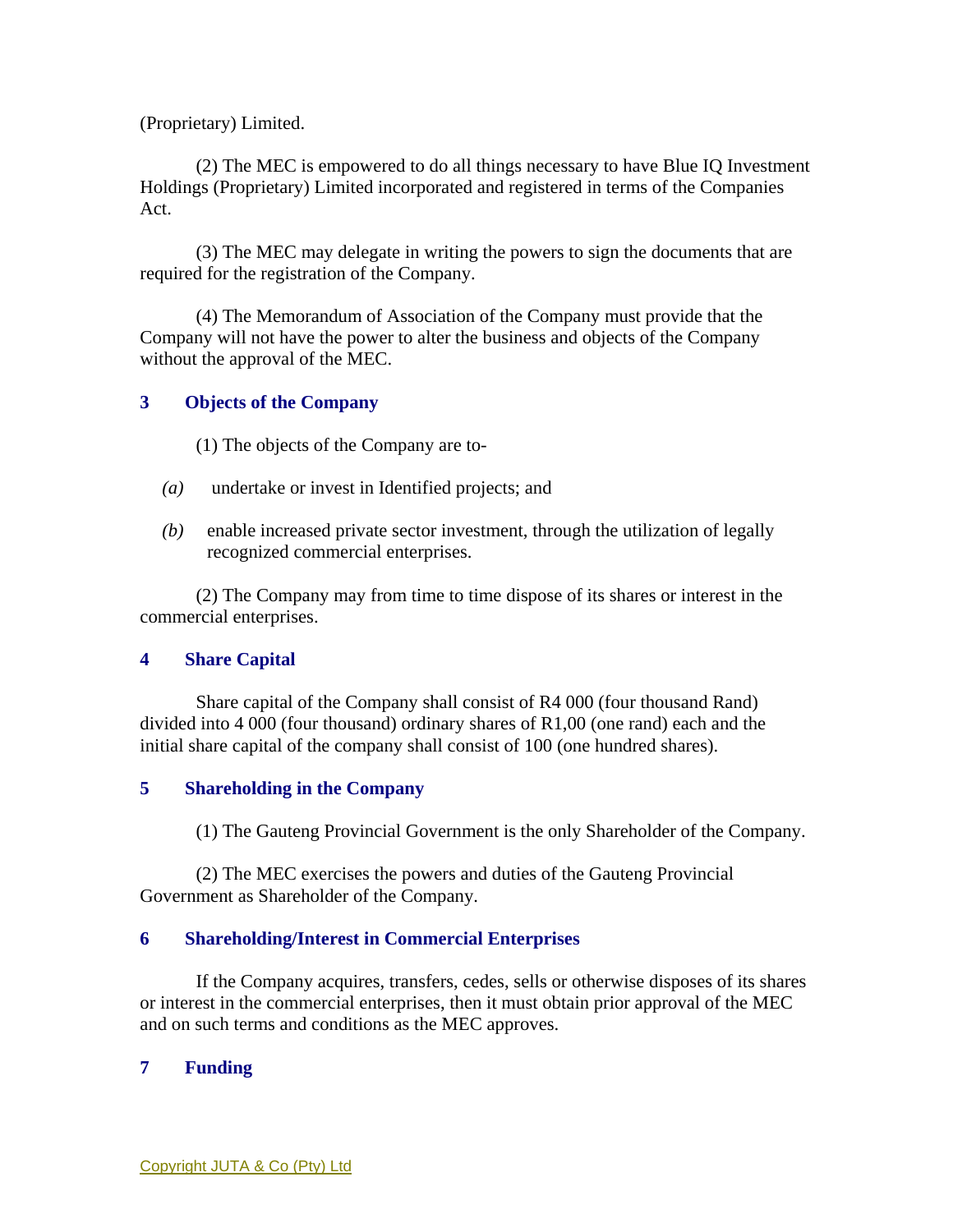(Proprietary) Limited.

 (2) The MEC is empowered to do all things necessary to have Blue IQ Investment Holdings (Proprietary) Limited incorporated and registered in terms of the Companies Act.

 (3) The MEC may delegate in writing the powers to sign the documents that are required for the registration of the Company.

 (4) The Memorandum of Association of the Company must provide that the Company will not have the power to alter the business and objects of the Company without the approval of the MEC.

## **3 Objects of the Company**

(1) The objects of the Company are to-

- *(a)* undertake or invest in Identified projects; and
- *(b)* enable increased private sector investment, through the utilization of legally recognized commercial enterprises.

 (2) The Company may from time to time dispose of its shares or interest in the commercial enterprises.

## **4 Share Capital**

 Share capital of the Company shall consist of R4 000 (four thousand Rand) divided into 4 000 (four thousand) ordinary shares of R1,00 (one rand) each and the initial share capital of the company shall consist of 100 (one hundred shares).

## **5 Shareholding in the Company**

(1) The Gauteng Provincial Government is the only Shareholder of the Company.

 (2) The MEC exercises the powers and duties of the Gauteng Provincial Government as Shareholder of the Company.

## **6 Shareholding/Interest in Commercial Enterprises**

 If the Company acquires, transfers, cedes, sells or otherwise disposes of its shares or interest in the commercial enterprises, then it must obtain prior approval of the MEC and on such terms and conditions as the MEC approves.

# **7 Funding**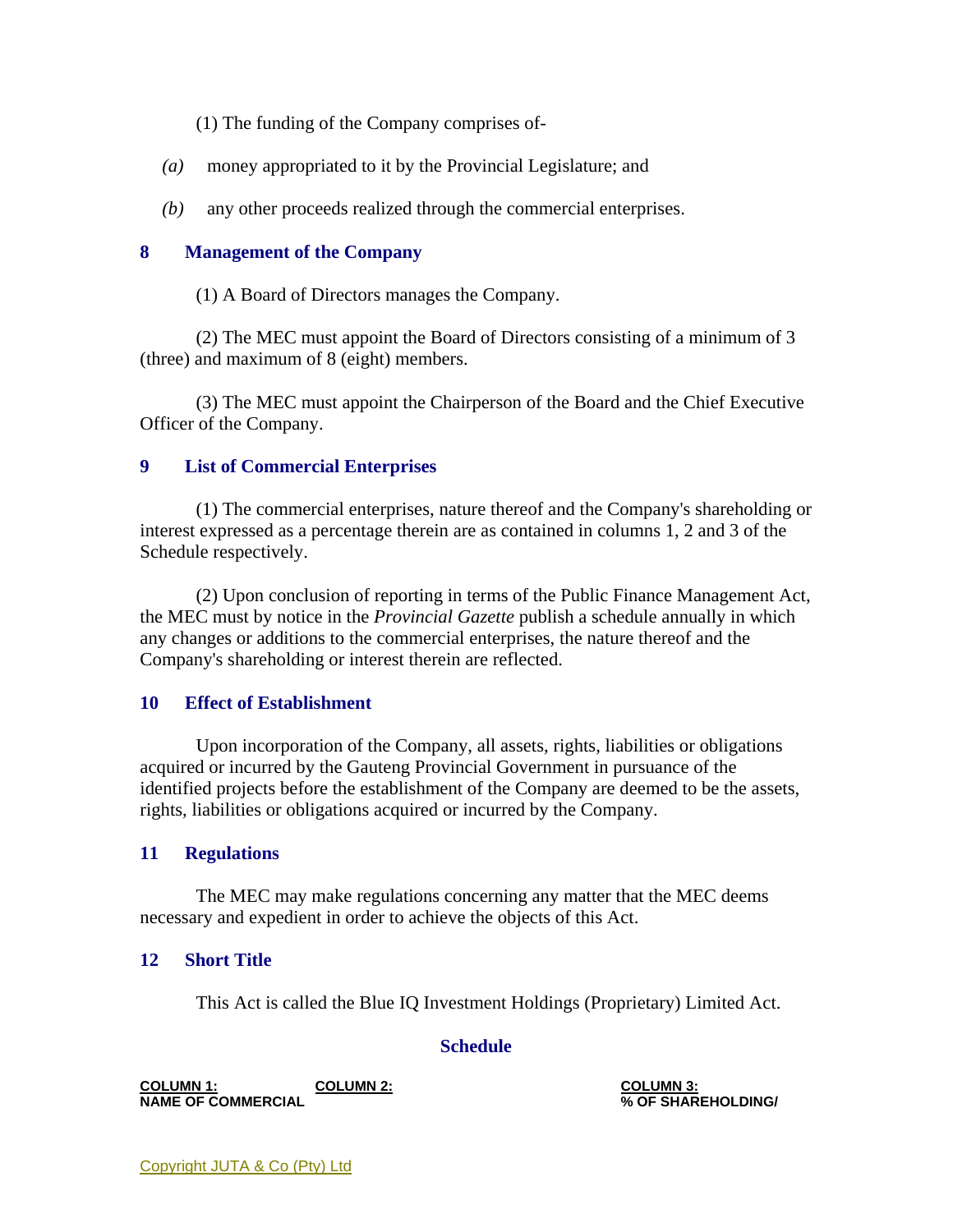(1) The funding of the Company comprises of-

- *(a)* money appropriated to it by the Provincial Legislature; and
- *(b)* any other proceeds realized through the commercial enterprises.

## **8 Management of the Company**

(1) A Board of Directors manages the Company.

 (2) The MEC must appoint the Board of Directors consisting of a minimum of 3 (three) and maximum of 8 (eight) members.

 (3) The MEC must appoint the Chairperson of the Board and the Chief Executive Officer of the Company.

## **9 List of Commercial Enterprises**

 (1) The commercial enterprises, nature thereof and the Company's shareholding or interest expressed as a percentage therein are as contained in columns 1, 2 and 3 of the Schedule respectively.

 (2) Upon conclusion of reporting in terms of the Public Finance Management Act, the MEC must by notice in the *Provincial Gazette* publish a schedule annually in which any changes or additions to the commercial enterprises, the nature thereof and the Company's shareholding or interest therein are reflected.

## **10 Effect of Establishment**

 Upon incorporation of the Company, all assets, rights, liabilities or obligations acquired or incurred by the Gauteng Provincial Government in pursuance of the identified projects before the establishment of the Company are deemed to be the assets, rights, liabilities or obligations acquired or incurred by the Company.

## **11 Regulations**

 The MEC may make regulations concerning any matter that the MEC deems necessary and expedient in order to achieve the objects of this Act.

## **12 Short Title**

This Act is called the Blue IQ Investment Holdings (Proprietary) Limited Act.

## **Schedule**

**COLUMN 1: NAME OF COMMERCIAL COLUMN 2: COLUMN 3:**

**% OF SHAREHOLDING/**